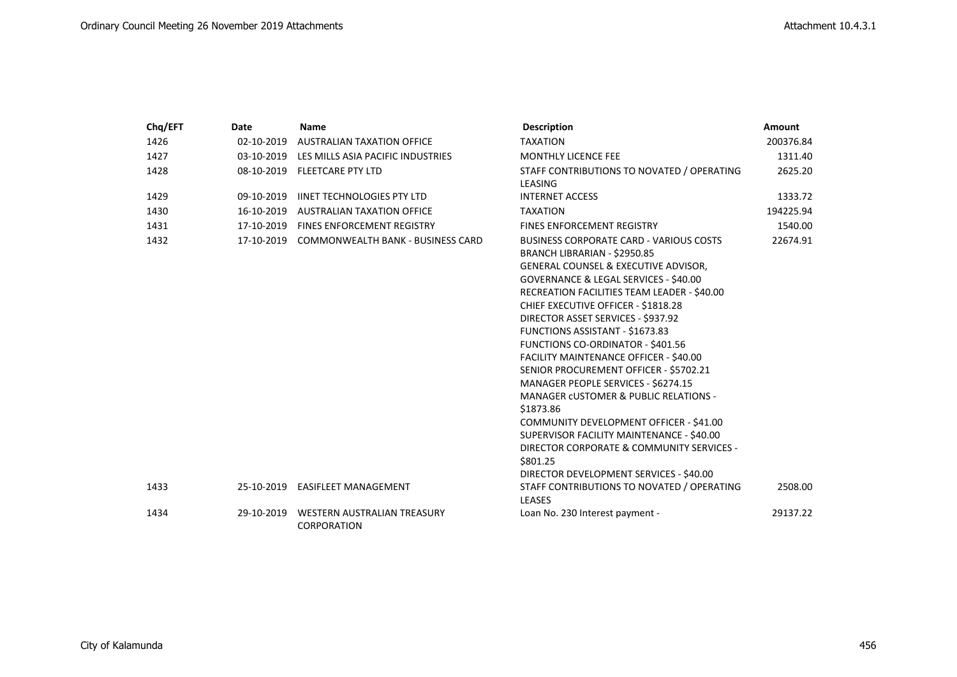| Chq/EFT | <b>Date</b> | <b>Name</b>                                  | <b>Description</b>                                            | Amount    |
|---------|-------------|----------------------------------------------|---------------------------------------------------------------|-----------|
| 1426    | 02-10-2019  | AUSTRALIAN TAXATION OFFICE                   | <b>TAXATION</b>                                               | 200376.84 |
| 1427    |             | 03-10-2019 LES MILLS ASIA PACIFIC INDUSTRIES | <b>MONTHLY LICENCE FEE</b>                                    | 1311.40   |
| 1428    |             | 08-10-2019 FLEETCARE PTY LTD                 | STAFF CONTRIBUTIONS TO NOVATED / OPERATING                    | 2625.20   |
|         |             |                                              | LEASING                                                       |           |
| 1429    |             | 09-10-2019 IINET TECHNOLOGIES PTY LTD        | <b>INTERNET ACCESS</b>                                        | 1333.72   |
| 1430    | 16-10-2019  | <b>AUSTRALIAN TAXATION OFFICE</b>            | <b>TAXATION</b>                                               | 194225.94 |
| 1431    |             | 17-10-2019 FINES ENFORCEMENT REGISTRY        | <b>FINES ENFORCEMENT REGISTRY</b>                             | 1540.00   |
| 1432    |             | 17-10-2019 COMMONWEALTH BANK - BUSINESS CARD | <b>BUSINESS CORPORATE CARD - VARIOUS COSTS</b>                | 22674.91  |
|         |             |                                              | BRANCH LIBRARIAN - \$2950.85                                  |           |
|         |             |                                              | GENERAL COUNSEL & EXECUTIVE ADVISOR,                          |           |
|         |             |                                              | GOVERNANCE & LEGAL SERVICES - \$40.00                         |           |
|         |             |                                              | RECREATION FACILITIES TEAM LEADER - \$40.00                   |           |
|         |             |                                              | CHIEF EXECUTIVE OFFICER - \$1818.28                           |           |
|         |             |                                              | DIRECTOR ASSET SERVICES - \$937.92                            |           |
|         |             |                                              | <b>FUNCTIONS ASSISTANT - \$1673.83</b>                        |           |
|         |             |                                              | FUNCTIONS CO-ORDINATOR - \$401.56                             |           |
|         |             |                                              | FACILITY MAINTENANCE OFFICER - \$40.00                        |           |
|         |             |                                              | SENIOR PROCUREMENT OFFICER - \$5702.21                        |           |
|         |             |                                              | MANAGER PEOPLE SERVICES - \$6274.15                           |           |
|         |             |                                              | <b>MANAGER CUSTOMER &amp; PUBLIC RELATIONS -</b><br>\$1873.86 |           |
|         |             |                                              | COMMUNITY DEVELOPMENT OFFICER - \$41.00                       |           |
|         |             |                                              | SUPERVISOR FACILITY MAINTENANCE - \$40.00                     |           |
|         |             |                                              | DIRECTOR CORPORATE & COMMUNITY SERVICES -                     |           |
|         |             |                                              | \$801.25                                                      |           |
|         |             |                                              | DIRECTOR DEVELOPMENT SERVICES - \$40.00                       |           |
| 1433    |             | 25-10-2019 EASIFLEET MANAGEMENT              | STAFF CONTRIBUTIONS TO NOVATED / OPERATING                    | 2508.00   |
|         |             |                                              | <b>LEASES</b>                                                 |           |
| 1434    | 29-10-2019  | <b>WESTERN AUSTRALIAN TREASURY</b>           | Loan No. 230 Interest payment -                               | 29137.22  |
|         |             | <b>CORPORATION</b>                           |                                                               |           |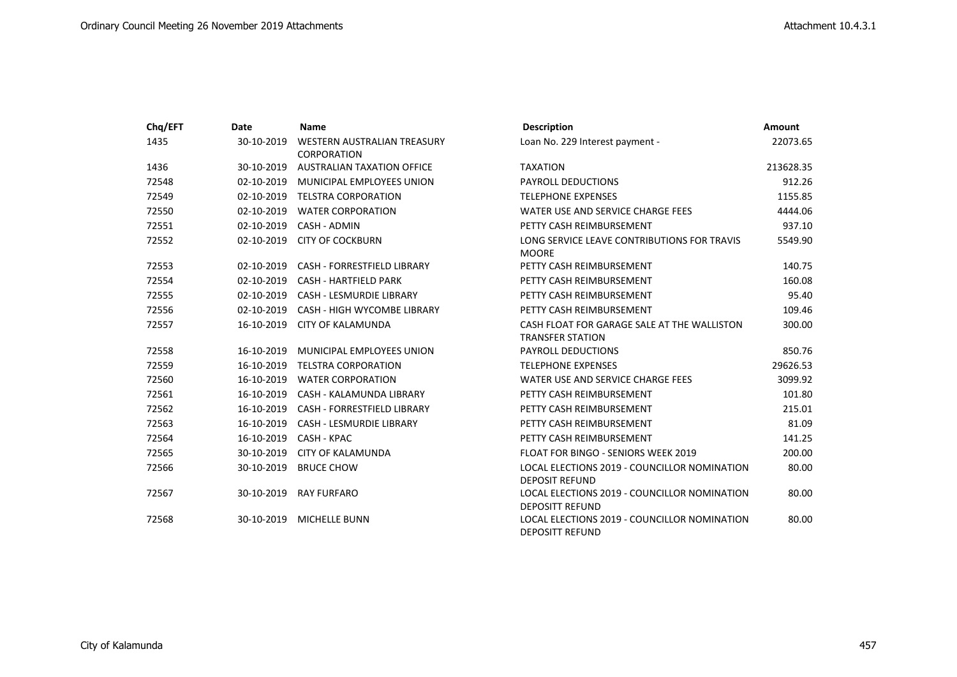| Chq/EFT | Date       | <b>Name</b>                                | <b>Description</b>                                                     | <b>Amount</b> |
|---------|------------|--------------------------------------------|------------------------------------------------------------------------|---------------|
| 1435    | 30-10-2019 | WESTERN AUSTRALIAN TREASURY<br>CORPORATION | Loan No. 229 Interest payment -                                        | 22073.65      |
| 1436    | 30-10-2019 | <b>AUSTRALIAN TAXATION OFFICE</b>          | <b>TAXATION</b>                                                        | 213628.35     |
| 72548   | 02-10-2019 | MUNICIPAL EMPLOYEES UNION                  | <b>PAYROLL DEDUCTIONS</b>                                              | 912.26        |
| 72549   | 02-10-2019 | <b>TELSTRA CORPORATION</b>                 | <b>TELEPHONE EXPENSES</b>                                              | 1155.85       |
| 72550   | 02-10-2019 | <b>WATER CORPORATION</b>                   | WATER USE AND SERVICE CHARGE FEES                                      | 4444.06       |
| 72551   | 02-10-2019 | CASH - ADMIN                               | PETTY CASH REIMBURSEMENT                                               | 937.10        |
| 72552   | 02-10-2019 | <b>CITY OF COCKBURN</b>                    | LONG SERVICE LEAVE CONTRIBUTIONS FOR TRAVIS<br><b>MOORE</b>            | 5549.90       |
| 72553   | 02-10-2019 | <b>CASH - FORRESTFIELD LIBRARY</b>         | PETTY CASH REIMBURSEMENT                                               | 140.75        |
| 72554   | 02-10-2019 | <b>CASH - HARTFIELD PARK</b>               | PETTY CASH REIMBURSEMENT                                               | 160.08        |
| 72555   | 02-10-2019 | <b>CASH - LESMURDIE LIBRARY</b>            | PETTY CASH REIMBURSEMENT                                               | 95.40         |
| 72556   | 02-10-2019 | <b>CASH - HIGH WYCOMBE LIBRARY</b>         | PETTY CASH REIMBURSEMENT                                               | 109.46        |
| 72557   | 16-10-2019 | CITY OF KALAMUNDA                          | CASH FLOAT FOR GARAGE SALE AT THE WALLISTON<br><b>TRANSFER STATION</b> | 300.00        |
| 72558   | 16-10-2019 | MUNICIPAL EMPLOYEES UNION                  | <b>PAYROLL DEDUCTIONS</b>                                              | 850.76        |
| 72559   | 16-10-2019 | <b>TELSTRA CORPORATION</b>                 | <b>TELEPHONE EXPENSES</b>                                              | 29626.53      |
| 72560   | 16-10-2019 | <b>WATER CORPORATION</b>                   | WATER USE AND SERVICE CHARGE FEES                                      | 3099.92       |
| 72561   | 16-10-2019 | CASH - KALAMUNDA LIBRARY                   | PETTY CASH REIMBURSEMENT                                               | 101.80        |
| 72562   | 16-10-2019 | <b>CASH - FORRESTFIELD LIBRARY</b>         | PETTY CASH REIMBURSEMENT                                               | 215.01        |
| 72563   | 16-10-2019 | <b>CASH - LESMURDIE LIBRARY</b>            | PETTY CASH REIMBURSEMENT                                               | 81.09         |
| 72564   | 16-10-2019 | CASH - KPAC                                | PETTY CASH REIMBURSEMENT                                               | 141.25        |
| 72565   | 30-10-2019 | <b>CITY OF KALAMUNDA</b>                   | FLOAT FOR BINGO - SENIORS WEEK 2019                                    | 200.00        |
| 72566   | 30-10-2019 | <b>BRUCE CHOW</b>                          | LOCAL ELECTIONS 2019 - COUNCILLOR NOMINATION<br><b>DEPOSIT REFUND</b>  | 80.00         |
| 72567   | 30-10-2019 | <b>RAY FURFARO</b>                         | LOCAL ELECTIONS 2019 - COUNCILLOR NOMINATION<br><b>DEPOSITT REFUND</b> | 80.00         |
| 72568   | 30-10-2019 | <b>MICHELLE BUNN</b>                       | LOCAL ELECTIONS 2019 - COUNCILLOR NOMINATION<br><b>DEPOSITT REFUND</b> | 80.00         |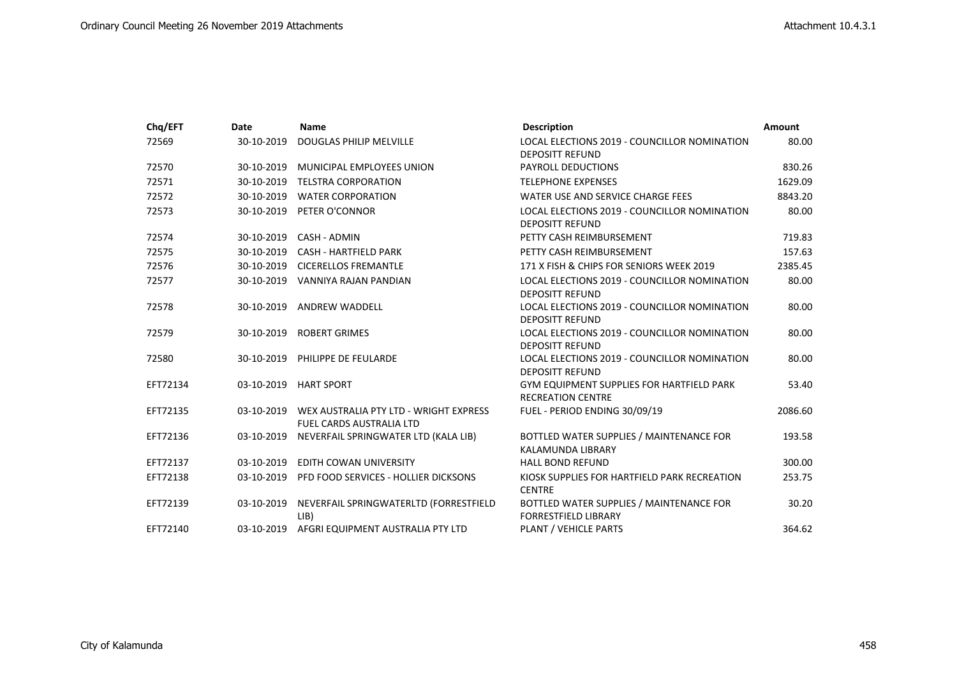| Chq/EFT  | Date       | <b>Name</b>                                                        | <b>Description</b>                                                           | <b>Amount</b> |
|----------|------------|--------------------------------------------------------------------|------------------------------------------------------------------------------|---------------|
| 72569    | 30-10-2019 | DOUGLAS PHILIP MELVILLE                                            | LOCAL ELECTIONS 2019 - COUNCILLOR NOMINATION<br><b>DEPOSITT REFUND</b>       | 80.00         |
| 72570    | 30-10-2019 | MUNICIPAL EMPLOYEES UNION                                          | <b>PAYROLL DEDUCTIONS</b>                                                    | 830.26        |
| 72571    | 30-10-2019 | <b>TELSTRA CORPORATION</b>                                         | <b>TELEPHONE EXPENSES</b>                                                    | 1629.09       |
| 72572    | 30-10-2019 | <b>WATER CORPORATION</b>                                           | WATER USE AND SERVICE CHARGE FEES                                            | 8843.20       |
| 72573    | 30-10-2019 | PETER O'CONNOR                                                     | LOCAL ELECTIONS 2019 - COUNCILLOR NOMINATION<br><b>DEPOSITT REFUND</b>       | 80.00         |
| 72574    | 30-10-2019 | CASH - ADMIN                                                       | PETTY CASH REIMBURSEMENT                                                     | 719.83        |
| 72575    | 30-10-2019 | <b>CASH - HARTFIELD PARK</b>                                       | PETTY CASH REIMBURSEMENT                                                     | 157.63        |
| 72576    | 30-10-2019 | <b>CICERELLOS FREMANTLE</b>                                        | 171 X FISH & CHIPS FOR SENIORS WEEK 2019                                     | 2385.45       |
| 72577    |            | 30-10-2019 VANNIYA RAJAN PANDIAN                                   | LOCAL ELECTIONS 2019 - COUNCILLOR NOMINATION<br><b>DEPOSITT REFUND</b>       | 80.00         |
| 72578    | 30-10-2019 | <b>ANDREW WADDELL</b>                                              | LOCAL ELECTIONS 2019 - COUNCILLOR NOMINATION<br><b>DEPOSITT REFUND</b>       | 80.00         |
| 72579    | 30-10-2019 | <b>ROBERT GRIMES</b>                                               | LOCAL ELECTIONS 2019 - COUNCILLOR NOMINATION<br><b>DEPOSITT REFUND</b>       | 80.00         |
| 72580    | 30-10-2019 | PHILIPPE DE FEULARDE                                               | LOCAL ELECTIONS 2019 - COUNCILLOR NOMINATION<br><b>DEPOSITT REFUND</b>       | 80.00         |
| EFT72134 |            | 03-10-2019 HART SPORT                                              | <b>GYM EQUIPMENT SUPPLIES FOR HARTFIELD PARK</b><br><b>RECREATION CENTRE</b> | 53.40         |
| EFT72135 | 03-10-2019 | WEX AUSTRALIA PTY LTD - WRIGHT EXPRESS<br>FUEL CARDS AUSTRALIA LTD | FUEL - PERIOD ENDING 30/09/19                                                | 2086.60       |
| EFT72136 |            | 03-10-2019 NEVERFAIL SPRINGWATER LTD (KALA LIB)                    | BOTTLED WATER SUPPLIES / MAINTENANCE FOR<br>KALAMUNDA LIBRARY                | 193.58        |
| EFT72137 | 03-10-2019 | EDITH COWAN UNIVERSITY                                             | <b>HALL BOND REFUND</b>                                                      | 300.00        |
| EFT72138 | 03-10-2019 | PFD FOOD SERVICES - HOLLIER DICKSONS                               | KIOSK SUPPLIES FOR HARTFIELD PARK RECREATION<br><b>CENTRE</b>                | 253.75        |
| EFT72139 | 03-10-2019 | NEVERFAIL SPRINGWATERLTD (FORRESTFIELD<br>LIB                      | BOTTLED WATER SUPPLIES / MAINTENANCE FOR<br><b>FORRESTFIELD LIBRARY</b>      | 30.20         |
| EFT72140 | 03-10-2019 | AFGRI EQUIPMENT AUSTRALIA PTY LTD                                  | PLANT / VEHICLE PARTS                                                        | 364.62        |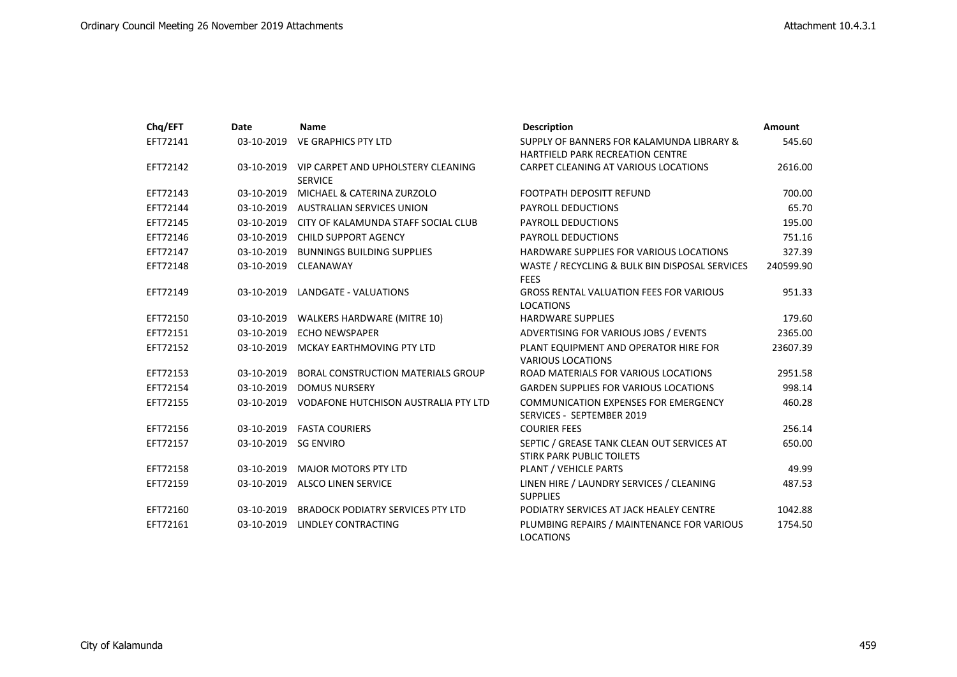| Chq/EFT  | Date                 | <b>Name</b>                                                     | <b>Description</b>                                                                   | <b>Amount</b> |
|----------|----------------------|-----------------------------------------------------------------|--------------------------------------------------------------------------------------|---------------|
| EFT72141 | 03-10-2019           | VE GRAPHICS PTY LTD                                             | SUPPLY OF BANNERS FOR KALAMUNDA LIBRARY &<br><b>HARTFIELD PARK RECREATION CENTRE</b> | 545.60        |
| EFT72142 |                      | 03-10-2019 VIP CARPET AND UPHOLSTERY CLEANING<br><b>SERVICE</b> | CARPET CLEANING AT VARIOUS LOCATIONS                                                 | 2616.00       |
| EFT72143 | 03-10-2019           | MICHAEL & CATERINA ZURZOLO                                      | <b>FOOTPATH DEPOSITT REFUND</b>                                                      | 700.00        |
| EFT72144 |                      | 03-10-2019 AUSTRALIAN SERVICES UNION                            | <b>PAYROLL DEDUCTIONS</b>                                                            | 65.70         |
| EFT72145 |                      | 03-10-2019 CITY OF KALAMUNDA STAFF SOCIAL CLUB                  | <b>PAYROLL DEDUCTIONS</b>                                                            | 195.00        |
| EFT72146 | 03-10-2019           | <b>CHILD SUPPORT AGENCY</b>                                     | PAYROLL DEDUCTIONS                                                                   | 751.16        |
| EFT72147 |                      | 03-10-2019 BUNNINGS BUILDING SUPPLIES                           | HARDWARE SUPPLIES FOR VARIOUS LOCATIONS                                              | 327.39        |
| EFT72148 |                      | 03-10-2019 CLEANAWAY                                            | WASTE / RECYCLING & BULK BIN DISPOSAL SERVICES<br><b>FEES</b>                        | 240599.90     |
| EFT72149 | 03-10-2019           | <b>LANDGATE - VALUATIONS</b>                                    | <b>GROSS RENTAL VALUATION FEES FOR VARIOUS</b><br><b>LOCATIONS</b>                   | 951.33        |
| EFT72150 |                      | 03-10-2019 WALKERS HARDWARE (MITRE 10)                          | <b>HARDWARE SUPPLIES</b>                                                             | 179.60        |
| EFT72151 | 03-10-2019           | <b>ECHO NEWSPAPER</b>                                           | ADVERTISING FOR VARIOUS JOBS / EVENTS                                                | 2365.00       |
| EFT72152 | 03-10-2019           | MCKAY EARTHMOVING PTY LTD                                       | PLANT EQUIPMENT AND OPERATOR HIRE FOR<br><b>VARIOUS LOCATIONS</b>                    | 23607.39      |
| EFT72153 | 03-10-2019           | <b>BORAL CONSTRUCTION MATERIALS GROUP</b>                       | ROAD MATERIALS FOR VARIOUS LOCATIONS                                                 | 2951.58       |
| EFT72154 | 03-10-2019           | <b>DOMUS NURSERY</b>                                            | <b>GARDEN SUPPLIES FOR VARIOUS LOCATIONS</b>                                         | 998.14        |
| EFT72155 | 03-10-2019           | VODAFONE HUTCHISON AUSTRALIA PTY LTD                            | <b>COMMUNICATION EXPENSES FOR EMERGENCY</b><br>SERVICES - SEPTEMBER 2019             | 460.28        |
| EFT72156 | 03-10-2019           | <b>FASTA COURIERS</b>                                           | <b>COURIER FEES</b>                                                                  | 256.14        |
| EFT72157 | 03-10-2019 SG ENVIRO |                                                                 | SEPTIC / GREASE TANK CLEAN OUT SERVICES AT<br><b>STIRK PARK PUBLIC TOILETS</b>       | 650.00        |
| EFT72158 | 03-10-2019           | <b>MAJOR MOTORS PTY LTD</b>                                     | PLANT / VEHICLE PARTS                                                                | 49.99         |
| EFT72159 | 03-10-2019           | <b>ALSCO LINEN SERVICE</b>                                      | LINEN HIRE / LAUNDRY SERVICES / CLEANING<br><b>SUPPLIES</b>                          | 487.53        |
| EFT72160 | 03-10-2019           | <b>BRADOCK PODIATRY SERVICES PTY LTD</b>                        | PODIATRY SERVICES AT JACK HEALEY CENTRE                                              | 1042.88       |
| EFT72161 | 03-10-2019           | LINDLEY CONTRACTING                                             | PLUMBING REPAIRS / MAINTENANCE FOR VARIOUS<br><b>LOCATIONS</b>                       | 1754.50       |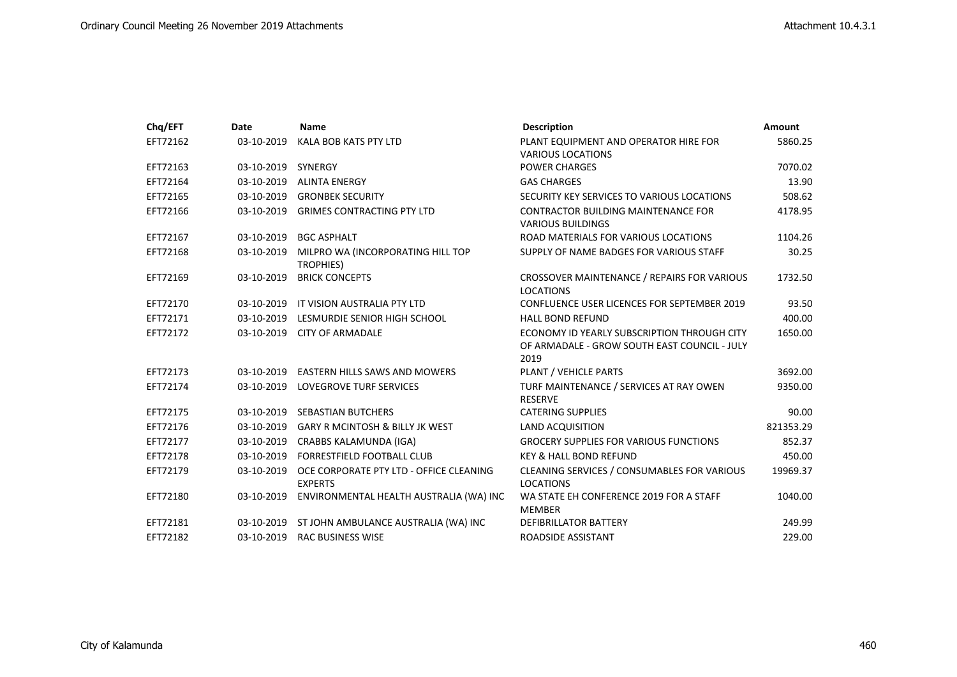| Chq/EFT  | Date               | <b>Name</b>                                               | <b>Description</b>                                                                                  | <b>Amount</b> |
|----------|--------------------|-----------------------------------------------------------|-----------------------------------------------------------------------------------------------------|---------------|
| EFT72162 | 03-10-2019         | KALA BOB KATS PTY LTD                                     | PLANT EQUIPMENT AND OPERATOR HIRE FOR<br><b>VARIOUS LOCATIONS</b>                                   | 5860.25       |
| EFT72163 | 03-10-2019 SYNERGY |                                                           | <b>POWER CHARGES</b>                                                                                | 7070.02       |
| EFT72164 | 03-10-2019         | <b>ALINTA ENERGY</b>                                      | <b>GAS CHARGES</b>                                                                                  | 13.90         |
| EFT72165 |                    | 03-10-2019 GRONBEK SECURITY                               | SECURITY KEY SERVICES TO VARIOUS LOCATIONS                                                          | 508.62        |
| EFT72166 | 03-10-2019         | <b>GRIMES CONTRACTING PTY LTD</b>                         | <b>CONTRACTOR BUILDING MAINTENANCE FOR</b><br><b>VARIOUS BUILDINGS</b>                              | 4178.95       |
| EFT72167 | 03-10-2019         | <b>BGC ASPHALT</b>                                        | ROAD MATERIALS FOR VARIOUS LOCATIONS                                                                | 1104.26       |
| EFT72168 | 03-10-2019         | MILPRO WA (INCORPORATING HILL TOP<br><b>TROPHIES)</b>     | SUPPLY OF NAME BADGES FOR VARIOUS STAFF                                                             | 30.25         |
| EFT72169 | 03-10-2019         | <b>BRICK CONCEPTS</b>                                     | CROSSOVER MAINTENANCE / REPAIRS FOR VARIOUS<br><b>LOCATIONS</b>                                     | 1732.50       |
| EFT72170 | 03-10-2019         | IT VISION AUSTRALIA PTY LTD                               | <b>CONFLUENCE USER LICENCES FOR SEPTEMBER 2019</b>                                                  | 93.50         |
| EFT72171 | 03-10-2019         | LESMURDIE SENIOR HIGH SCHOOL                              | <b>HALL BOND REFUND</b>                                                                             | 400.00        |
| EFT72172 | 03-10-2019         | <b>CITY OF ARMADALE</b>                                   | ECONOMY ID YEARLY SUBSCRIPTION THROUGH CITY<br>OF ARMADALE - GROW SOUTH EAST COUNCIL - JULY<br>2019 | 1650.00       |
| EFT72173 | 03-10-2019         | <b>EASTERN HILLS SAWS AND MOWERS</b>                      | PLANT / VEHICLE PARTS                                                                               | 3692.00       |
| EFT72174 |                    | 03-10-2019 LOVEGROVE TURF SERVICES                        | TURF MAINTENANCE / SERVICES AT RAY OWEN<br><b>RESERVE</b>                                           | 9350.00       |
| EFT72175 |                    | 03-10-2019 SEBASTIAN BUTCHERS                             | <b>CATERING SUPPLIES</b>                                                                            | 90.00         |
| EFT72176 | 03-10-2019         | <b>GARY R MCINTOSH &amp; BILLY JK WEST</b>                | <b>LAND ACQUISITION</b>                                                                             | 821353.29     |
| EFT72177 |                    | 03-10-2019 CRABBS KALAMUNDA (IGA)                         | <b>GROCERY SUPPLIES FOR VARIOUS FUNCTIONS</b>                                                       | 852.37        |
| EFT72178 | 03-10-2019         | <b>FORRESTFIELD FOOTBALL CLUB</b>                         | <b>KEY &amp; HALL BOND REFUND</b>                                                                   | 450.00        |
| EFT72179 | 03-10-2019         | OCE CORPORATE PTY LTD - OFFICE CLEANING<br><b>EXPERTS</b> | CLEANING SERVICES / CONSUMABLES FOR VARIOUS<br><b>LOCATIONS</b>                                     | 19969.37      |
| EFT72180 | 03-10-2019         | ENVIRONMENTAL HEALTH AUSTRALIA (WA) INC                   | WA STATE EH CONFERENCE 2019 FOR A STAFF<br><b>MEMBER</b>                                            | 1040.00       |
| EFT72181 |                    | 03-10-2019 ST JOHN AMBULANCE AUSTRALIA (WA) INC           | DEFIBRILLATOR BATTERY                                                                               | 249.99        |
| EFT72182 | 03-10-2019         | <b>RAC BUSINESS WISE</b>                                  | ROADSIDE ASSISTANT                                                                                  | 229.00        |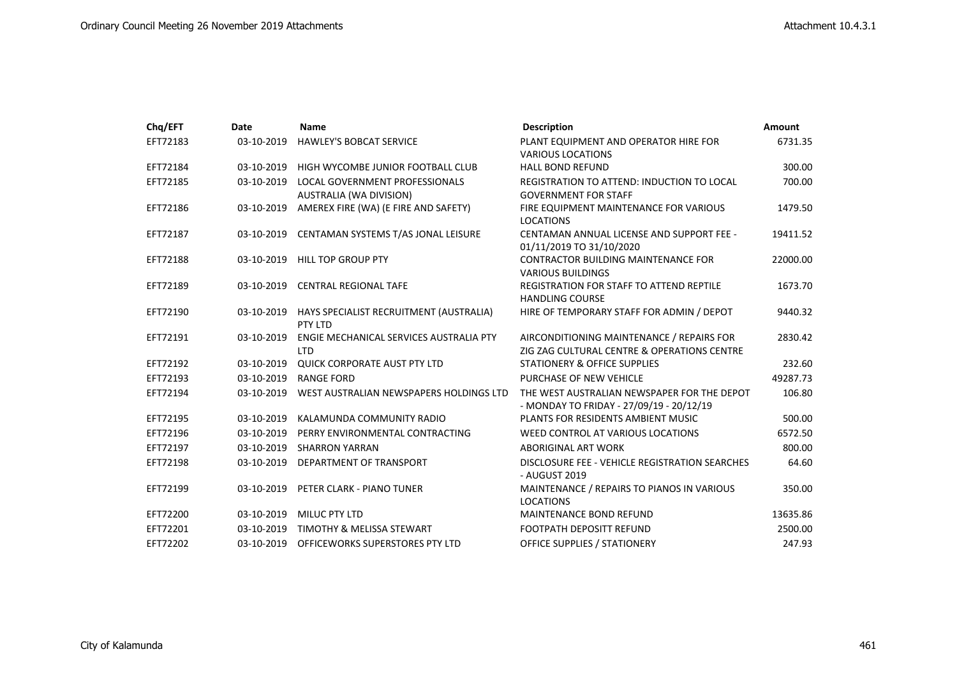| Chq/EFT  | Date       | <b>Name</b>                                               | <b>Description</b>                                                                       | Amount   |
|----------|------------|-----------------------------------------------------------|------------------------------------------------------------------------------------------|----------|
| EFT72183 | 03-10-2019 | <b>HAWLEY'S BOBCAT SERVICE</b>                            | PLANT EQUIPMENT AND OPERATOR HIRE FOR<br><b>VARIOUS LOCATIONS</b>                        | 6731.35  |
| EFT72184 | 03-10-2019 | HIGH WYCOMBE JUNIOR FOOTBALL CLUB                         | <b>HALL BOND REFUND</b>                                                                  | 300.00   |
| EFT72185 | 03-10-2019 | LOCAL GOVERNMENT PROFESSIONALS<br>AUSTRALIA (WA DIVISION) | REGISTRATION TO ATTEND: INDUCTION TO LOCAL<br><b>GOVERNMENT FOR STAFF</b>                | 700.00   |
| EFT72186 | 03-10-2019 | AMEREX FIRE (WA) (E FIRE AND SAFETY)                      | FIRE EQUIPMENT MAINTENANCE FOR VARIOUS<br><b>LOCATIONS</b>                               | 1479.50  |
| EFT72187 | 03-10-2019 | CENTAMAN SYSTEMS T/AS JONAL LEISURE                       | CENTAMAN ANNUAL LICENSE AND SUPPORT FEE -<br>01/11/2019 TO 31/10/2020                    | 19411.52 |
| EFT72188 | 03-10-2019 | <b>HILL TOP GROUP PTY</b>                                 | <b>CONTRACTOR BUILDING MAINTENANCE FOR</b><br><b>VARIOUS BUILDINGS</b>                   | 22000.00 |
| EFT72189 | 03-10-2019 | <b>CENTRAL REGIONAL TAFE</b>                              | <b>REGISTRATION FOR STAFF TO ATTEND REPTILE</b><br><b>HANDLING COURSE</b>                | 1673.70  |
| EFT72190 | 03-10-2019 | HAYS SPECIALIST RECRUITMENT (AUSTRALIA)<br>PTY LTD        | HIRE OF TEMPORARY STAFF FOR ADMIN / DEPOT                                                | 9440.32  |
| EFT72191 | 03-10-2019 | ENGIE MECHANICAL SERVICES AUSTRALIA PTY<br><b>LTD</b>     | AIRCONDITIONING MAINTENANCE / REPAIRS FOR<br>ZIG ZAG CULTURAL CENTRE & OPERATIONS CENTRE | 2830.42  |
| EFT72192 | 03-10-2019 | <b>QUICK CORPORATE AUST PTY LTD</b>                       | <b>STATIONERY &amp; OFFICE SUPPLIES</b>                                                  | 232.60   |
| EFT72193 | 03-10-2019 | <b>RANGE FORD</b>                                         | PURCHASE OF NEW VEHICLE                                                                  | 49287.73 |
| EFT72194 | 03-10-2019 | WEST AUSTRALIAN NEWSPAPERS HOLDINGS LTD                   | THE WEST AUSTRALIAN NEWSPAPER FOR THE DEPOT<br>- MONDAY TO FRIDAY - 27/09/19 - 20/12/19  | 106.80   |
| EFT72195 | 03-10-2019 | KALAMUNDA COMMUNITY RADIO                                 | PLANTS FOR RESIDENTS AMBIENT MUSIC                                                       | 500.00   |
| EFT72196 | 03-10-2019 | PERRY ENVIRONMENTAL CONTRACTING                           | WEED CONTROL AT VARIOUS LOCATIONS                                                        | 6572.50  |
| EFT72197 | 03-10-2019 | <b>SHARRON YARRAN</b>                                     | <b>ABORIGINAL ART WORK</b>                                                               | 800.00   |
| EFT72198 | 03-10-2019 | DEPARTMENT OF TRANSPORT                                   | DISCLOSURE FEE - VEHICLE REGISTRATION SEARCHES<br>- AUGUST 2019                          | 64.60    |
| EFT72199 | 03-10-2019 | PETER CLARK - PIANO TUNER                                 | MAINTENANCE / REPAIRS TO PIANOS IN VARIOUS<br><b>LOCATIONS</b>                           | 350.00   |
| EFT72200 | 03-10-2019 | <b>MILUC PTY LTD</b>                                      | <b>MAINTENANCE BOND REFUND</b>                                                           | 13635.86 |
| EFT72201 | 03-10-2019 | TIMOTHY & MELISSA STEWART                                 | <b>FOOTPATH DEPOSITT REFUND</b>                                                          | 2500.00  |
| EFT72202 | 03-10-2019 | OFFICEWORKS SUPERSTORES PTY LTD                           | <b>OFFICE SUPPLIES / STATIONERY</b>                                                      | 247.93   |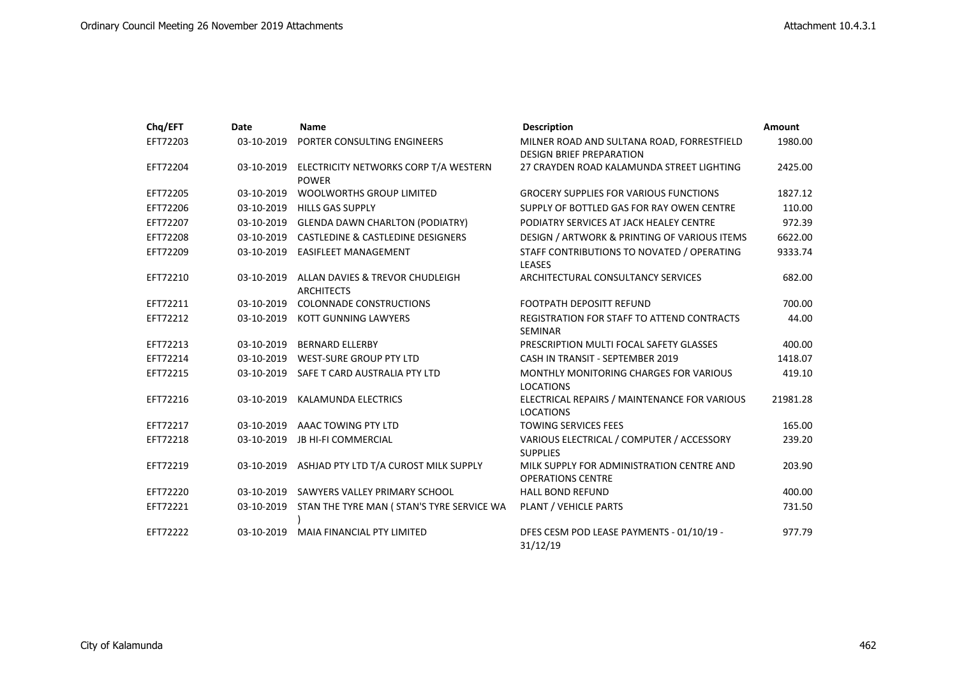| Chq/EFT  | Date       | <b>Name</b>                                           | <b>Description</b>                                                            | Amount   |
|----------|------------|-------------------------------------------------------|-------------------------------------------------------------------------------|----------|
| EFT72203 | 03-10-2019 | PORTER CONSULTING ENGINEERS                           | MILNER ROAD AND SULTANA ROAD, FORRESTFIELD<br><b>DESIGN BRIEF PREPARATION</b> | 1980.00  |
| EFT72204 | 03-10-2019 | ELECTRICITY NETWORKS CORP T/A WESTERN<br><b>POWER</b> | 27 CRAYDEN ROAD KALAMUNDA STREET LIGHTING                                     | 2425.00  |
| EFT72205 | 03-10-2019 | <b>WOOLWORTHS GROUP LIMITED</b>                       | <b>GROCERY SUPPLIES FOR VARIOUS FUNCTIONS</b>                                 | 1827.12  |
| EFT72206 | 03-10-2019 | <b>HILLS GAS SUPPLY</b>                               | SUPPLY OF BOTTLED GAS FOR RAY OWEN CENTRE                                     | 110.00   |
| EFT72207 |            | 03-10-2019 GLENDA DAWN CHARLTON (PODIATRY)            | PODIATRY SERVICES AT JACK HEALEY CENTRE                                       | 972.39   |
| EFT72208 | 03-10-2019 | <b>CASTLEDINE &amp; CASTLEDINE DESIGNERS</b>          | DESIGN / ARTWORK & PRINTING OF VARIOUS ITEMS                                  | 6622.00  |
| EFT72209 | 03-10-2019 | <b>EASIFLEET MANAGEMENT</b>                           | STAFF CONTRIBUTIONS TO NOVATED / OPERATING<br><b>LEASES</b>                   | 9333.74  |
| EFT72210 | 03-10-2019 | ALLAN DAVIES & TREVOR CHUDLEIGH<br><b>ARCHITECTS</b>  | ARCHITECTURAL CONSULTANCY SERVICES                                            | 682.00   |
| EFT72211 | 03-10-2019 | <b>COLONNADE CONSTRUCTIONS</b>                        | <b>FOOTPATH DEPOSITT REFUND</b>                                               | 700.00   |
| EFT72212 | 03-10-2019 | KOTT GUNNING LAWYERS                                  | REGISTRATION FOR STAFF TO ATTEND CONTRACTS<br><b>SEMINAR</b>                  | 44.00    |
| EFT72213 | 03-10-2019 | <b>BERNARD ELLERBY</b>                                | PRESCRIPTION MULTI FOCAL SAFETY GLASSES                                       | 400.00   |
| EFT72214 | 03-10-2019 | <b>WEST-SURE GROUP PTY LTD</b>                        | CASH IN TRANSIT - SEPTEMBER 2019                                              | 1418.07  |
| EFT72215 | 03-10-2019 | SAFE T CARD AUSTRALIA PTY LTD                         | MONTHLY MONITORING CHARGES FOR VARIOUS<br><b>LOCATIONS</b>                    | 419.10   |
| EFT72216 | 03-10-2019 | <b>KALAMUNDA ELECTRICS</b>                            | ELECTRICAL REPAIRS / MAINTENANCE FOR VARIOUS<br><b>LOCATIONS</b>              | 21981.28 |
| EFT72217 | 03-10-2019 | AAAC TOWING PTY LTD                                   | <b>TOWING SERVICES FEES</b>                                                   | 165.00   |
| EFT72218 | 03-10-2019 | <b>JB HI-FI COMMERCIAL</b>                            | VARIOUS ELECTRICAL / COMPUTER / ACCESSORY<br><b>SUPPLIES</b>                  | 239.20   |
| EFT72219 | 03-10-2019 | ASHJAD PTY LTD T/A CUROST MILK SUPPLY                 | MILK SUPPLY FOR ADMINISTRATION CENTRE AND<br><b>OPERATIONS CENTRE</b>         | 203.90   |
| EFT72220 | 03-10-2019 | SAWYERS VALLEY PRIMARY SCHOOL                         | <b>HALL BOND REFUND</b>                                                       | 400.00   |
| EFT72221 | 03-10-2019 | STAN THE TYRE MAN ( STAN'S TYRE SERVICE WA            | PLANT / VEHICLE PARTS                                                         | 731.50   |
| EFT72222 | 03-10-2019 | MAIA FINANCIAL PTY LIMITED                            | DFES CESM POD LEASE PAYMENTS - 01/10/19 -<br>31/12/19                         | 977.79   |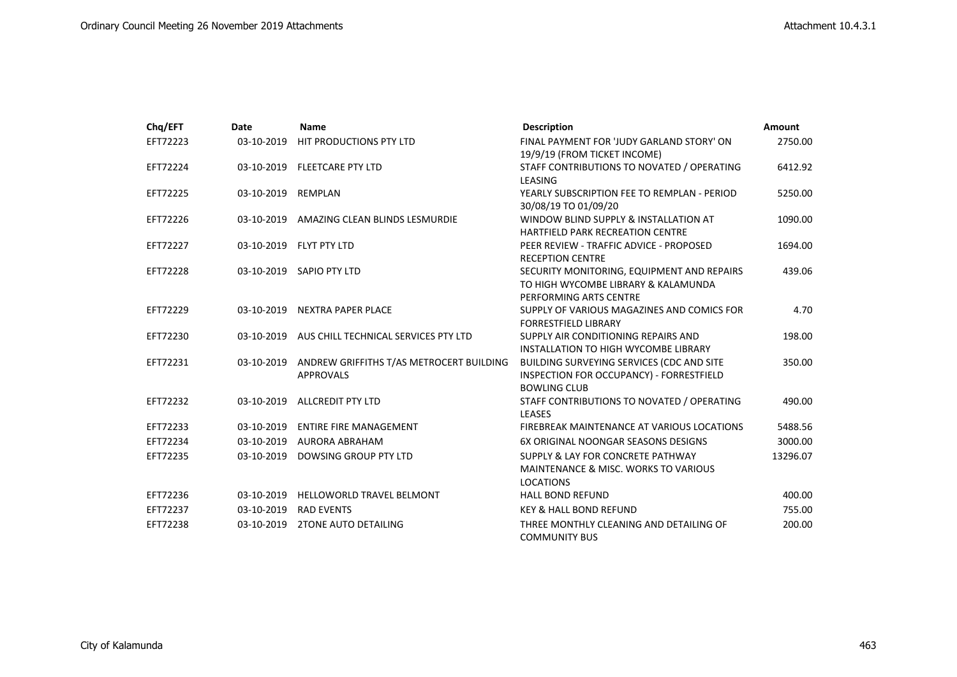| Chq/EFT  | Date       | <b>Name</b>                                                  | <b>Description</b>                                                                                           | <b>Amount</b> |
|----------|------------|--------------------------------------------------------------|--------------------------------------------------------------------------------------------------------------|---------------|
| EFT72223 | 03-10-2019 | HIT PRODUCTIONS PTY LTD                                      | FINAL PAYMENT FOR 'JUDY GARLAND STORY' ON<br>19/9/19 (FROM TICKET INCOME)                                    | 2750.00       |
| EFT72224 | 03-10-2019 | <b>FLEETCARE PTY LTD</b>                                     | STAFF CONTRIBUTIONS TO NOVATED / OPERATING<br>LEASING                                                        | 6412.92       |
| EFT72225 | 03-10-2019 | REMPLAN                                                      | YEARLY SUBSCRIPTION FEE TO REMPLAN - PERIOD<br>30/08/19 TO 01/09/20                                          | 5250.00       |
| EFT72226 | 03-10-2019 | AMAZING CLEAN BLINDS LESMURDIE                               | WINDOW BLIND SUPPLY & INSTALLATION AT<br><b>HARTFIELD PARK RECREATION CENTRE</b>                             | 1090.00       |
| EFT72227 |            | 03-10-2019 FLYT PTY LTD                                      | PEER REVIEW - TRAFFIC ADVICE - PROPOSED<br><b>RECEPTION CENTRE</b>                                           | 1694.00       |
| EFT72228 | 03-10-2019 | SAPIO PTY LTD                                                | SECURITY MONITORING, EQUIPMENT AND REPAIRS<br>TO HIGH WYCOMBE LIBRARY & KALAMUNDA<br>PERFORMING ARTS CENTRE  | 439.06        |
| EFT72229 | 03-10-2019 | <b>NEXTRA PAPER PLACE</b>                                    | SUPPLY OF VARIOUS MAGAZINES AND COMICS FOR<br><b>FORRESTFIELD LIBRARY</b>                                    | 4.70          |
| EFT72230 | 03-10-2019 | AUS CHILL TECHNICAL SERVICES PTY LTD                         | SUPPLY AIR CONDITIONING REPAIRS AND<br>INSTALLATION TO HIGH WYCOMBE LIBRARY                                  | 198.00        |
| EFT72231 | 03-10-2019 | ANDREW GRIFFITHS T/AS METROCERT BUILDING<br><b>APPROVALS</b> | BUILDING SURVEYING SERVICES (CDC AND SITE<br>INSPECTION FOR OCCUPANCY) - FORRESTFIELD<br><b>BOWLING CLUB</b> | 350.00        |
| EFT72232 | 03-10-2019 | <b>ALLCREDIT PTY LTD</b>                                     | STAFF CONTRIBUTIONS TO NOVATED / OPERATING<br><b>LEASES</b>                                                  | 490.00        |
| EFT72233 | 03-10-2019 | <b>ENTIRE FIRE MANAGEMENT</b>                                | FIREBREAK MAINTENANCE AT VARIOUS LOCATIONS                                                                   | 5488.56       |
| EFT72234 | 03-10-2019 | AURORA ABRAHAM                                               | 6X ORIGINAL NOONGAR SEASONS DESIGNS                                                                          | 3000.00       |
| EFT72235 | 03-10-2019 | DOWSING GROUP PTY LTD                                        | SUPPLY & LAY FOR CONCRETE PATHWAY<br><b>MAINTENANCE &amp; MISC. WORKS TO VARIOUS</b><br><b>LOCATIONS</b>     | 13296.07      |
| EFT72236 | 03-10-2019 | HELLOWORLD TRAVEL BELMONT                                    | <b>HALL BOND REFUND</b>                                                                                      | 400.00        |
| EFT72237 | 03-10-2019 | <b>RAD EVENTS</b>                                            | <b>KEY &amp; HALL BOND REFUND</b>                                                                            | 755.00        |
| EFT72238 | 03-10-2019 | <b>2TONE AUTO DETAILING</b>                                  | THREE MONTHLY CLEANING AND DETAILING OF<br><b>COMMUNITY BUS</b>                                              | 200.00        |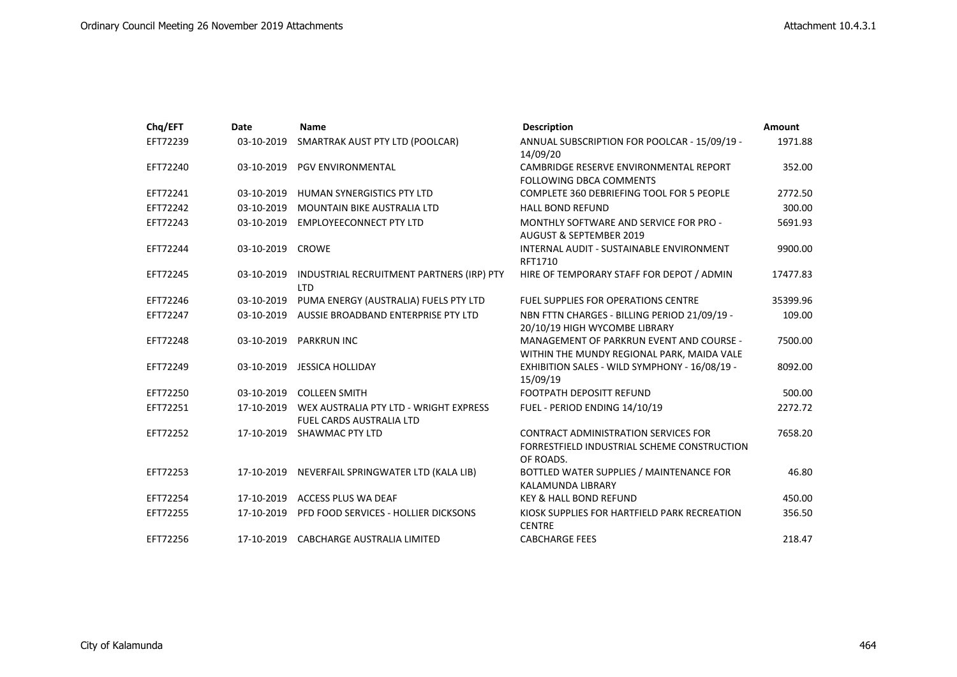| Chq/EFT  | Date       | <b>Name</b>                                                               | <b>Description</b>                                                                                      | Amount   |
|----------|------------|---------------------------------------------------------------------------|---------------------------------------------------------------------------------------------------------|----------|
| EFT72239 | 03-10-2019 | SMARTRAK AUST PTY LTD (POOLCAR)                                           | ANNUAL SUBSCRIPTION FOR POOLCAR - 15/09/19 -<br>14/09/20                                                | 1971.88  |
| EFT72240 | 03-10-2019 | <b>PGV ENVIRONMENTAL</b>                                                  | CAMBRIDGE RESERVE ENVIRONMENTAL REPORT<br><b>FOLLOWING DBCA COMMENTS</b>                                | 352.00   |
| EFT72241 | 03-10-2019 | HUMAN SYNERGISTICS PTY LTD                                                | <b>COMPLETE 360 DEBRIEFING TOOL FOR 5 PEOPLE</b>                                                        | 2772.50  |
| EFT72242 | 03-10-2019 | <b>MOUNTAIN BIKE AUSTRALIA LTD</b>                                        | <b>HALL BOND REFUND</b>                                                                                 | 300.00   |
| EFT72243 | 03-10-2019 | <b>EMPLOYEECONNECT PTY LTD</b>                                            | MONTHLY SOFTWARE AND SERVICE FOR PRO -<br><b>AUGUST &amp; SEPTEMBER 2019</b>                            | 5691.93  |
| EFT72244 | 03-10-2019 | <b>CROWE</b>                                                              | INTERNAL AUDIT - SUSTAINABLE ENVIRONMENT<br>RFT1710                                                     | 9900.00  |
| EFT72245 | 03-10-2019 | INDUSTRIAL RECRUITMENT PARTNERS (IRP) PTY<br><b>LTD</b>                   | HIRE OF TEMPORARY STAFF FOR DEPOT / ADMIN                                                               | 17477.83 |
| EFT72246 | 03-10-2019 | PUMA ENERGY (AUSTRALIA) FUELS PTY LTD                                     | <b>FUEL SUPPLIES FOR OPERATIONS CENTRE</b>                                                              | 35399.96 |
| EFT72247 | 03-10-2019 | AUSSIE BROADBAND ENTERPRISE PTY LTD                                       | NBN FTTN CHARGES - BILLING PERIOD 21/09/19 -<br>20/10/19 HIGH WYCOMBE LIBRARY                           | 109.00   |
| EFT72248 | 03-10-2019 | <b>PARKRUN INC</b>                                                        | MANAGEMENT OF PARKRUN EVENT AND COURSE -                                                                | 7500.00  |
|          |            |                                                                           | WITHIN THE MUNDY REGIONAL PARK, MAIDA VALE                                                              |          |
| EFT72249 | 03-10-2019 | JESSICA HOLLIDAY                                                          | EXHIBITION SALES - WILD SYMPHONY - 16/08/19 -<br>15/09/19                                               | 8092.00  |
| EFT72250 | 03-10-2019 | <b>COLLEEN SMITH</b>                                                      | <b>FOOTPATH DEPOSITT REFUND</b>                                                                         | 500.00   |
| EFT72251 | 17-10-2019 | WEX AUSTRALIA PTY LTD - WRIGHT EXPRESS<br><b>FUEL CARDS AUSTRALIA LTD</b> | FUEL - PERIOD ENDING 14/10/19                                                                           | 2272.72  |
| EFT72252 | 17-10-2019 | <b>SHAWMAC PTY LTD</b>                                                    | <b>CONTRACT ADMINISTRATION SERVICES FOR</b><br>FORRESTFIELD INDUSTRIAL SCHEME CONSTRUCTION<br>OF ROADS. | 7658.20  |
| EFT72253 | 17-10-2019 | NEVERFAIL SPRINGWATER LTD (KALA LIB)                                      | BOTTLED WATER SUPPLIES / MAINTENANCE FOR<br><b>KALAMUNDA LIBRARY</b>                                    | 46.80    |
| EFT72254 | 17-10-2019 | <b>ACCESS PLUS WA DEAF</b>                                                | <b>KEY &amp; HALL BOND REFUND</b>                                                                       | 450.00   |
| EFT72255 | 17-10-2019 | PFD FOOD SERVICES - HOLLIER DICKSONS                                      | KIOSK SUPPLIES FOR HARTFIELD PARK RECREATION<br><b>CENTRE</b>                                           | 356.50   |
| EFT72256 | 17-10-2019 | CABCHARGE AUSTRALIA LIMITED                                               | <b>CABCHARGE FEES</b>                                                                                   | 218.47   |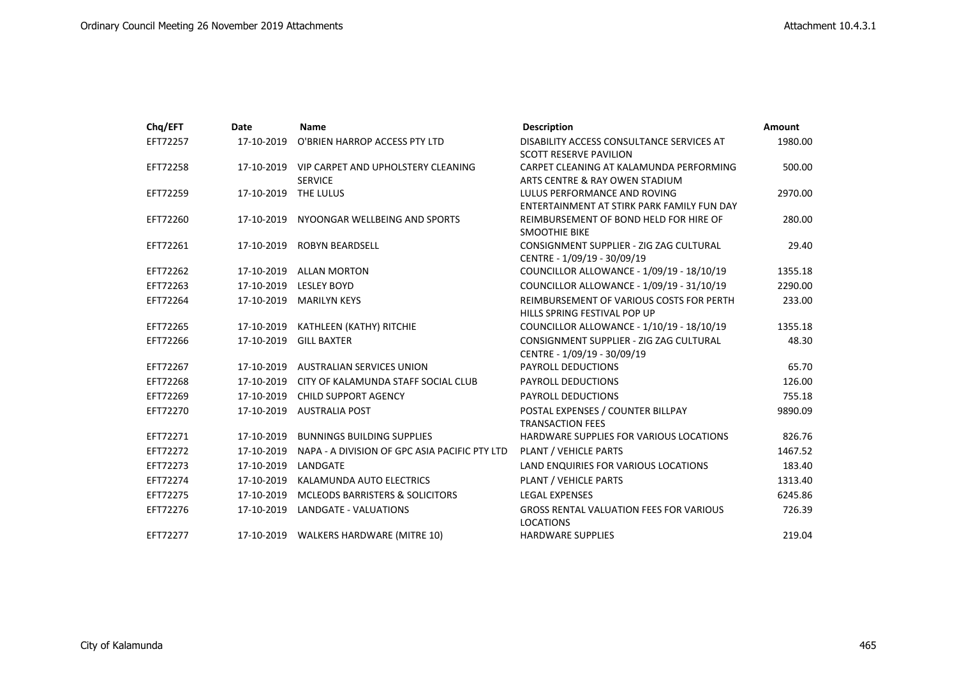| Chq/EFT  | Date       | <b>Name</b>                                                     | <b>Description</b>                                                         | Amount  |
|----------|------------|-----------------------------------------------------------------|----------------------------------------------------------------------------|---------|
| EFT72257 | 17-10-2019 | O'BRIEN HARROP ACCESS PTY LTD                                   | DISABILITY ACCESS CONSULTANCE SERVICES AT<br><b>SCOTT RESERVE PAVILION</b> | 1980.00 |
| EFT72258 |            | 17-10-2019 VIP CARPET AND UPHOLSTERY CLEANING<br><b>SERVICE</b> | CARPET CLEANING AT KALAMUNDA PERFORMING<br>ARTS CENTRE & RAY OWEN STADIUM  | 500.00  |
| EFT72259 | 17-10-2019 | THE LULUS                                                       | LULUS PERFORMANCE AND ROVING<br>ENTERTAINMENT AT STIRK PARK FAMILY FUN DAY | 2970.00 |
| EFT72260 | 17-10-2019 | NYOONGAR WELLBEING AND SPORTS                                   | REIMBURSEMENT OF BOND HELD FOR HIRE OF<br><b>SMOOTHIE BIKE</b>             | 280.00  |
| EFT72261 |            | 17-10-2019 ROBYN BEARDSELL                                      | CONSIGNMENT SUPPLIER - ZIG ZAG CULTURAL<br>CENTRE - 1/09/19 - 30/09/19     | 29.40   |
| EFT72262 | 17-10-2019 | <b>ALLAN MORTON</b>                                             | COUNCILLOR ALLOWANCE - 1/09/19 - 18/10/19                                  | 1355.18 |
| EFT72263 |            | 17-10-2019 LESLEY BOYD                                          | COUNCILLOR ALLOWANCE - 1/09/19 - 31/10/19                                  | 2290.00 |
| EFT72264 | 17-10-2019 | <b>MARILYN KEYS</b>                                             | REIMBURSEMENT OF VARIOUS COSTS FOR PERTH<br>HILLS SPRING FESTIVAL POP UP   | 233.00  |
| EFT72265 | 17-10-2019 | KATHLEEN (KATHY) RITCHIE                                        | COUNCILLOR ALLOWANCE - 1/10/19 - 18/10/19                                  | 1355.18 |
| EFT72266 | 17-10-2019 | <b>GILL BAXTER</b>                                              | CONSIGNMENT SUPPLIER - ZIG ZAG CULTURAL<br>CENTRE - 1/09/19 - 30/09/19     | 48.30   |
| EFT72267 | 17-10-2019 | AUSTRALIAN SERVICES UNION                                       | <b>PAYROLL DEDUCTIONS</b>                                                  | 65.70   |
| EFT72268 | 17-10-2019 | CITY OF KALAMUNDA STAFF SOCIAL CLUB                             | <b>PAYROLL DEDUCTIONS</b>                                                  | 126.00  |
| EFT72269 | 17-10-2019 | <b>CHILD SUPPORT AGENCY</b>                                     | <b>PAYROLL DEDUCTIONS</b>                                                  | 755.18  |
| EFT72270 | 17-10-2019 | <b>AUSTRALIA POST</b>                                           | POSTAL EXPENSES / COUNTER BILLPAY<br><b>TRANSACTION FEES</b>               | 9890.09 |
| EFT72271 | 17-10-2019 | <b>BUNNINGS BUILDING SUPPLIES</b>                               | HARDWARE SUPPLIES FOR VARIOUS LOCATIONS                                    | 826.76  |
| EFT72272 | 17-10-2019 | NAPA - A DIVISION OF GPC ASIA PACIFIC PTY LTD                   | PLANT / VEHICLE PARTS                                                      | 1467.52 |
| EFT72273 | 17-10-2019 | LANDGATE                                                        | LAND ENQUIRIES FOR VARIOUS LOCATIONS                                       | 183.40  |
| EFT72274 | 17-10-2019 | KALAMUNDA AUTO ELECTRICS                                        | PLANT / VEHICLE PARTS                                                      | 1313.40 |
| EFT72275 | 17-10-2019 | <b>MCLEODS BARRISTERS &amp; SOLICITORS</b>                      | <b>LEGAL EXPENSES</b>                                                      | 6245.86 |
| EFT72276 |            | 17-10-2019 LANDGATE - VALUATIONS                                | <b>GROSS RENTAL VALUATION FEES FOR VARIOUS</b><br><b>LOCATIONS</b>         | 726.39  |
| EFT72277 |            | 17-10-2019 WALKERS HARDWARE (MITRE 10)                          | <b>HARDWARE SUPPLIES</b>                                                   | 219.04  |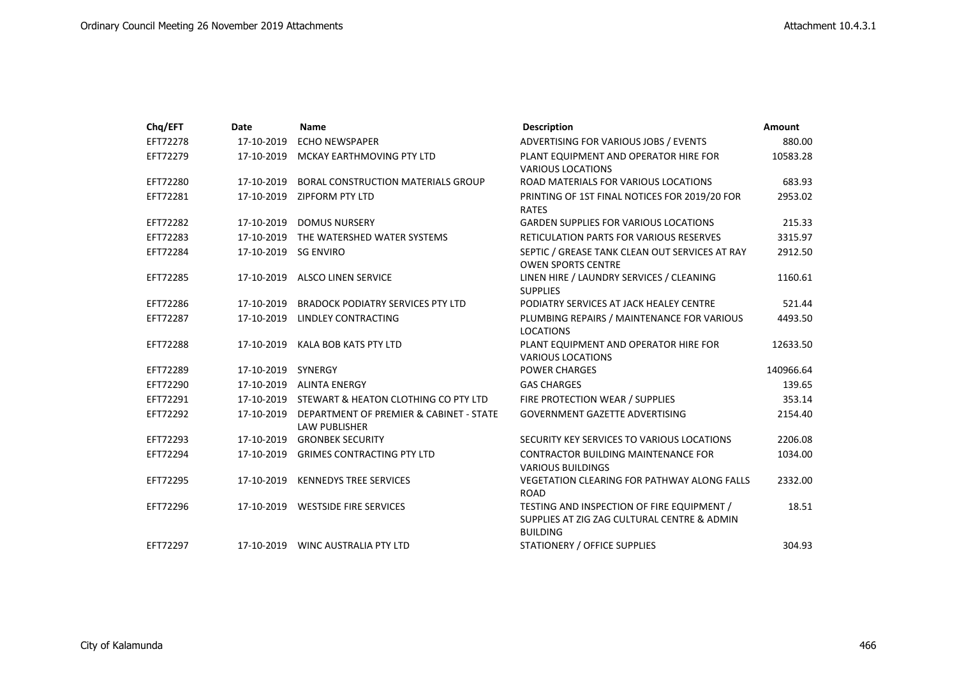| Chq/EFT  | Date                 | <b>Name</b>                                                                | <b>Description</b>                                                                                           | <b>Amount</b> |
|----------|----------------------|----------------------------------------------------------------------------|--------------------------------------------------------------------------------------------------------------|---------------|
| EFT72278 | 17-10-2019           | <b>ECHO NEWSPAPER</b>                                                      | ADVERTISING FOR VARIOUS JOBS / EVENTS                                                                        | 880.00        |
| EFT72279 | 17-10-2019           | MCKAY EARTHMOVING PTY LTD                                                  | PLANT EQUIPMENT AND OPERATOR HIRE FOR                                                                        | 10583.28      |
|          |                      |                                                                            | <b>VARIOUS LOCATIONS</b>                                                                                     |               |
| EFT72280 | 17-10-2019           | <b>BORAL CONSTRUCTION MATERIALS GROUP</b>                                  | ROAD MATERIALS FOR VARIOUS LOCATIONS                                                                         | 683.93        |
| EFT72281 |                      | 17-10-2019 ZIPFORM PTY LTD                                                 | PRINTING OF 1ST FINAL NOTICES FOR 2019/20 FOR<br><b>RATES</b>                                                | 2953.02       |
| EFT72282 |                      | 17-10-2019 DOMUS NURSERY                                                   | <b>GARDEN SUPPLIES FOR VARIOUS LOCATIONS</b>                                                                 | 215.33        |
| EFT72283 |                      | 17-10-2019 THE WATERSHED WATER SYSTEMS                                     | <b>RETICULATION PARTS FOR VARIOUS RESERVES</b>                                                               | 3315.97       |
| EFT72284 | 17-10-2019 SG ENVIRO |                                                                            | SEPTIC / GREASE TANK CLEAN OUT SERVICES AT RAY<br><b>OWEN SPORTS CENTRE</b>                                  | 2912.50       |
| EFT72285 | 17-10-2019           | <b>ALSCO LINEN SERVICE</b>                                                 | LINEN HIRE / LAUNDRY SERVICES / CLEANING<br><b>SUPPLIES</b>                                                  | 1160.61       |
| EFT72286 | 17-10-2019           | <b>BRADOCK PODIATRY SERVICES PTY LTD</b>                                   | PODIATRY SERVICES AT JACK HEALEY CENTRE                                                                      | 521.44        |
| EFT72287 | 17-10-2019           | <b>LINDLEY CONTRACTING</b>                                                 | PLUMBING REPAIRS / MAINTENANCE FOR VARIOUS                                                                   | 4493.50       |
|          |                      |                                                                            | <b>LOCATIONS</b>                                                                                             |               |
| EFT72288 | 17-10-2019           | KALA BOB KATS PTY LTD                                                      | PLANT EQUIPMENT AND OPERATOR HIRE FOR                                                                        | 12633.50      |
|          |                      |                                                                            | <b>VARIOUS LOCATIONS</b>                                                                                     |               |
| EFT72289 | 17-10-2019 SYNERGY   |                                                                            | <b>POWER CHARGES</b>                                                                                         | 140966.64     |
| EFT72290 |                      | 17-10-2019 ALINTA ENERGY                                                   | <b>GAS CHARGES</b>                                                                                           | 139.65        |
| EFT72291 |                      | 17-10-2019 STEWART & HEATON CLOTHING CO PTY LTD                            | FIRE PROTECTION WEAR / SUPPLIES                                                                              | 353.14        |
| EFT72292 |                      | 17-10-2019 DEPARTMENT OF PREMIER & CABINET - STATE<br><b>LAW PUBLISHER</b> | <b>GOVERNMENT GAZETTE ADVERTISING</b>                                                                        | 2154.40       |
| EFT72293 |                      | 17-10-2019 GRONBEK SECURITY                                                | SECURITY KEY SERVICES TO VARIOUS LOCATIONS                                                                   | 2206.08       |
| EFT72294 |                      | 17-10-2019 GRIMES CONTRACTING PTY LTD                                      | <b>CONTRACTOR BUILDING MAINTENANCE FOR</b><br><b>VARIOUS BUILDINGS</b>                                       | 1034.00       |
| EFT72295 | 17-10-2019           | <b>KENNEDYS TREE SERVICES</b>                                              | <b>VEGETATION CLEARING FOR PATHWAY ALONG FALLS</b><br><b>ROAD</b>                                            | 2332.00       |
| EFT72296 |                      | 17-10-2019 WESTSIDE FIRE SERVICES                                          | TESTING AND INSPECTION OF FIRE EQUIPMENT /<br>SUPPLIES AT ZIG ZAG CULTURAL CENTRE & ADMIN<br><b>BUILDING</b> | 18.51         |
| EFT72297 |                      | 17-10-2019 WINC AUSTRALIA PTY LTD                                          | <b>STATIONERY / OFFICE SUPPLIES</b>                                                                          | 304.93        |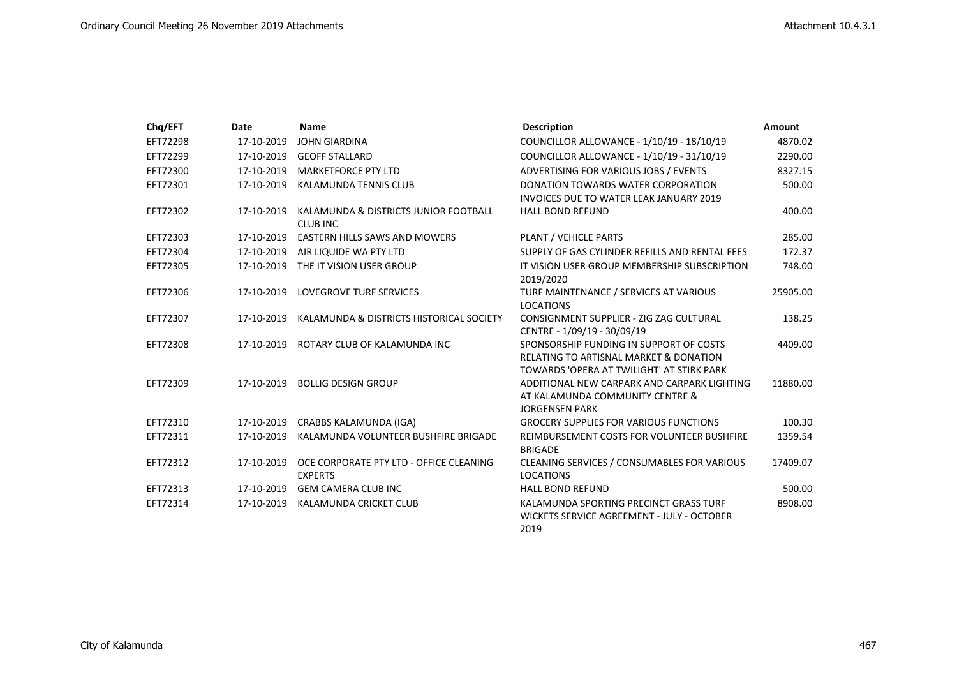| Chq/EFT  | Date       | <b>Name</b>                                               | <b>Description</b>                                                                                                                        | Amount   |
|----------|------------|-----------------------------------------------------------|-------------------------------------------------------------------------------------------------------------------------------------------|----------|
| EFT72298 | 17-10-2019 | <b>JOHN GIARDINA</b>                                      | COUNCILLOR ALLOWANCE - 1/10/19 - 18/10/19                                                                                                 | 4870.02  |
| EFT72299 | 17-10-2019 | <b>GEOFF STALLARD</b>                                     | COUNCILLOR ALLOWANCE - 1/10/19 - 31/10/19                                                                                                 | 2290.00  |
| EFT72300 | 17-10-2019 | <b>MARKETFORCE PTY LTD</b>                                | ADVERTISING FOR VARIOUS JOBS / EVENTS                                                                                                     | 8327.15  |
| EFT72301 | 17-10-2019 | KALAMUNDA TENNIS CLUB                                     | DONATION TOWARDS WATER CORPORATION<br><b>INVOICES DUE TO WATER LEAK JANUARY 2019</b>                                                      | 500.00   |
| EFT72302 | 17-10-2019 | KALAMUNDA & DISTRICTS JUNIOR FOOTBALL<br><b>CLUB INC</b>  | <b>HALL BOND REFUND</b>                                                                                                                   | 400.00   |
| EFT72303 | 17-10-2019 | EASTERN HILLS SAWS AND MOWERS                             | PLANT / VEHICLE PARTS                                                                                                                     | 285.00   |
| EFT72304 | 17-10-2019 | AIR LIQUIDE WA PTY LTD                                    | SUPPLY OF GAS CYLINDER REFILLS AND RENTAL FEES                                                                                            | 172.37   |
| EFT72305 | 17-10-2019 | THE IT VISION USER GROUP                                  | IT VISION USER GROUP MEMBERSHIP SUBSCRIPTION<br>2019/2020                                                                                 | 748.00   |
| EFT72306 | 17-10-2019 | <b>LOVEGROVE TURF SERVICES</b>                            | TURF MAINTENANCE / SERVICES AT VARIOUS<br><b>LOCATIONS</b>                                                                                | 25905.00 |
| EFT72307 | 17-10-2019 | KALAMUNDA & DISTRICTS HISTORICAL SOCIETY                  | CONSIGNMENT SUPPLIER - ZIG ZAG CULTURAL<br>CENTRE - 1/09/19 - 30/09/19                                                                    | 138.25   |
| EFT72308 | 17-10-2019 | ROTARY CLUB OF KALAMUNDA INC                              | SPONSORSHIP FUNDING IN SUPPORT OF COSTS<br><b>RELATING TO ARTISNAL MARKET &amp; DONATION</b><br>TOWARDS 'OPERA AT TWILIGHT' AT STIRK PARK | 4409.00  |
| EFT72309 | 17-10-2019 | <b>BOLLIG DESIGN GROUP</b>                                | ADDITIONAL NEW CARPARK AND CARPARK LIGHTING<br>AT KALAMUNDA COMMUNITY CENTRE &<br><b>JORGENSEN PARK</b>                                   | 11880.00 |
| EFT72310 | 17-10-2019 | CRABBS KALAMUNDA (IGA)                                    | <b>GROCERY SUPPLIES FOR VARIOUS FUNCTIONS</b>                                                                                             | 100.30   |
| EFT72311 | 17-10-2019 | KALAMUNDA VOLUNTEER BUSHFIRE BRIGADE                      | REIMBURSEMENT COSTS FOR VOLUNTEER BUSHFIRE<br><b>BRIGADE</b>                                                                              | 1359.54  |
| EFT72312 | 17-10-2019 | OCE CORPORATE PTY LTD - OFFICE CLEANING<br><b>EXPERTS</b> | CLEANING SERVICES / CONSUMABLES FOR VARIOUS<br><b>LOCATIONS</b>                                                                           | 17409.07 |
| EFT72313 | 17-10-2019 | <b>GEM CAMERA CLUB INC</b>                                | <b>HALL BOND REFUND</b>                                                                                                                   | 500.00   |
| EFT72314 | 17-10-2019 | KALAMUNDA CRICKET CLUB                                    | KALAMUNDA SPORTING PRECINCT GRASS TURF<br>WICKETS SERVICE AGREEMENT - JULY - OCTOBER<br>2019                                              | 8908.00  |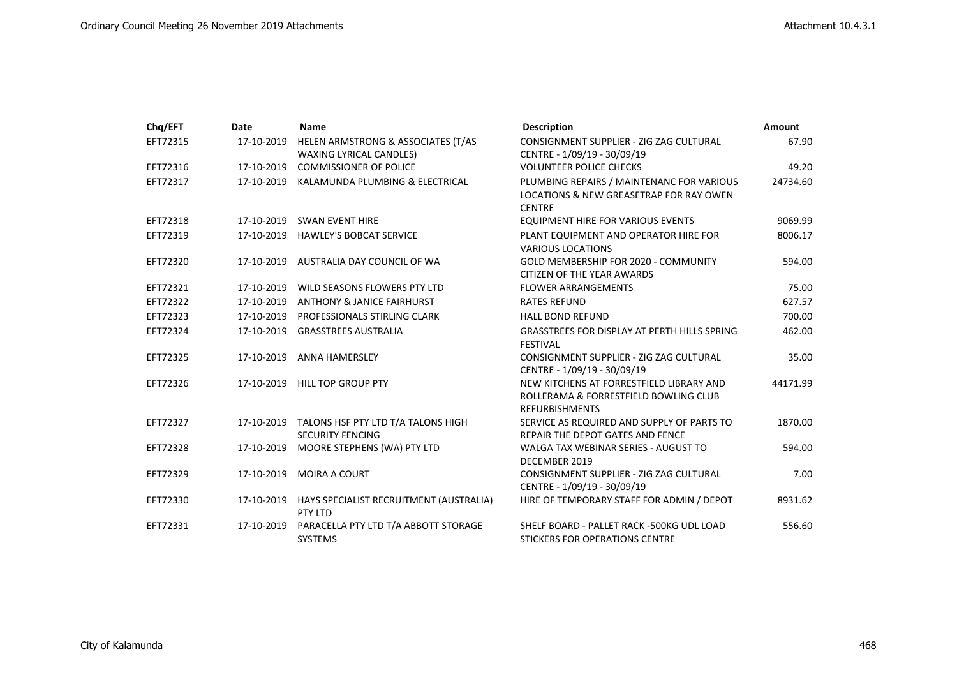| Chq/EFT  | Date       | <b>Name</b>                                        | <b>Description</b>                                                        | <b>Amount</b> |
|----------|------------|----------------------------------------------------|---------------------------------------------------------------------------|---------------|
| EFT72315 | 17-10-2019 | HELEN ARMSTRONG & ASSOCIATES (T/AS                 | CONSIGNMENT SUPPLIER - ZIG ZAG CULTURAL                                   | 67.90         |
|          |            | <b>WAXING LYRICAL CANDLES)</b>                     | CENTRE - 1/09/19 - 30/09/19                                               |               |
| EFT72316 | 17-10-2019 | <b>COMMISSIONER OF POLICE</b>                      | <b>VOLUNTEER POLICE CHECKS</b>                                            | 49.20         |
| EFT72317 |            | 17-10-2019 KALAMUNDA PLUMBING & ELECTRICAL         | PLUMBING REPAIRS / MAINTENANC FOR VARIOUS                                 | 24734.60      |
|          |            |                                                    | LOCATIONS & NEW GREASETRAP FOR RAY OWEN<br><b>CENTRE</b>                  |               |
| EFT72318 |            | 17-10-2019 SWAN EVENT HIRE                         | EQUIPMENT HIRE FOR VARIOUS EVENTS                                         | 9069.99       |
| EFT72319 |            | 17-10-2019 HAWLEY'S BOBCAT SERVICE                 | PLANT EQUIPMENT AND OPERATOR HIRE FOR                                     | 8006.17       |
|          |            |                                                    | <b>VARIOUS LOCATIONS</b>                                                  |               |
| EFT72320 | 17-10-2019 | AUSTRALIA DAY COUNCIL OF WA                        | GOLD MEMBERSHIP FOR 2020 - COMMUNITY<br><b>CITIZEN OF THE YEAR AWARDS</b> | 594.00        |
| EFT72321 | 17-10-2019 | WILD SEASONS FLOWERS PTY LTD                       | <b>FLOWER ARRANGEMENTS</b>                                                | 75.00         |
| EFT72322 | 17-10-2019 | ANTHONY & JANICE FAIRHURST                         | <b>RATES REFUND</b>                                                       | 627.57        |
| EFT72323 | 17-10-2019 | PROFESSIONALS STIRLING CLARK                       | <b>HALL BOND REFUND</b>                                                   | 700.00        |
| EFT72324 |            | 17-10-2019 GRASSTREES AUSTRALIA                    | <b>GRASSTREES FOR DISPLAY AT PERTH HILLS SPRING</b>                       | 462.00        |
|          |            |                                                    | <b>FESTIVAL</b>                                                           |               |
| EFT72325 |            | 17-10-2019 ANNA HAMERSLEY                          | CONSIGNMENT SUPPLIER - ZIG ZAG CULTURAL                                   | 35.00         |
|          |            |                                                    | CENTRE - 1/09/19 - 30/09/19                                               |               |
| EFT72326 | 17-10-2019 | <b>HILL TOP GROUP PTY</b>                          | NEW KITCHENS AT FORRESTFIELD LIBRARY AND                                  | 44171.99      |
|          |            |                                                    | ROLLERAMA & FORRESTFIELD BOWLING CLUB<br><b>REFURBISHMENTS</b>            |               |
| EFT72327 | 17-10-2019 | TALONS HSF PTY LTD T/A TALONS HIGH                 | SERVICE AS REQUIRED AND SUPPLY OF PARTS TO                                | 1870.00       |
|          |            | <b>SECURITY FENCING</b>                            | <b>REPAIR THE DEPOT GATES AND FENCE</b>                                   |               |
| EFT72328 | 17-10-2019 | MOORE STEPHENS (WA) PTY LTD                        | WALGA TAX WEBINAR SERIES - AUGUST TO                                      | 594.00        |
|          |            |                                                    | DECEMBER 2019                                                             |               |
| EFT72329 | 17-10-2019 | <b>MOIRA A COURT</b>                               | CONSIGNMENT SUPPLIER - ZIG ZAG CULTURAL                                   | 7.00          |
|          |            |                                                    | CENTRE - 1/09/19 - 30/09/19                                               |               |
| EFT72330 | 17-10-2019 | HAYS SPECIALIST RECRUITMENT (AUSTRALIA)<br>PTY LTD | HIRE OF TEMPORARY STAFF FOR ADMIN / DEPOT                                 | 8931.62       |
| EFT72331 | 17-10-2019 | PARACELLA PTY LTD T/A ABBOTT STORAGE               | SHELF BOARD - PALLET RACK -500KG UDL LOAD                                 | 556.60        |
|          |            | <b>SYSTEMS</b>                                     | STICKERS FOR OPERATIONS CENTRE                                            |               |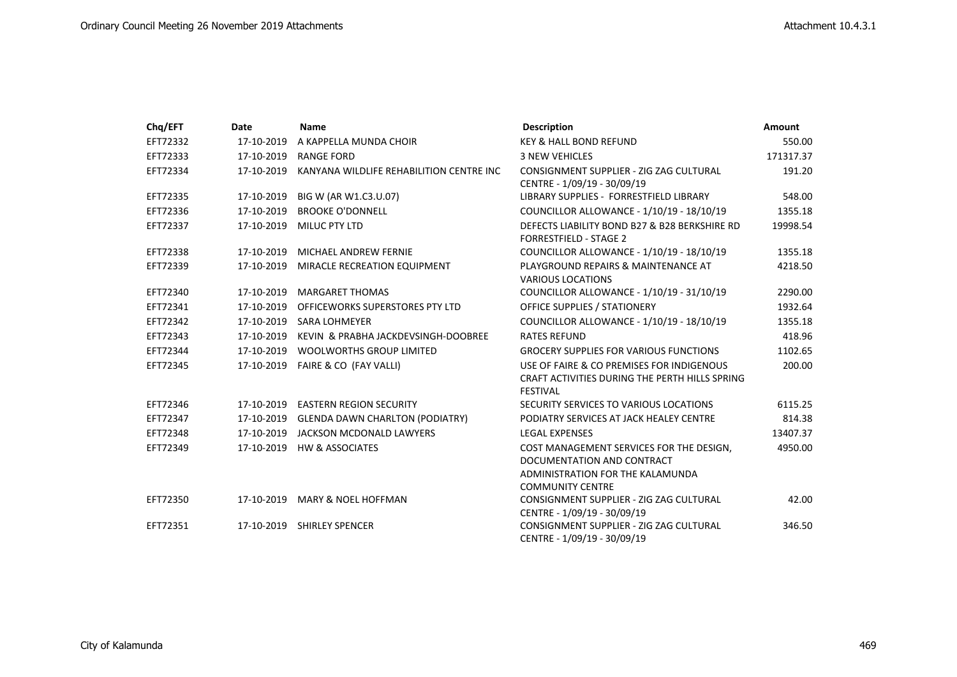| Chq/EFT  | Date       | <b>Name</b>                              | <b>Description</b>                             | <b>Amount</b> |
|----------|------------|------------------------------------------|------------------------------------------------|---------------|
| EFT72332 | 17-10-2019 | A KAPPELLA MUNDA CHOIR                   | KEY & HALL BOND REFUND                         | 550.00        |
| EFT72333 | 17-10-2019 | RANGE FORD                               | <b>3 NEW VEHICLES</b>                          | 171317.37     |
| EFT72334 | 17-10-2019 | KANYANA WILDLIFE REHABILITION CENTRE INC | CONSIGNMENT SUPPLIER - ZIG ZAG CULTURAL        | 191.20        |
|          |            |                                          | CENTRE - 1/09/19 - 30/09/19                    |               |
| EFT72335 | 17-10-2019 | BIG W (AR W1.C3.U.07)                    | LIBRARY SUPPLIES - FORRESTFIELD LIBRARY        | 548.00        |
| EFT72336 | 17-10-2019 | <b>BROOKE O'DONNELL</b>                  | COUNCILLOR ALLOWANCE - 1/10/19 - 18/10/19      | 1355.18       |
| EFT72337 | 17-10-2019 | MILUC PTY LTD                            | DEFECTS LIABILITY BOND B27 & B28 BERKSHIRE RD  | 19998.54      |
|          |            |                                          | <b>FORRESTFIELD - STAGE 2</b>                  |               |
| EFT72338 | 17-10-2019 | MICHAEL ANDREW FERNIE                    | COUNCILLOR ALLOWANCE - 1/10/19 - 18/10/19      | 1355.18       |
| EFT72339 | 17-10-2019 | MIRACLE RECREATION EQUIPMENT             | PLAYGROUND REPAIRS & MAINTENANCE AT            | 4218.50       |
|          |            |                                          | <b>VARIOUS LOCATIONS</b>                       |               |
| EFT72340 | 17-10-2019 | <b>MARGARET THOMAS</b>                   | COUNCILLOR ALLOWANCE - 1/10/19 - 31/10/19      | 2290.00       |
| EFT72341 | 17-10-2019 | OFFICEWORKS SUPERSTORES PTY LTD          | <b>OFFICE SUPPLIES / STATIONERY</b>            | 1932.64       |
| EFT72342 | 17-10-2019 | <b>SARA LOHMEYER</b>                     | COUNCILLOR ALLOWANCE - 1/10/19 - 18/10/19      | 1355.18       |
| EFT72343 | 17-10-2019 | KEVIN & PRABHA JACKDEVSINGH-DOOBREE      | <b>RATES REFUND</b>                            | 418.96        |
| EFT72344 | 17-10-2019 | <b>WOOLWORTHS GROUP LIMITED</b>          | <b>GROCERY SUPPLIES FOR VARIOUS FUNCTIONS</b>  | 1102.65       |
| EFT72345 |            | 17-10-2019  FAIRE & CO (FAY VALLI)       | USE OF FAIRE & CO PREMISES FOR INDIGENOUS      | 200.00        |
|          |            |                                          | CRAFT ACTIVITIES DURING THE PERTH HILLS SPRING |               |
|          |            |                                          | <b>FESTIVAL</b>                                |               |
| EFT72346 | 17-10-2019 | <b>EASTERN REGION SECURITY</b>           | SECURITY SERVICES TO VARIOUS LOCATIONS         | 6115.25       |
| EFT72347 | 17-10-2019 | <b>GLENDA DAWN CHARLTON (PODIATRY)</b>   | PODIATRY SERVICES AT JACK HEALEY CENTRE        | 814.38        |
| EFT72348 |            | 17-10-2019 JACKSON MCDONALD LAWYERS      | <b>LEGAL EXPENSES</b>                          | 13407.37      |
| EFT72349 |            | 17-10-2019 HW & ASSOCIATES               | COST MANAGEMENT SERVICES FOR THE DESIGN,       | 4950.00       |
|          |            |                                          | DOCUMENTATION AND CONTRACT                     |               |
|          |            |                                          | ADMINISTRATION FOR THE KALAMUNDA               |               |
|          |            |                                          | <b>COMMUNITY CENTRE</b>                        |               |
| EFT72350 |            | 17-10-2019 MARY & NOEL HOFFMAN           | CONSIGNMENT SUPPLIER - ZIG ZAG CULTURAL        | 42.00         |
|          |            |                                          | CENTRE - 1/09/19 - 30/09/19                    |               |
| EFT72351 |            | 17-10-2019 SHIRLEY SPENCER               | CONSIGNMENT SUPPLIER - ZIG ZAG CULTURAL        | 346.50        |
|          |            |                                          | CENTRE - 1/09/19 - 30/09/19                    |               |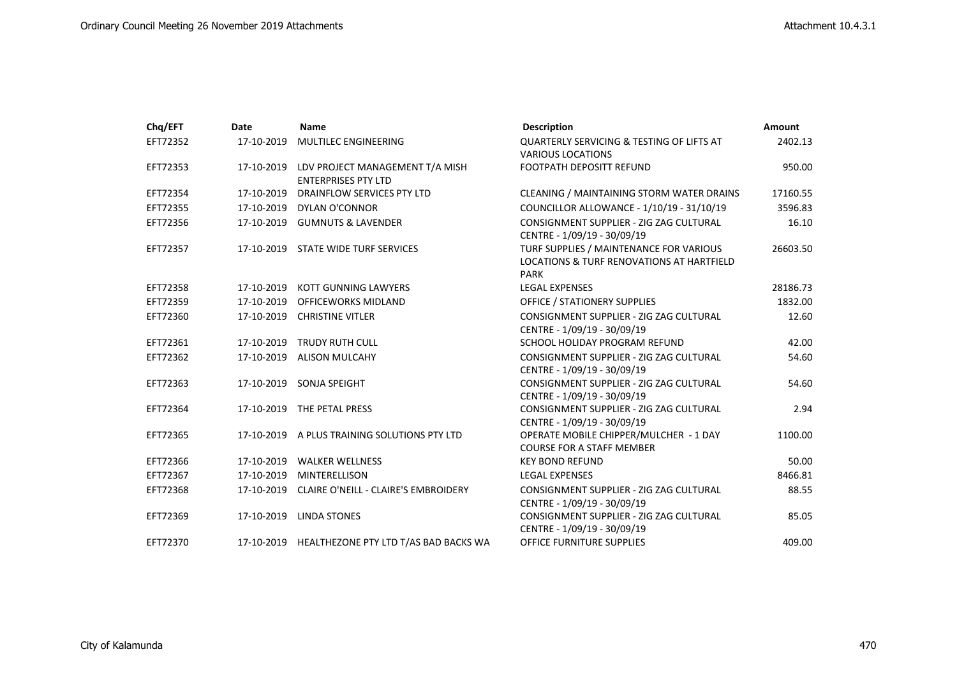| Chq/EFT  | Date       | <b>Name</b>                                                   | <b>Description</b>                                                                                  | Amount   |
|----------|------------|---------------------------------------------------------------|-----------------------------------------------------------------------------------------------------|----------|
| EFT72352 | 17-10-2019 | MULTILEC ENGINEERING                                          | <b>QUARTERLY SERVICING &amp; TESTING OF LIFTS AT</b>                                                | 2402.13  |
|          |            |                                                               | <b>VARIOUS LOCATIONS</b>                                                                            |          |
| EFT72353 | 17-10-2019 | LDV PROJECT MANAGEMENT T/A MISH<br><b>ENTERPRISES PTY LTD</b> | FOOTPATH DEPOSITT REFUND                                                                            | 950.00   |
| EFT72354 |            | 17-10-2019 DRAINFLOW SERVICES PTY LTD                         | CLEANING / MAINTAINING STORM WATER DRAINS                                                           | 17160.55 |
| EFT72355 |            | 17-10-2019 DYLAN O'CONNOR                                     | COUNCILLOR ALLOWANCE - 1/10/19 - 31/10/19                                                           | 3596.83  |
| EFT72356 | 17-10-2019 | <b>GUMNUTS &amp; LAVENDER</b>                                 | CONSIGNMENT SUPPLIER - ZIG ZAG CULTURAL<br>CENTRE - 1/09/19 - 30/09/19                              | 16.10    |
| EFT72357 | 17-10-2019 | STATE WIDE TURF SERVICES                                      | TURF SUPPLIES / MAINTENANCE FOR VARIOUS<br>LOCATIONS & TURF RENOVATIONS AT HARTFIELD<br><b>PARK</b> | 26603.50 |
| EFT72358 | 17-10-2019 | KOTT GUNNING LAWYERS                                          | <b>LEGAL EXPENSES</b>                                                                               | 28186.73 |
| EFT72359 | 17-10-2019 | <b>OFFICEWORKS MIDLAND</b>                                    | OFFICE / STATIONERY SUPPLIES                                                                        | 1832.00  |
| EFT72360 | 17-10-2019 | <b>CHRISTINE VITLER</b>                                       | CONSIGNMENT SUPPLIER - ZIG ZAG CULTURAL<br>CENTRE - 1/09/19 - 30/09/19                              | 12.60    |
| EFT72361 | 17-10-2019 | <b>TRUDY RUTH CULL</b>                                        | SCHOOL HOLIDAY PROGRAM REFUND                                                                       | 42.00    |
| EFT72362 | 17-10-2019 | <b>ALISON MULCAHY</b>                                         | CONSIGNMENT SUPPLIER - ZIG ZAG CULTURAL<br>CENTRE - 1/09/19 - 30/09/19                              | 54.60    |
| EFT72363 | 17-10-2019 | SONJA SPEIGHT                                                 | CONSIGNMENT SUPPLIER - ZIG ZAG CULTURAL<br>CENTRE - 1/09/19 - 30/09/19                              | 54.60    |
| EFT72364 | 17-10-2019 | THE PETAL PRESS                                               | CONSIGNMENT SUPPLIER - ZIG ZAG CULTURAL<br>CENTRE - 1/09/19 - 30/09/19                              | 2.94     |
| EFT72365 |            | 17-10-2019 A PLUS TRAINING SOLUTIONS PTY LTD                  | OPERATE MOBILE CHIPPER/MULCHER - 1 DAY<br><b>COURSE FOR A STAFF MEMBER</b>                          | 1100.00  |
| EFT72366 | 17-10-2019 | <b>WALKER WELLNESS</b>                                        | <b>KEY BOND REFUND</b>                                                                              | 50.00    |
| EFT72367 | 17-10-2019 | MINTERELLISON                                                 | <b>LEGAL EXPENSES</b>                                                                               | 8466.81  |
| EFT72368 | 17-10-2019 | <b>CLAIRE O'NEILL - CLAIRE'S EMBROIDERY</b>                   | CONSIGNMENT SUPPLIER - ZIG ZAG CULTURAL<br>CENTRE - 1/09/19 - 30/09/19                              | 88.55    |
| EFT72369 | 17-10-2019 | <b>LINDA STONES</b>                                           | CONSIGNMENT SUPPLIER - ZIG ZAG CULTURAL<br>CENTRE - 1/09/19 - 30/09/19                              | 85.05    |
| EFT72370 |            | 17-10-2019 HEALTHEZONE PTY LTD T/AS BAD BACKS WA              | <b>OFFICE FURNITURE SUPPLIES</b>                                                                    | 409.00   |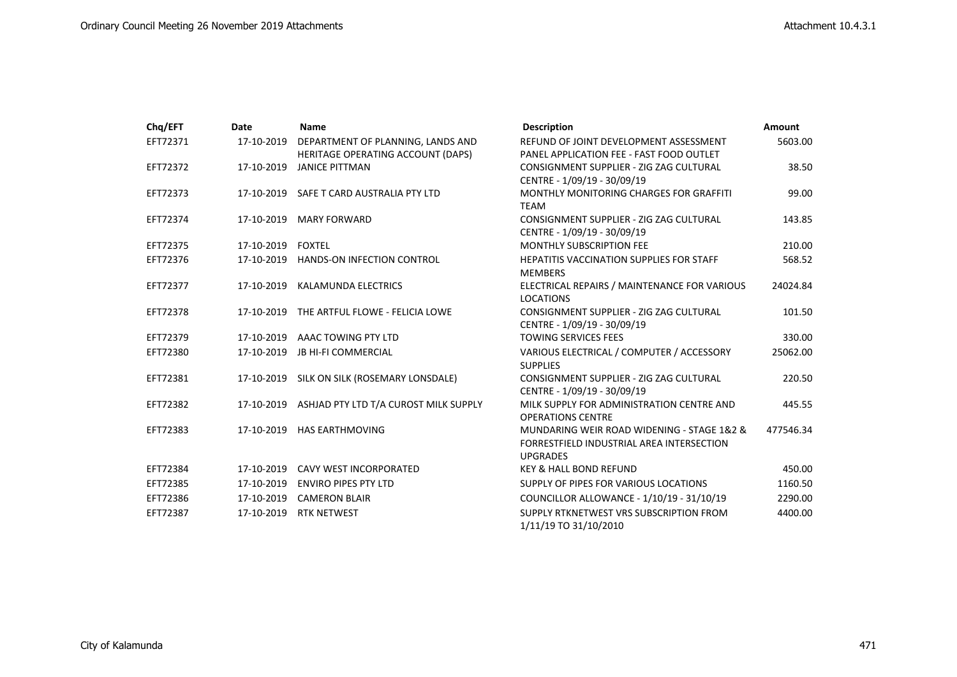| Chq/EFT  | Date       | <b>Name</b>                           | <b>Description</b>                                                                                         | <b>Amount</b> |
|----------|------------|---------------------------------------|------------------------------------------------------------------------------------------------------------|---------------|
| EFT72371 | 17-10-2019 | DEPARTMENT OF PLANNING, LANDS AND     | REFUND OF JOINT DEVELOPMENT ASSESSMENT                                                                     | 5603.00       |
|          |            | HERITAGE OPERATING ACCOUNT (DAPS)     | PANEL APPLICATION FEE - FAST FOOD OUTLET                                                                   |               |
| EFT72372 | 17-10-2019 | <b>JANICE PITTMAN</b>                 | CONSIGNMENT SUPPLIER - ZIG ZAG CULTURAL                                                                    | 38.50         |
|          |            |                                       | CENTRE - 1/09/19 - 30/09/19                                                                                |               |
| EFT72373 | 17-10-2019 | SAFE T CARD AUSTRALIA PTY LTD         | MONTHLY MONITORING CHARGES FOR GRAFFITI<br><b>TEAM</b>                                                     | 99.00         |
| EFT72374 | 17-10-2019 | <b>MARY FORWARD</b>                   | CONSIGNMENT SUPPLIER - ZIG ZAG CULTURAL<br>CENTRE - 1/09/19 - 30/09/19                                     | 143.85        |
| EFT72375 | 17-10-2019 | <b>FOXTEL</b>                         | <b>MONTHLY SUBSCRIPTION FEE</b>                                                                            | 210.00        |
| EFT72376 |            | 17-10-2019 HANDS-ON INFECTION CONTROL | <b>HEPATITIS VACCINATION SUPPLIES FOR STAFF</b><br><b>MEMBERS</b>                                          | 568.52        |
| EFT72377 | 17-10-2019 | KALAMUNDA ELECTRICS                   | ELECTRICAL REPAIRS / MAINTENANCE FOR VARIOUS<br><b>LOCATIONS</b>                                           | 24024.84      |
| EFT72378 | 17-10-2019 | THE ARTFUL FLOWE - FELICIA LOWE       | CONSIGNMENT SUPPLIER - ZIG ZAG CULTURAL<br>CENTRE - 1/09/19 - 30/09/19                                     | 101.50        |
| EFT72379 |            | 17-10-2019 AAAC TOWING PTY LTD        | <b>TOWING SERVICES FEES</b>                                                                                | 330.00        |
| EFT72380 | 17-10-2019 | <b>JB HI-FI COMMERCIAL</b>            | VARIOUS ELECTRICAL / COMPUTER / ACCESSORY<br><b>SUPPLIES</b>                                               | 25062.00      |
| EFT72381 | 17-10-2019 | SILK ON SILK (ROSEMARY LONSDALE)      | CONSIGNMENT SUPPLIER - ZIG ZAG CULTURAL<br>CENTRE - 1/09/19 - 30/09/19                                     | 220.50        |
| EFT72382 | 17-10-2019 | ASHJAD PTY LTD T/A CUROST MILK SUPPLY | MILK SUPPLY FOR ADMINISTRATION CENTRE AND<br><b>OPERATIONS CENTRE</b>                                      | 445.55        |
| EFT72383 | 17-10-2019 | <b>HAS EARTHMOVING</b>                | MUNDARING WEIR ROAD WIDENING - STAGE 1&2 &<br>FORRESTFIELD INDUSTRIAL AREA INTERSECTION<br><b>UPGRADES</b> | 477546.34     |
| EFT72384 | 17-10-2019 | <b>CAVY WEST INCORPORATED</b>         | <b>KEY &amp; HALL BOND REFUND</b>                                                                          | 450.00        |
| EFT72385 | 17-10-2019 | <b>ENVIRO PIPES PTY LTD</b>           | SUPPLY OF PIPES FOR VARIOUS LOCATIONS                                                                      | 1160.50       |
| EFT72386 |            | 17-10-2019 CAMERON BLAIR              | COUNCILLOR ALLOWANCE - 1/10/19 - 31/10/19                                                                  | 2290.00       |
| EFT72387 | 17-10-2019 | <b>RTK NETWEST</b>                    | SUPPLY RTKNETWEST VRS SUBSCRIPTION FROM<br>1/11/19 TO 31/10/2010                                           | 4400.00       |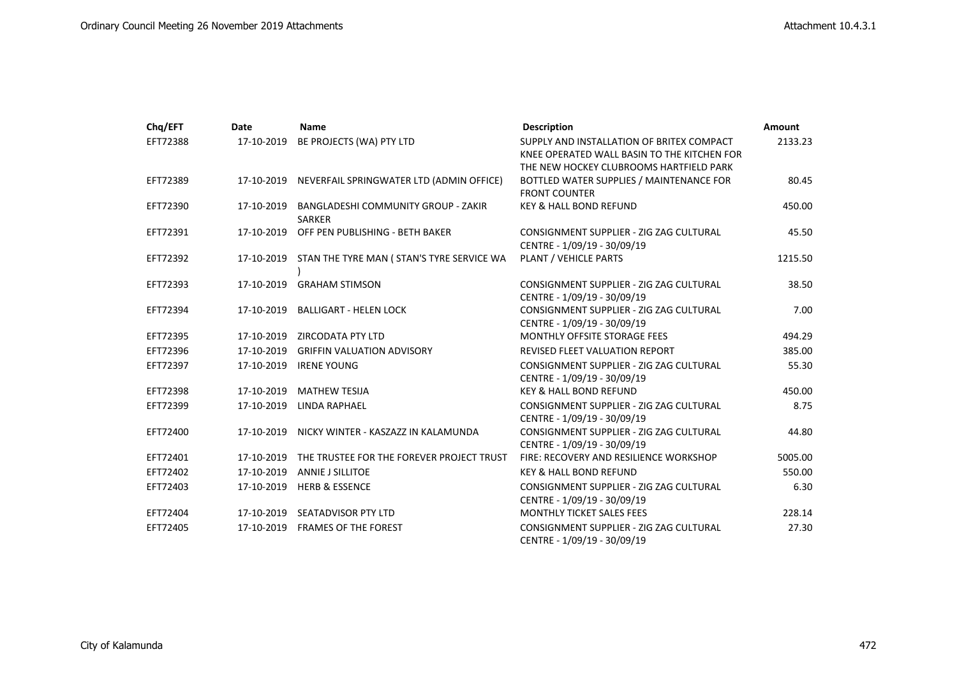| Chq/EFT  | Date       | <b>Name</b>                                                 | <b>Description</b>                                                                       | Amount  |
|----------|------------|-------------------------------------------------------------|------------------------------------------------------------------------------------------|---------|
| EFT72388 | 17-10-2019 | BE PROJECTS (WA) PTY LTD                                    | SUPPLY AND INSTALLATION OF BRITEX COMPACT<br>KNEE OPERATED WALL BASIN TO THE KITCHEN FOR | 2133.23 |
|          |            |                                                             | THE NEW HOCKEY CLUBROOMS HARTFIELD PARK                                                  |         |
| EFT72389 | 17-10-2019 | NEVERFAIL SPRINGWATER LTD (ADMIN OFFICE)                    | BOTTLED WATER SUPPLIES / MAINTENANCE FOR                                                 | 80.45   |
|          |            |                                                             | <b>FRONT COUNTER</b>                                                                     |         |
| EFT72390 | 17-10-2019 | <b>BANGLADESHI COMMUNITY GROUP - ZAKIR</b><br><b>SARKER</b> | <b>KEY &amp; HALL BOND REFUND</b>                                                        | 450.00  |
| EFT72391 |            | 17-10-2019 OFF PEN PUBLISHING - BETH BAKER                  | CONSIGNMENT SUPPLIER - ZIG ZAG CULTURAL                                                  | 45.50   |
|          |            |                                                             | CENTRE - 1/09/19 - 30/09/19                                                              |         |
| EFT72392 |            | 17-10-2019 STAN THE TYRE MAN (STAN'S TYRE SERVICE WA        | PLANT / VEHICLE PARTS                                                                    | 1215.50 |
| EFT72393 | 17-10-2019 | <b>GRAHAM STIMSON</b>                                       | CONSIGNMENT SUPPLIER - ZIG ZAG CULTURAL                                                  | 38.50   |
|          |            |                                                             | CENTRE - 1/09/19 - 30/09/19                                                              |         |
| EFT72394 | 17-10-2019 | <b>BALLIGART - HELEN LOCK</b>                               | CONSIGNMENT SUPPLIER - ZIG ZAG CULTURAL                                                  | 7.00    |
|          |            |                                                             | CENTRE - 1/09/19 - 30/09/19                                                              |         |
| EFT72395 | 17-10-2019 | ZIRCODATA PTY LTD                                           | MONTHLY OFFSITE STORAGE FEES                                                             | 494.29  |
| EFT72396 | 17-10-2019 | <b>GRIFFIN VALUATION ADVISORY</b>                           | <b>REVISED FLEET VALUATION REPORT</b>                                                    | 385.00  |
| EFT72397 |            |                                                             | CONSIGNMENT SUPPLIER - ZIG ZAG CULTURAL<br>CENTRE - 1/09/19 - 30/09/19                   | 55.30   |
| EFT72398 | 17-10-2019 | <b>MATHEW TESIJA</b>                                        | <b>KEY &amp; HALL BOND REFUND</b>                                                        | 450.00  |
| EFT72399 | 17-10-2019 | LINDA RAPHAEL                                               | CONSIGNMENT SUPPLIER - ZIG ZAG CULTURAL                                                  | 8.75    |
|          |            |                                                             | CENTRE - 1/09/19 - 30/09/19                                                              |         |
| EFT72400 | 17-10-2019 | NICKY WINTER - KASZAZZ IN KALAMUNDA                         | CONSIGNMENT SUPPLIER - ZIG ZAG CULTURAL<br>CENTRE - 1/09/19 - 30/09/19                   | 44.80   |
| EFT72401 | 17-10-2019 | THE TRUSTEE FOR THE FOREVER PROJECT TRUST                   | FIRE: RECOVERY AND RESILIENCE WORKSHOP                                                   | 5005.00 |
| EFT72402 | 17-10-2019 | <b>ANNIE J SILLITOE</b>                                     | <b>KEY &amp; HALL BOND REFUND</b>                                                        | 550.00  |
| EFT72403 | 17-10-2019 | <b>HERB &amp; ESSENCE</b>                                   | CONSIGNMENT SUPPLIER - ZIG ZAG CULTURAL                                                  | 6.30    |
|          |            |                                                             | CENTRE - 1/09/19 - 30/09/19                                                              |         |
| EFT72404 | 17-10-2019 | SEATADVISOR PTY LTD                                         | MONTHLY TICKET SALES FEES                                                                | 228.14  |
| EFT72405 | 17-10-2019 | <b>FRAMES OF THE FOREST</b>                                 | CONSIGNMENT SUPPLIER - ZIG ZAG CULTURAL<br>CENTRE - 1/09/19 - 30/09/19                   | 27.30   |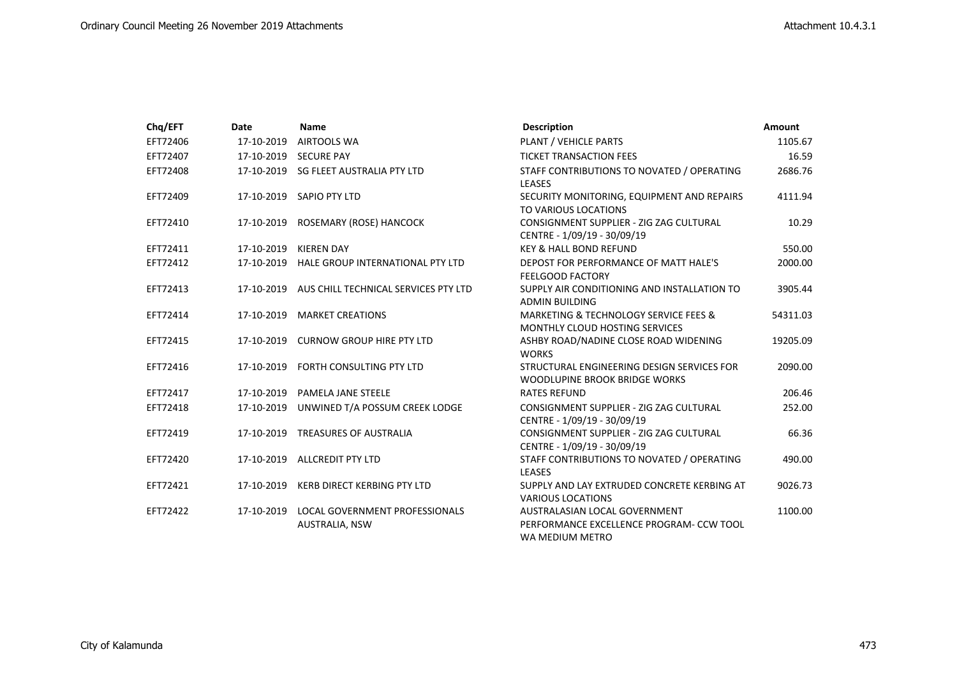| Chq/EFT  | Date       | <b>Name</b>                                                    | <b>Description</b>                                                                           | <b>Amount</b> |
|----------|------------|----------------------------------------------------------------|----------------------------------------------------------------------------------------------|---------------|
| EFT72406 | 17-10-2019 | <b>AIRTOOLS WA</b>                                             | PLANT / VEHICLE PARTS                                                                        | 1105.67       |
| EFT72407 | 17-10-2019 | <b>SECURE PAY</b>                                              | <b>TICKET TRANSACTION FEES</b>                                                               | 16.59         |
| EFT72408 |            | 17-10-2019 SG FLEET AUSTRALIA PTY LTD                          | STAFF CONTRIBUTIONS TO NOVATED / OPERATING<br><b>LEASES</b>                                  | 2686.76       |
| EFT72409 | 17-10-2019 | SAPIO PTY LTD                                                  | SECURITY MONITORING, EQUIPMENT AND REPAIRS<br>TO VARIOUS LOCATIONS                           | 4111.94       |
| EFT72410 | 17-10-2019 | ROSEMARY (ROSE) HANCOCK                                        | CONSIGNMENT SUPPLIER - ZIG ZAG CULTURAL<br>CENTRE - 1/09/19 - 30/09/19                       | 10.29         |
| EFT72411 | 17-10-2019 | <b>KIEREN DAY</b>                                              | <b>KEY &amp; HALL BOND REFUND</b>                                                            | 550.00        |
| EFT72412 | 17-10-2019 | HALE GROUP INTERNATIONAL PTY LTD                               | DEPOST FOR PERFORMANCE OF MATT HALE'S<br><b>FEELGOOD FACTORY</b>                             | 2000.00       |
| EFT72413 | 17-10-2019 | AUS CHILL TECHNICAL SERVICES PTY LTD                           | SUPPLY AIR CONDITIONING AND INSTALLATION TO<br><b>ADMIN BUILDING</b>                         | 3905.44       |
| EFT72414 | 17-10-2019 | <b>MARKET CREATIONS</b>                                        | MARKETING & TECHNOLOGY SERVICE FEES &<br><b>MONTHLY CLOUD HOSTING SERVICES</b>               | 54311.03      |
| EFT72415 | 17-10-2019 | <b>CURNOW GROUP HIRE PTY LTD</b>                               | ASHBY ROAD/NADINE CLOSE ROAD WIDENING<br><b>WORKS</b>                                        | 19205.09      |
| EFT72416 | 17-10-2019 | FORTH CONSULTING PTY LTD                                       | STRUCTURAL ENGINEERING DESIGN SERVICES FOR<br>WOODLUPINE BROOK BRIDGE WORKS                  | 2090.00       |
| EFT72417 | 17-10-2019 | PAMELA JANE STEELE                                             | <b>RATES REFUND</b>                                                                          | 206.46        |
| EFT72418 | 17-10-2019 | UNWINED T/A POSSUM CREEK LODGE                                 | CONSIGNMENT SUPPLIER - ZIG ZAG CULTURAL<br>CENTRE - 1/09/19 - 30/09/19                       | 252.00        |
| EFT72419 | 17-10-2019 | <b>TREASURES OF AUSTRALIA</b>                                  | CONSIGNMENT SUPPLIER - ZIG ZAG CULTURAL<br>CENTRE - 1/09/19 - 30/09/19                       | 66.36         |
| EFT72420 | 17-10-2019 | <b>ALLCREDIT PTY LTD</b>                                       | STAFF CONTRIBUTIONS TO NOVATED / OPERATING<br><b>LEASES</b>                                  | 490.00        |
| EFT72421 | 17-10-2019 | <b>KERB DIRECT KERBING PTY LTD</b>                             | SUPPLY AND LAY EXTRUDED CONCRETE KERBING AT<br><b>VARIOUS LOCATIONS</b>                      | 9026.73       |
| EFT72422 | 17-10-2019 | <b>LOCAL GOVERNMENT PROFESSIONALS</b><br><b>AUSTRALIA, NSW</b> | AUSTRALASIAN LOCAL GOVERNMENT<br>PERFORMANCE EXCELLENCE PROGRAM- CCW TOOL<br>WA MEDIUM METRO | 1100.00       |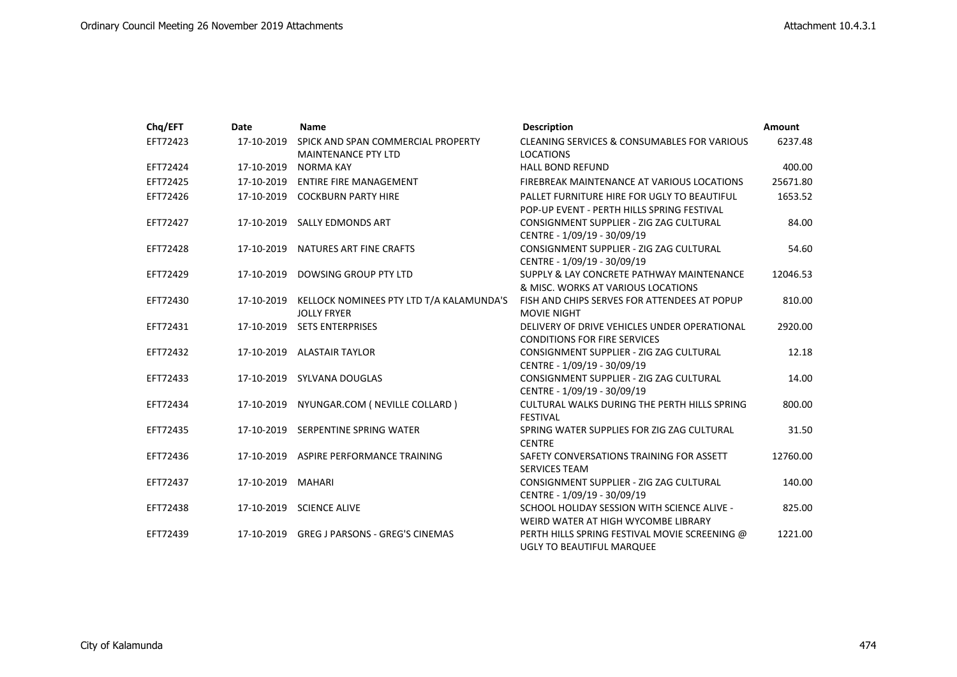| Chq/EFT  | Date       | <b>Name</b>                                                               | <b>Description</b>                                                                        | <b>Amount</b> |
|----------|------------|---------------------------------------------------------------------------|-------------------------------------------------------------------------------------------|---------------|
| EFT72423 | 17-10-2019 | SPICK AND SPAN COMMERCIAL PROPERTY<br><b>MAINTENANCE PTY LTD</b>          | <b>CLEANING SERVICES &amp; CONSUMABLES FOR VARIOUS</b><br><b>LOCATIONS</b>                | 6237.48       |
| EFT72424 | 17-10-2019 | NORMA KAY                                                                 | <b>HALL BOND REFUND</b>                                                                   | 400.00        |
| EFT72425 | 17-10-2019 | <b>ENTIRE FIRE MANAGEMENT</b>                                             | FIREBREAK MAINTENANCE AT VARIOUS LOCATIONS                                                | 25671.80      |
| EFT72426 |            | 17-10-2019 COCKBURN PARTY HIRE                                            | PALLET FURNITURE HIRE FOR UGLY TO BEAUTIFUL<br>POP-UP EVENT - PERTH HILLS SPRING FESTIVAL | 1653.52       |
| EFT72427 |            | 17-10-2019 SALLY EDMONDS ART                                              | CONSIGNMENT SUPPLIER - ZIG ZAG CULTURAL<br>CENTRE - 1/09/19 - 30/09/19                    | 84.00         |
| EFT72428 |            | 17-10-2019 NATURES ART FINE CRAFTS                                        | CONSIGNMENT SUPPLIER - ZIG ZAG CULTURAL<br>CENTRE - 1/09/19 - 30/09/19                    | 54.60         |
| EFT72429 | 17-10-2019 | DOWSING GROUP PTY LTD                                                     | SUPPLY & LAY CONCRETE PATHWAY MAINTENANCE<br>& MISC. WORKS AT VARIOUS LOCATIONS           | 12046.53      |
| EFT72430 |            | 17-10-2019 KELLOCK NOMINEES PTY LTD T/A KALAMUNDA'S<br><b>JOLLY FRYER</b> | FISH AND CHIPS SERVES FOR ATTENDEES AT POPUP<br><b>MOVIE NIGHT</b>                        | 810.00        |
| EFT72431 |            | 17-10-2019 SETS ENTERPRISES                                               | DELIVERY OF DRIVE VEHICLES UNDER OPERATIONAL<br><b>CONDITIONS FOR FIRE SERVICES</b>       | 2920.00       |
| EFT72432 |            | 17-10-2019 ALASTAIR TAYLOR                                                | CONSIGNMENT SUPPLIER - ZIG ZAG CULTURAL<br>CENTRE - 1/09/19 - 30/09/19                    | 12.18         |
| EFT72433 |            | 17-10-2019 SYLVANA DOUGLAS                                                | CONSIGNMENT SUPPLIER - ZIG ZAG CULTURAL<br>CENTRE - 1/09/19 - 30/09/19                    | 14.00         |
| EFT72434 | 17-10-2019 | NYUNGAR.COM ( NEVILLE COLLARD )                                           | CULTURAL WALKS DURING THE PERTH HILLS SPRING<br><b>FESTIVAL</b>                           | 800.00        |
| EFT72435 | 17-10-2019 | SERPENTINE SPRING WATER                                                   | SPRING WATER SUPPLIES FOR ZIG ZAG CULTURAL<br><b>CENTRE</b>                               | 31.50         |
| EFT72436 | 17-10-2019 | ASPIRE PERFORMANCE TRAINING                                               | SAFETY CONVERSATIONS TRAINING FOR ASSETT<br><b>SERVICES TEAM</b>                          | 12760.00      |
| EFT72437 | 17-10-2019 | <b>MAHARI</b>                                                             | CONSIGNMENT SUPPLIER - ZIG ZAG CULTURAL<br>CENTRE - 1/09/19 - 30/09/19                    | 140.00        |
| EFT72438 |            | 17-10-2019 SCIENCE ALIVE                                                  | SCHOOL HOLIDAY SESSION WITH SCIENCE ALIVE -<br>WEIRD WATER AT HIGH WYCOMBE LIBRARY        | 825.00        |
| EFT72439 | 17-10-2019 | <b>GREG J PARSONS - GREG'S CINEMAS</b>                                    | PERTH HILLS SPRING FESTIVAL MOVIE SCREENING @<br>UGLY TO BEAUTIFUL MARQUEE                | 1221.00       |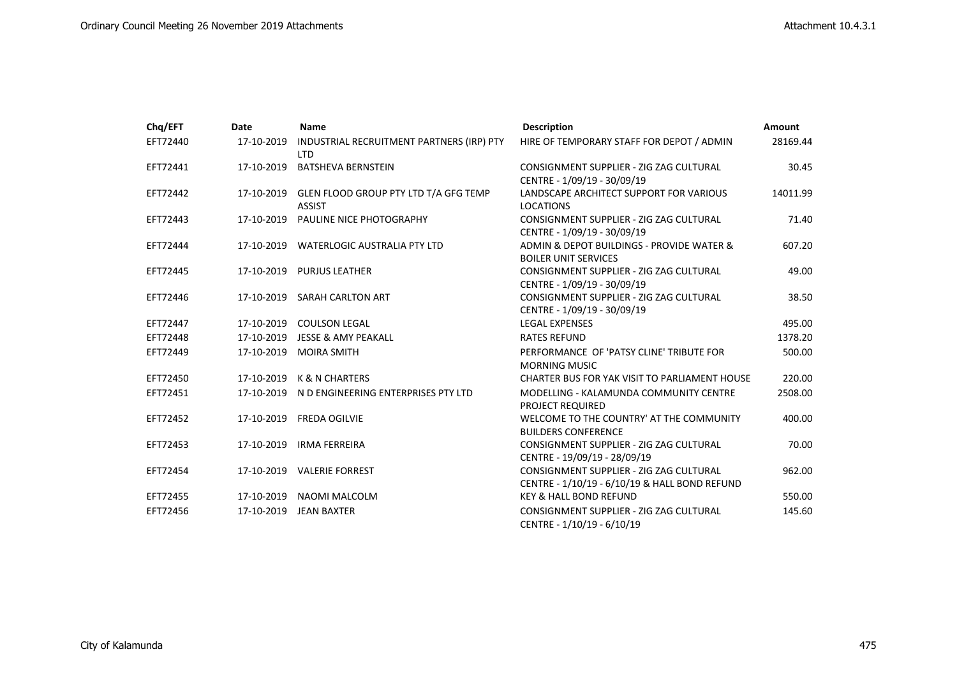| Chq/EFT  | Date       | <b>Name</b>                                                       | <b>Description</b>                                                                       | Amount   |
|----------|------------|-------------------------------------------------------------------|------------------------------------------------------------------------------------------|----------|
| EFT72440 | 17-10-2019 | INDUSTRIAL RECRUITMENT PARTNERS (IRP) PTY<br><b>LTD</b>           | HIRE OF TEMPORARY STAFF FOR DEPOT / ADMIN                                                | 28169.44 |
| EFT72441 | 17-10-2019 | <b>BATSHEVA BERNSTEIN</b>                                         | CONSIGNMENT SUPPLIER - ZIG ZAG CULTURAL<br>CENTRE - 1/09/19 - 30/09/19                   | 30.45    |
| EFT72442 |            | 17-10-2019 GLEN FLOOD GROUP PTY LTD T/A GFG TEMP<br><b>ASSIST</b> | LANDSCAPE ARCHITECT SUPPORT FOR VARIOUS<br><b>LOCATIONS</b>                              | 14011.99 |
| EFT72443 |            | 17-10-2019 PAULINE NICE PHOTOGRAPHY                               | CONSIGNMENT SUPPLIER - ZIG ZAG CULTURAL<br>CENTRE - 1/09/19 - 30/09/19                   | 71.40    |
| EFT72444 |            | 17-10-2019 WATERLOGIC AUSTRALIA PTY LTD                           | ADMIN & DEPOT BUILDINGS - PROVIDE WATER &<br><b>BOILER UNIT SERVICES</b>                 | 607.20   |
| EFT72445 |            | 17-10-2019 PURJUS LEATHER                                         | CONSIGNMENT SUPPLIER - ZIG ZAG CULTURAL<br>CENTRE - 1/09/19 - 30/09/19                   | 49.00    |
| EFT72446 |            | 17-10-2019 SARAH CARLTON ART                                      | CONSIGNMENT SUPPLIER - ZIG ZAG CULTURAL<br>CENTRE - 1/09/19 - 30/09/19                   | 38.50    |
| EFT72447 |            | 17-10-2019 COULSON LEGAL                                          | <b>LEGAL EXPENSES</b>                                                                    | 495.00   |
| EFT72448 |            | 17-10-2019 JESSE & AMY PEAKALL                                    | <b>RATES REFUND</b>                                                                      | 1378.20  |
| EFT72449 |            | 17-10-2019 MOIRA SMITH                                            | PERFORMANCE OF 'PATSY CLINE' TRIBUTE FOR<br><b>MORNING MUSIC</b>                         | 500.00   |
| EFT72450 |            | 17-10-2019 K & N CHARTERS                                         | CHARTER BUS FOR YAK VISIT TO PARLIAMENT HOUSE                                            | 220.00   |
| EFT72451 |            | 17-10-2019 N D ENGINEERING ENTERPRISES PTY LTD                    | MODELLING - KALAMUNDA COMMUNITY CENTRE<br><b>PROJECT REQUIRED</b>                        | 2508.00  |
| EFT72452 |            | 17-10-2019 FREDA OGILVIE                                          | WELCOME TO THE COUNTRY' AT THE COMMUNITY<br><b>BUILDERS CONFERENCE</b>                   | 400.00   |
| EFT72453 |            | 17-10-2019 IRMA FERREIRA                                          | CONSIGNMENT SUPPLIER - ZIG ZAG CULTURAL<br>CENTRE - 19/09/19 - 28/09/19                  | 70.00    |
| EFT72454 |            | 17-10-2019 VALERIE FORREST                                        | CONSIGNMENT SUPPLIER - ZIG ZAG CULTURAL<br>CENTRE - 1/10/19 - 6/10/19 & HALL BOND REFUND | 962.00   |
| EFT72455 |            | 17-10-2019 NAOMI MALCOLM                                          | <b>KEY &amp; HALL BOND REFUND</b>                                                        | 550.00   |
| EFT72456 |            | 17-10-2019 JEAN BAXTER                                            | CONSIGNMENT SUPPLIER - ZIG ZAG CULTURAL<br>CENTRE - 1/10/19 - 6/10/19                    | 145.60   |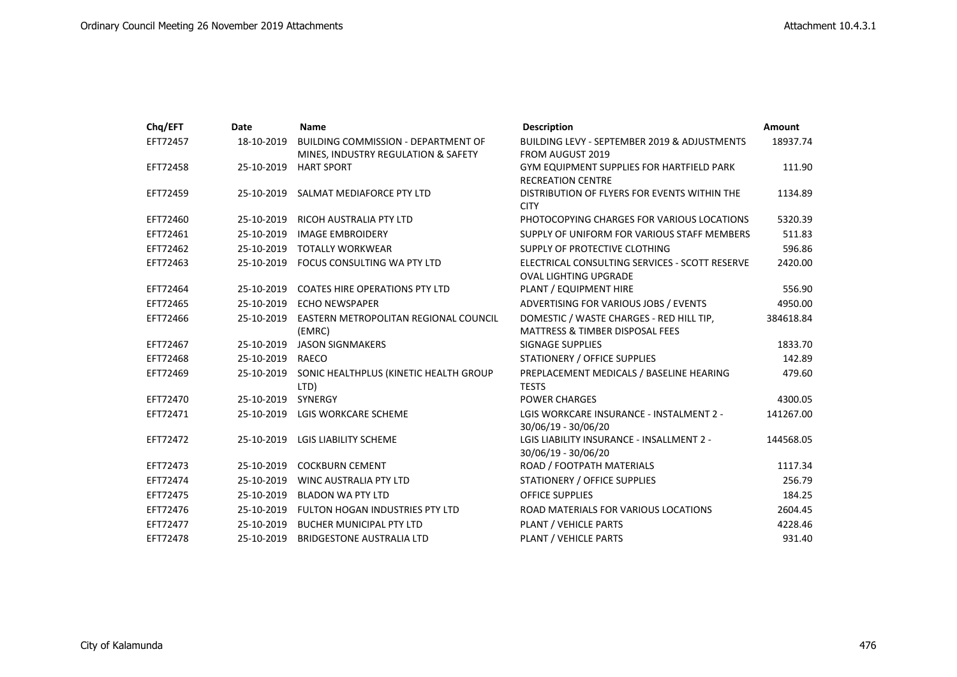| Chq/EFT  | Date             | <b>Name</b>                                                                       | <b>Description</b>                                                                     | <b>Amount</b> |
|----------|------------------|-----------------------------------------------------------------------------------|----------------------------------------------------------------------------------------|---------------|
| EFT72457 | 18-10-2019       | <b>BUILDING COMMISSION - DEPARTMENT OF</b><br>MINES, INDUSTRY REGULATION & SAFETY | BUILDING LEVY - SEPTEMBER 2019 & ADJUSTMENTS<br><b>FROM AUGUST 2019</b>                | 18937.74      |
| EFT72458 | 25-10-2019       | <b>HART SPORT</b>                                                                 | <b>GYM EQUIPMENT SUPPLIES FOR HARTFIELD PARK</b><br><b>RECREATION CENTRE</b>           | 111.90        |
| EFT72459 | 25-10-2019       | SALMAT MEDIAFORCE PTY LTD                                                         | DISTRIBUTION OF FLYERS FOR EVENTS WITHIN THE<br><b>CITY</b>                            | 1134.89       |
| EFT72460 | 25-10-2019       | RICOH AUSTRALIA PTY LTD                                                           | PHOTOCOPYING CHARGES FOR VARIOUS LOCATIONS                                             | 5320.39       |
| EFT72461 | 25-10-2019       | <b>IMAGE EMBROIDERY</b>                                                           | SUPPLY OF UNIFORM FOR VARIOUS STAFF MEMBERS                                            | 511.83        |
| EFT72462 | 25-10-2019       | TOTALLY WORKWEAR                                                                  | SUPPLY OF PROTECTIVE CLOTHING                                                          | 596.86        |
| EFT72463 |                  | 25-10-2019 FOCUS CONSULTING WA PTY LTD                                            | ELECTRICAL CONSULTING SERVICES - SCOTT RESERVE<br><b>OVAL LIGHTING UPGRADE</b>         | 2420.00       |
| EFT72464 |                  | 25-10-2019 COATES HIRE OPERATIONS PTY LTD                                         | PLANT / EQUIPMENT HIRE                                                                 | 556.90        |
| EFT72465 | 25-10-2019       | <b>ECHO NEWSPAPER</b>                                                             | ADVERTISING FOR VARIOUS JOBS / EVENTS                                                  | 4950.00       |
| EFT72466 |                  | 25-10-2019 EASTERN METROPOLITAN REGIONAL COUNCIL<br>(EMRC)                        | DOMESTIC / WASTE CHARGES - RED HILL TIP,<br><b>MATTRESS &amp; TIMBER DISPOSAL FEES</b> | 384618.84     |
| EFT72467 | 25-10-2019       | <b>JASON SIGNMAKERS</b>                                                           | <b>SIGNAGE SUPPLIES</b>                                                                | 1833.70       |
| EFT72468 | 25-10-2019 RAECO |                                                                                   | STATIONERY / OFFICE SUPPLIES                                                           | 142.89        |
| EFT72469 |                  | 25-10-2019 SONIC HEALTHPLUS (KINETIC HEALTH GROUP<br>LTD)                         | PREPLACEMENT MEDICALS / BASELINE HEARING<br><b>TESTS</b>                               | 479.60        |
| EFT72470 | 25-10-2019       | SYNERGY                                                                           | <b>POWER CHARGES</b>                                                                   | 4300.05       |
| EFT72471 | 25-10-2019       | LGIS WORKCARE SCHEME                                                              | LGIS WORKCARE INSURANCE - INSTALMENT 2 -<br>30/06/19 - 30/06/20                        | 141267.00     |
| EFT72472 | 25-10-2019       | <b>LGIS LIABILITY SCHEME</b>                                                      | LGIS LIABILITY INSURANCE - INSALLMENT 2 -<br>30/06/19 - 30/06/20                       | 144568.05     |
| EFT72473 | 25-10-2019       | <b>COCKBURN CEMENT</b>                                                            | ROAD / FOOTPATH MATERIALS                                                              | 1117.34       |
| EFT72474 | 25-10-2019       | <b>WINC AUSTRALIA PTY LTD</b>                                                     | STATIONERY / OFFICE SUPPLIES                                                           | 256.79        |
| EFT72475 | 25-10-2019       | <b>BLADON WA PTY LTD</b>                                                          | <b>OFFICE SUPPLIES</b>                                                                 | 184.25        |
| EFT72476 |                  | 25-10-2019 FULTON HOGAN INDUSTRIES PTY LTD                                        | ROAD MATERIALS FOR VARIOUS LOCATIONS                                                   | 2604.45       |
| EFT72477 | 25-10-2019       | <b>BUCHER MUNICIPAL PTY LTD</b>                                                   | PLANT / VEHICLE PARTS                                                                  | 4228.46       |
| EFT72478 | 25-10-2019       | <b>BRIDGESTONE AUSTRALIA LTD</b>                                                  | PLANT / VEHICLE PARTS                                                                  | 931.40        |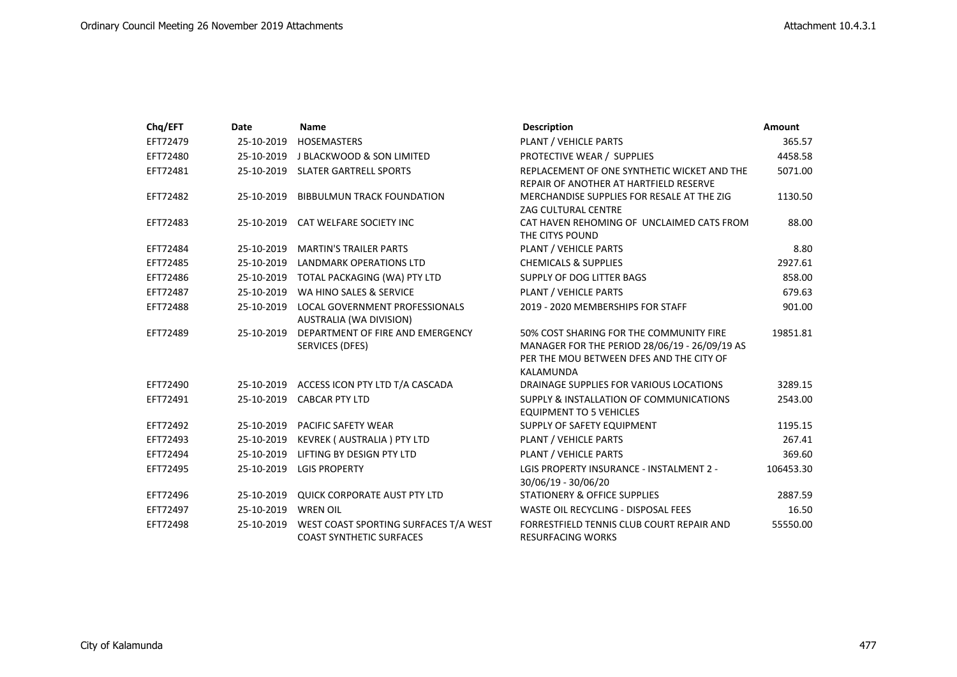| Chq/EFT  | Date       | <b>Name</b>                                                              | <b>Description</b>                                                                                                                                | <b>Amount</b> |
|----------|------------|--------------------------------------------------------------------------|---------------------------------------------------------------------------------------------------------------------------------------------------|---------------|
| EFT72479 | 25-10-2019 | <b>HOSEMASTERS</b>                                                       | PLANT / VEHICLE PARTS                                                                                                                             | 365.57        |
| EFT72480 | 25-10-2019 | J BLACKWOOD & SON LIMITED                                                | PROTECTIVE WEAR / SUPPLIES                                                                                                                        | 4458.58       |
| EFT72481 |            | 25-10-2019 SLATER GARTRELL SPORTS                                        | REPLACEMENT OF ONE SYNTHETIC WICKET AND THE<br>REPAIR OF ANOTHER AT HARTFIELD RESERVE                                                             | 5071.00       |
| EFT72482 | 25-10-2019 | <b>BIBBULMUN TRACK FOUNDATION</b>                                        | MERCHANDISE SUPPLIES FOR RESALE AT THE ZIG<br><b>ZAG CULTURAL CENTRE</b>                                                                          | 1130.50       |
| EFT72483 |            | 25-10-2019 CAT WELFARE SOCIETY INC                                       | CAT HAVEN REHOMING OF UNCLAIMED CATS FROM<br>THE CITYS POUND                                                                                      | 88.00         |
| EFT72484 | 25-10-2019 | <b>MARTIN'S TRAILER PARTS</b>                                            | PLANT / VEHICLE PARTS                                                                                                                             | 8.80          |
| EFT72485 |            | 25-10-2019 LANDMARK OPERATIONS LTD                                       | <b>CHEMICALS &amp; SUPPLIES</b>                                                                                                                   | 2927.61       |
| EFT72486 | 25-10-2019 | TOTAL PACKAGING (WA) PTY LTD                                             | SUPPLY OF DOG LITTER BAGS                                                                                                                         | 858.00        |
| EFT72487 | 25-10-2019 | WA HINO SALES & SERVICE                                                  | PLANT / VEHICLE PARTS                                                                                                                             | 679.63        |
| EFT72488 | 25-10-2019 | LOCAL GOVERNMENT PROFESSIONALS<br>AUSTRALIA (WA DIVISION)                | 2019 - 2020 MEMBERSHIPS FOR STAFF                                                                                                                 | 901.00        |
| EFT72489 | 25-10-2019 | DEPARTMENT OF FIRE AND EMERGENCY<br>SERVICES (DFES)                      | 50% COST SHARING FOR THE COMMUNITY FIRE<br>MANAGER FOR THE PERIOD 28/06/19 - 26/09/19 AS<br>PER THE MOU BETWEEN DFES AND THE CITY OF<br>KALAMUNDA | 19851.81      |
| EFT72490 | 25-10-2019 | ACCESS ICON PTY LTD T/A CASCADA                                          | DRAINAGE SUPPLIES FOR VARIOUS LOCATIONS                                                                                                           | 3289.15       |
| EFT72491 | 25-10-2019 | <b>CABCAR PTY LTD</b>                                                    | SUPPLY & INSTALLATION OF COMMUNICATIONS<br><b>EQUIPMENT TO 5 VEHICLES</b>                                                                         | 2543.00       |
| EFT72492 | 25-10-2019 | PACIFIC SAFETY WEAR                                                      | SUPPLY OF SAFETY EQUIPMENT                                                                                                                        | 1195.15       |
| EFT72493 | 25-10-2019 | KEVREK (AUSTRALIA) PTY LTD                                               | PLANT / VEHICLE PARTS                                                                                                                             | 267.41        |
| EFT72494 | 25-10-2019 | LIFTING BY DESIGN PTY LTD                                                | <b>PLANT / VEHICLE PARTS</b>                                                                                                                      | 369.60        |
| EFT72495 | 25-10-2019 | <b>LGIS PROPERTY</b>                                                     | LGIS PROPERTY INSURANCE - INSTALMENT 2 -<br>30/06/19 - 30/06/20                                                                                   | 106453.30     |
| EFT72496 | 25-10-2019 | <b>QUICK CORPORATE AUST PTY LTD</b>                                      | <b>STATIONERY &amp; OFFICE SUPPLIES</b>                                                                                                           | 2887.59       |
| EFT72497 | 25-10-2019 | <b>WREN OIL</b>                                                          | WASTE OIL RECYCLING - DISPOSAL FEES                                                                                                               | 16.50         |
| EFT72498 | 25-10-2019 | WEST COAST SPORTING SURFACES T/A WEST<br><b>COAST SYNTHETIC SURFACES</b> | FORRESTFIELD TENNIS CLUB COURT REPAIR AND<br><b>RESURFACING WORKS</b>                                                                             | 55550.00      |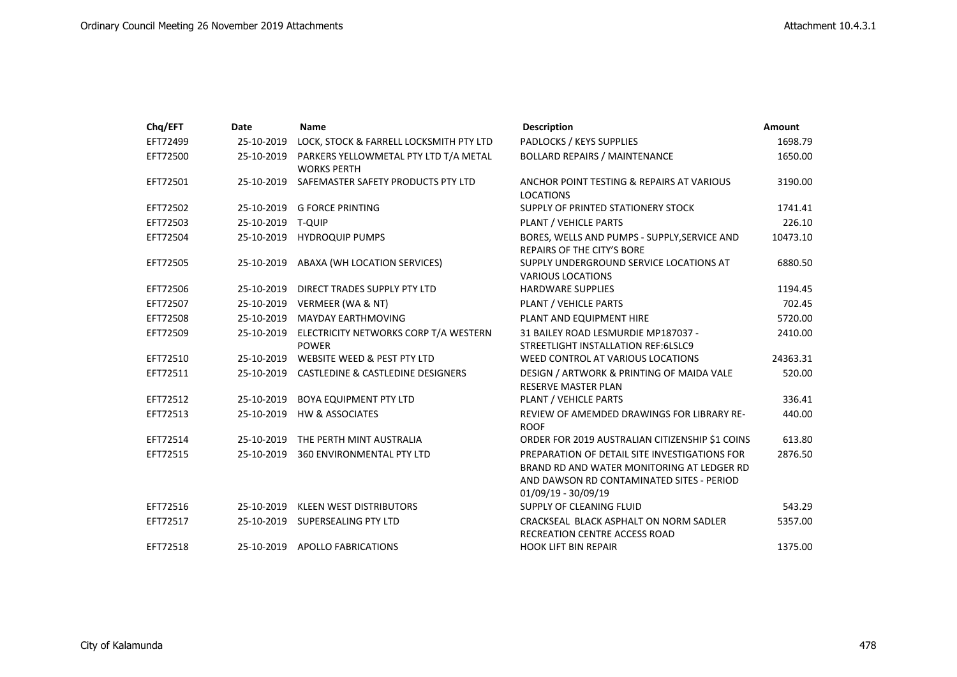| Chq/EFT  | Date       | Name                                                        | <b>Description</b>                                                                                                                                              | <b>Amount</b> |
|----------|------------|-------------------------------------------------------------|-----------------------------------------------------------------------------------------------------------------------------------------------------------------|---------------|
| EFT72499 | 25-10-2019 | LOCK, STOCK & FARRELL LOCKSMITH PTY LTD                     | PADLOCKS / KEYS SUPPLIES                                                                                                                                        | 1698.79       |
| EFT72500 | 25-10-2019 | PARKERS YELLOWMETAL PTY LTD T/A METAL<br><b>WORKS PERTH</b> | <b>BOLLARD REPAIRS / MAINTENANCE</b>                                                                                                                            | 1650.00       |
| EFT72501 | 25-10-2019 | SAFEMASTER SAFETY PRODUCTS PTY LTD                          | ANCHOR POINT TESTING & REPAIRS AT VARIOUS<br><b>LOCATIONS</b>                                                                                                   | 3190.00       |
| EFT72502 | 25-10-2019 | <b>G FORCE PRINTING</b>                                     | SUPPLY OF PRINTED STATIONERY STOCK                                                                                                                              | 1741.41       |
| EFT72503 | 25-10-2019 | <b>T-QUIP</b>                                               | PLANT / VEHICLE PARTS                                                                                                                                           | 226.10        |
| EFT72504 | 25-10-2019 | <b>HYDROQUIP PUMPS</b>                                      | BORES, WELLS AND PUMPS - SUPPLY, SERVICE AND<br><b>REPAIRS OF THE CITY'S BORE</b>                                                                               | 10473.10      |
| EFT72505 | 25-10-2019 | ABAXA (WH LOCATION SERVICES)                                | SUPPLY UNDERGROUND SERVICE LOCATIONS AT<br><b>VARIOUS LOCATIONS</b>                                                                                             | 6880.50       |
| EFT72506 | 25-10-2019 | DIRECT TRADES SUPPLY PTY LTD                                | <b>HARDWARE SUPPLIES</b>                                                                                                                                        | 1194.45       |
| EFT72507 | 25-10-2019 | VERMEER (WA & NT)                                           | PLANT / VEHICLE PARTS                                                                                                                                           | 702.45        |
| EFT72508 | 25-10-2019 | MAYDAY EARTHMOVING                                          | PLANT AND EQUIPMENT HIRE                                                                                                                                        | 5720.00       |
| EFT72509 | 25-10-2019 | ELECTRICITY NETWORKS CORP T/A WESTERN<br><b>POWER</b>       | 31 BAILEY ROAD LESMURDIE MP187037 -<br>STREETLIGHT INSTALLATION REF:6LSLC9                                                                                      | 2410.00       |
| EFT72510 |            | 25-10-2019 WEBSITE WEED & PEST PTY LTD                      | WEED CONTROL AT VARIOUS LOCATIONS                                                                                                                               | 24363.31      |
| EFT72511 |            | 25-10-2019 CASTLEDINE & CASTLEDINE DESIGNERS                | DESIGN / ARTWORK & PRINTING OF MAIDA VALE<br><b>RESERVE MASTER PLAN</b>                                                                                         | 520.00        |
| EFT72512 | 25-10-2019 | <b>BOYA EQUIPMENT PTY LTD</b>                               | PLANT / VEHICLE PARTS                                                                                                                                           | 336.41        |
| EFT72513 |            | 25-10-2019 HW & ASSOCIATES                                  | REVIEW OF AMEMDED DRAWINGS FOR LIBRARY RE-<br><b>ROOF</b>                                                                                                       | 440.00        |
| EFT72514 | 25-10-2019 | THE PERTH MINT AUSTRALIA                                    | ORDER FOR 2019 AUSTRALIAN CITIZENSHIP \$1 COINS                                                                                                                 | 613.80        |
| EFT72515 | 25-10-2019 | <b>360 ENVIRONMENTAL PTY LTD</b>                            | PREPARATION OF DETAIL SITE INVESTIGATIONS FOR<br>BRAND RD AND WATER MONITORING AT LEDGER RD<br>AND DAWSON RD CONTAMINATED SITES - PERIOD<br>01/09/19 - 30/09/19 | 2876.50       |
| EFT72516 |            | 25-10-2019 KLEEN WEST DISTRIBUTORS                          | SUPPLY OF CLEANING FLUID                                                                                                                                        | 543.29        |
| EFT72517 |            | 25-10-2019 SUPERSEALING PTY LTD                             | CRACKSEAL BLACK ASPHALT ON NORM SADLER<br>RECREATION CENTRE ACCESS ROAD                                                                                         | 5357.00       |
| EFT72518 |            | 25-10-2019 APOLLO FABRICATIONS                              | <b>HOOK LIFT BIN REPAIR</b>                                                                                                                                     | 1375.00       |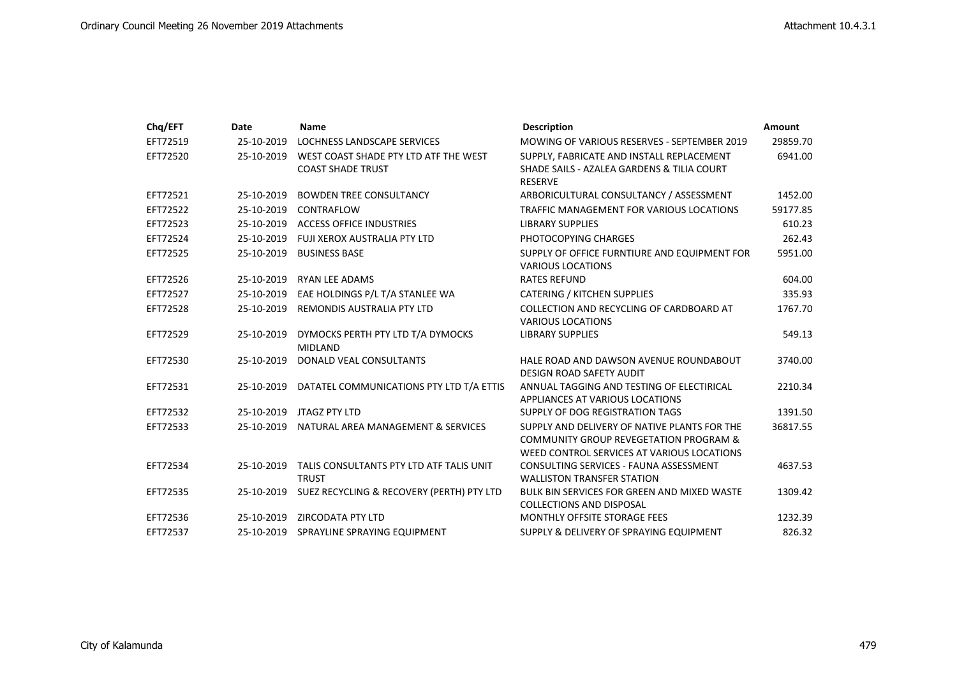| Chq/EFT  | Date       | <b>Name</b>                                              | <b>Description</b>                                                                                                                              | <b>Amount</b> |
|----------|------------|----------------------------------------------------------|-------------------------------------------------------------------------------------------------------------------------------------------------|---------------|
| EFT72519 | 25-10-2019 | LOCHNESS LANDSCAPE SERVICES                              | MOWING OF VARIOUS RESERVES - SEPTEMBER 2019                                                                                                     | 29859.70      |
| EFT72520 | 25-10-2019 | WEST COAST SHADE PTY LTD ATF THE WEST                    | SUPPLY, FABRICATE AND INSTALL REPLACEMENT                                                                                                       | 6941.00       |
|          |            | <b>COAST SHADE TRUST</b>                                 | SHADE SAILS - AZALEA GARDENS & TILIA COURT<br><b>RESERVE</b>                                                                                    |               |
| EFT72521 | 25-10-2019 | <b>BOWDEN TREE CONSULTANCY</b>                           | ARBORICULTURAL CONSULTANCY / ASSESSMENT                                                                                                         | 1452.00       |
| EFT72522 | 25-10-2019 | CONTRAFLOW                                               | TRAFFIC MANAGEMENT FOR VARIOUS LOCATIONS                                                                                                        | 59177.85      |
| EFT72523 | 25-10-2019 | <b>ACCESS OFFICE INDUSTRIES</b>                          | <b>LIBRARY SUPPLIES</b>                                                                                                                         | 610.23        |
| EFT72524 | 25-10-2019 | FUJI XEROX AUSTRALIA PTY LTD                             | PHOTOCOPYING CHARGES                                                                                                                            | 262.43        |
| EFT72525 | 25-10-2019 | <b>BUSINESS BASE</b>                                     | SUPPLY OF OFFICE FURNTIURE AND EQUIPMENT FOR<br><b>VARIOUS LOCATIONS</b>                                                                        | 5951.00       |
| EFT72526 | 25-10-2019 | <b>RYAN LEE ADAMS</b>                                    | <b>RATES REFUND</b>                                                                                                                             | 604.00        |
| EFT72527 | 25-10-2019 | EAE HOLDINGS P/L T/A STANLEE WA                          | <b>CATERING / KITCHEN SUPPLIES</b>                                                                                                              | 335.93        |
| EFT72528 | 25-10-2019 | <b>REMONDIS AUSTRALIA PTY LTD</b>                        | COLLECTION AND RECYCLING OF CARDBOARD AT<br><b>VARIOUS LOCATIONS</b>                                                                            | 1767.70       |
| EFT72529 | 25-10-2019 | DYMOCKS PERTH PTY LTD T/A DYMOCKS<br><b>MIDLAND</b>      | <b>LIBRARY SUPPLIES</b>                                                                                                                         | 549.13        |
| EFT72530 | 25-10-2019 | DONALD VEAL CONSULTANTS                                  | HALE ROAD AND DAWSON AVENUE ROUNDABOUT<br><b>DESIGN ROAD SAFETY AUDIT</b>                                                                       | 3740.00       |
| EFT72531 | 25-10-2019 | DATATEL COMMUNICATIONS PTY LTD T/A ETTIS                 | ANNUAL TAGGING AND TESTING OF ELECTIRICAL<br>APPLIANCES AT VARIOUS LOCATIONS                                                                    | 2210.34       |
| EFT72532 | 25-10-2019 | JTAGZ PTY LTD                                            | SUPPLY OF DOG REGISTRATION TAGS                                                                                                                 | 1391.50       |
| EFT72533 | 25-10-2019 | NATURAL AREA MANAGEMENT & SERVICES                       | SUPPLY AND DELIVERY OF NATIVE PLANTS FOR THE<br><b>COMMUNITY GROUP REVEGETATION PROGRAM &amp;</b><br>WEED CONTROL SERVICES AT VARIOUS LOCATIONS | 36817.55      |
| EFT72534 | 25-10-2019 | TALIS CONSULTANTS PTY LTD ATF TALIS UNIT<br><b>TRUST</b> | CONSULTING SERVICES - FAUNA ASSESSMENT<br><b>WALLISTON TRANSFER STATION</b>                                                                     | 4637.53       |
| EFT72535 | 25-10-2019 | SUEZ RECYCLING & RECOVERY (PERTH) PTY LTD                | <b>BULK BIN SERVICES FOR GREEN AND MIXED WASTE</b><br><b>COLLECTIONS AND DISPOSAL</b>                                                           | 1309.42       |
| EFT72536 | 25-10-2019 | <b>ZIRCODATA PTY LTD</b>                                 | MONTHLY OFFSITE STORAGE FEES                                                                                                                    | 1232.39       |
| EFT72537 |            | 25-10-2019 SPRAYLINE SPRAYING EQUIPMENT                  | SUPPLY & DELIVERY OF SPRAYING EQUIPMENT                                                                                                         | 826.32        |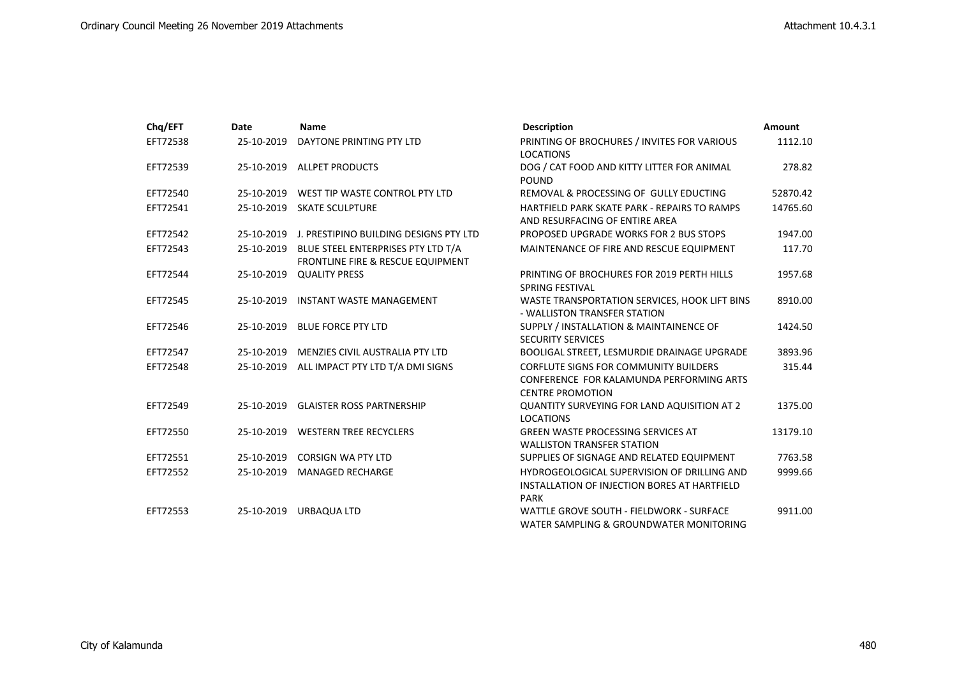| Chq/EFT  | Date       | <b>Name</b>                                                             | <b>Description</b>                                                                                                  | <b>Amount</b> |
|----------|------------|-------------------------------------------------------------------------|---------------------------------------------------------------------------------------------------------------------|---------------|
| EFT72538 | 25-10-2019 | DAYTONE PRINTING PTY LTD                                                | PRINTING OF BROCHURES / INVITES FOR VARIOUS<br><b>LOCATIONS</b>                                                     | 1112.10       |
| EFT72539 | 25-10-2019 | <b>ALLPET PRODUCTS</b>                                                  | DOG / CAT FOOD AND KITTY LITTER FOR ANIMAL<br><b>POUND</b>                                                          | 278.82        |
| EFT72540 | 25-10-2019 | WEST TIP WASTE CONTROL PTY LTD                                          | REMOVAL & PROCESSING OF GULLY EDUCTING                                                                              | 52870.42      |
| EFT72541 | 25-10-2019 | <b>SKATE SCULPTURE</b>                                                  | HARTFIELD PARK SKATE PARK - REPAIRS TO RAMPS<br>AND RESURFACING OF ENTIRE AREA                                      | 14765.60      |
| EFT72542 | 25-10-2019 | J. PRESTIPINO BUILDING DESIGNS PTY LTD                                  | PROPOSED UPGRADE WORKS FOR 2 BUS STOPS                                                                              | 1947.00       |
| EFT72543 | 25-10-2019 | BLUE STEEL ENTERPRISES PTY LTD T/A<br>FRONTLINE FIRE & RESCUE EQUIPMENT | MAINTENANCE OF FIRE AND RESCUE EQUIPMENT                                                                            | 117.70        |
| EFT72544 | 25-10-2019 | <b>QUALITY PRESS</b>                                                    | PRINTING OF BROCHURES FOR 2019 PERTH HILLS<br>SPRING FESTIVAL                                                       | 1957.68       |
| EFT72545 | 25-10-2019 | <b>INSTANT WASTE MANAGEMENT</b>                                         | WASTE TRANSPORTATION SERVICES, HOOK LIFT BINS<br>- WALLISTON TRANSFER STATION                                       | 8910.00       |
| EFT72546 | 25-10-2019 | <b>BLUE FORCE PTY LTD</b>                                               | SUPPLY / INSTALLATION & MAINTAINENCE OF<br><b>SECURITY SERVICES</b>                                                 | 1424.50       |
| EFT72547 | 25-10-2019 | MENZIES CIVIL AUSTRALIA PTY LTD                                         | BOOLIGAL STREET, LESMURDIE DRAINAGE UPGRADE                                                                         | 3893.96       |
| EFT72548 | 25-10-2019 | ALL IMPACT PTY LTD T/A DMI SIGNS                                        | <b>CORFLUTE SIGNS FOR COMMUNITY BUILDERS</b><br>CONFERENCE FOR KALAMUNDA PERFORMING ARTS<br><b>CENTRE PROMOTION</b> | 315.44        |
| EFT72549 | 25-10-2019 | <b>GLAISTER ROSS PARTNERSHIP</b>                                        | <b>QUANTITY SURVEYING FOR LAND AQUISITION AT 2</b><br><b>LOCATIONS</b>                                              | 1375.00       |
| EFT72550 | 25-10-2019 | <b>WESTERN TREE RECYCLERS</b>                                           | <b>GREEN WASTE PROCESSING SERVICES AT</b><br><b>WALLISTON TRANSFER STATION</b>                                      | 13179.10      |
| EFT72551 | 25-10-2019 | <b>CORSIGN WA PTY LTD</b>                                               | SUPPLIES OF SIGNAGE AND RELATED EQUIPMENT                                                                           | 7763.58       |
| EFT72552 | 25-10-2019 | <b>MANAGED RECHARGE</b>                                                 | HYDROGEOLOGICAL SUPERVISION OF DRILLING AND<br>INSTALLATION OF INJECTION BORES AT HARTFIELD<br><b>PARK</b>          | 9999.66       |
| EFT72553 | 25-10-2019 | <b>URBAQUA LTD</b>                                                      | WATTLE GROVE SOUTH - FIELDWORK - SURFACE<br>WATER SAMPLING & GROUNDWATER MONITORING                                 | 9911.00       |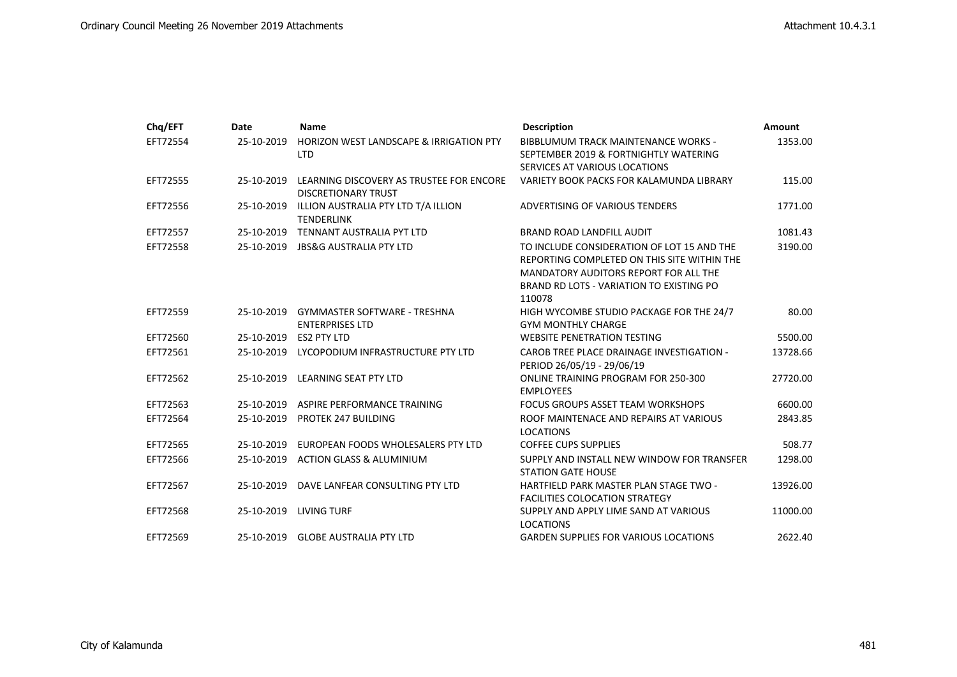| Chq/EFT  | Date       | <b>Name</b>                                                            | <b>Description</b>                                                                                                                                                                       | <b>Amount</b> |
|----------|------------|------------------------------------------------------------------------|------------------------------------------------------------------------------------------------------------------------------------------------------------------------------------------|---------------|
| EFT72554 | 25-10-2019 | HORIZON WEST LANDSCAPE & IRRIGATION PTY<br><b>LTD</b>                  | <b>BIBBLUMUM TRACK MAINTENANCE WORKS -</b><br>SEPTEMBER 2019 & FORTNIGHTLY WATERING                                                                                                      | 1353.00       |
|          |            |                                                                        | SERVICES AT VARIOUS LOCATIONS                                                                                                                                                            |               |
| EFT72555 | 25-10-2019 | LEARNING DISCOVERY AS TRUSTEE FOR ENCORE<br><b>DISCRETIONARY TRUST</b> | VARIETY BOOK PACKS FOR KALAMUNDA LIBRARY                                                                                                                                                 | 115.00        |
| EFT72556 | 25-10-2019 | ILLION AUSTRALIA PTY LTD T/A ILLION<br><b>TENDERLINK</b>               | ADVERTISING OF VARIOUS TENDERS                                                                                                                                                           | 1771.00       |
| EFT72557 | 25-10-2019 | TENNANT AUSTRALIA PYT LTD                                              | <b>BRAND ROAD LANDFILL AUDIT</b>                                                                                                                                                         | 1081.43       |
| EFT72558 | 25-10-2019 | <b>JBS&amp;G AUSTRALIA PTY LTD</b>                                     | TO INCLUDE CONSIDERATION OF LOT 15 AND THE<br>REPORTING COMPLETED ON THIS SITE WITHIN THE<br>MANDATORY AUDITORS REPORT FOR ALL THE<br>BRAND RD LOTS - VARIATION TO EXISTING PO<br>110078 | 3190.00       |
| EFT72559 | 25-10-2019 | <b>GYMMASTER SOFTWARE - TRESHNA</b><br><b>ENTERPRISES LTD</b>          | HIGH WYCOMBE STUDIO PACKAGE FOR THE 24/7<br><b>GYM MONTHLY CHARGE</b>                                                                                                                    | 80.00         |
| EFT72560 | 25-10-2019 | <b>ES2 PTY LTD</b>                                                     | <b>WEBSITE PENETRATION TESTING</b>                                                                                                                                                       | 5500.00       |
| EFT72561 | 25-10-2019 | LYCOPODIUM INFRASTRUCTURE PTY LTD                                      | <b>CAROB TREE PLACE DRAINAGE INVESTIGATION -</b><br>PERIOD 26/05/19 - 29/06/19                                                                                                           | 13728.66      |
| EFT72562 | 25-10-2019 | <b>LEARNING SEAT PTY LTD</b>                                           | <b>ONLINE TRAINING PROGRAM FOR 250-300</b><br><b>EMPLOYEES</b>                                                                                                                           | 27720.00      |
| EFT72563 | 25-10-2019 | ASPIRE PERFORMANCE TRAINING                                            | FOCUS GROUPS ASSET TEAM WORKSHOPS                                                                                                                                                        | 6600.00       |
| EFT72564 | 25-10-2019 | <b>PROTEK 247 BUILDING</b>                                             | ROOF MAINTENACE AND REPAIRS AT VARIOUS<br><b>LOCATIONS</b>                                                                                                                               | 2843.85       |
| EFT72565 | 25-10-2019 | EUROPEAN FOODS WHOLESALERS PTY LTD                                     | <b>COFFEE CUPS SUPPLIES</b>                                                                                                                                                              | 508.77        |
| EFT72566 | 25-10-2019 | <b>ACTION GLASS &amp; ALUMINIUM</b>                                    | SUPPLY AND INSTALL NEW WINDOW FOR TRANSFER<br><b>STATION GATE HOUSE</b>                                                                                                                  | 1298.00       |
| EFT72567 | 25-10-2019 | DAVE LANFEAR CONSULTING PTY LTD                                        | HARTFIELD PARK MASTER PLAN STAGE TWO -<br><b>FACILITIES COLOCATION STRATEGY</b>                                                                                                          | 13926.00      |
| EFT72568 | 25-10-2019 | <b>LIVING TURF</b>                                                     | SUPPLY AND APPLY LIME SAND AT VARIOUS<br><b>LOCATIONS</b>                                                                                                                                | 11000.00      |
| EFT72569 | 25-10-2019 | <b>GLOBE AUSTRALIA PTY LTD</b>                                         | <b>GARDEN SUPPLIES FOR VARIOUS LOCATIONS</b>                                                                                                                                             | 2622.40       |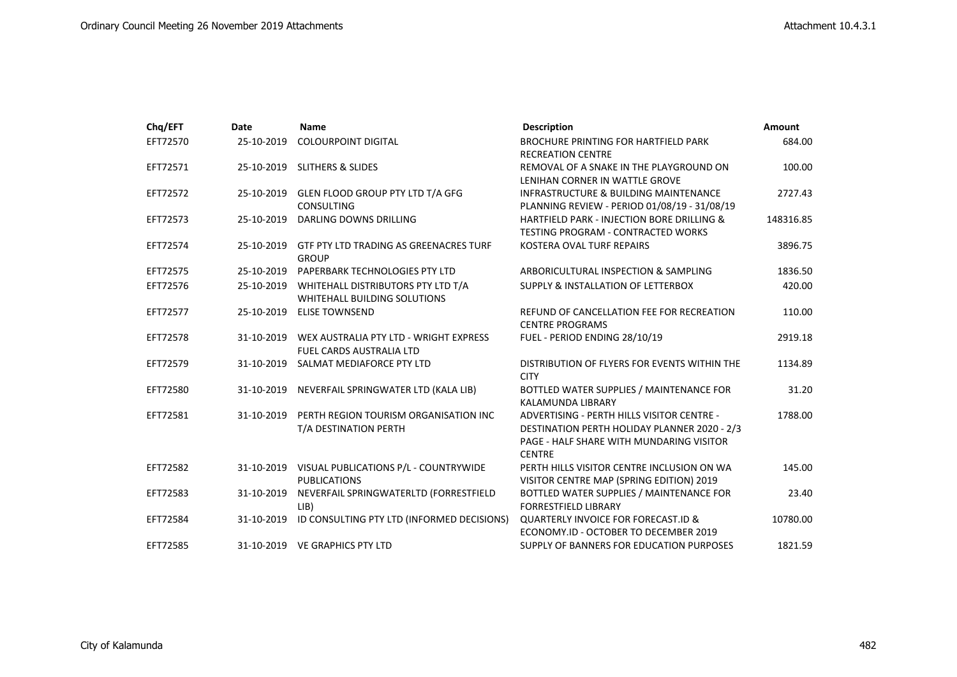| Chq/EFT  | Date       | <b>Name</b>                                                                          | <b>Description</b>                                                                                                                                                           | Amount    |
|----------|------------|--------------------------------------------------------------------------------------|------------------------------------------------------------------------------------------------------------------------------------------------------------------------------|-----------|
| EFT72570 | 25-10-2019 | <b>COLOURPOINT DIGITAL</b>                                                           | <b>BROCHURE PRINTING FOR HARTFIELD PARK</b><br><b>RECREATION CENTRE</b>                                                                                                      | 684.00    |
| EFT72571 | 25-10-2019 | <b>SLITHERS &amp; SLIDES</b>                                                         | REMOVAL OF A SNAKE IN THE PLAYGROUND ON<br>LENIHAN CORNER IN WATTLE GROVE                                                                                                    | 100.00    |
| EFT72572 | 25-10-2019 | GLEN FLOOD GROUP PTY LTD T/A GFG<br><b>CONSULTING</b>                                | <b>INFRASTRUCTURE &amp; BUILDING MAINTENANCE</b><br>PLANNING REVIEW - PERIOD 01/08/19 - 31/08/19                                                                             | 2727.43   |
| EFT72573 | 25-10-2019 | DARLING DOWNS DRILLING                                                               | HARTFIELD PARK - INJECTION BORE DRILLING &<br><b>TESTING PROGRAM - CONTRACTED WORKS</b>                                                                                      | 148316.85 |
| EFT72574 | 25-10-2019 | GTF PTY LTD TRADING AS GREENACRES TURF<br><b>GROUP</b>                               | KOSTERA OVAL TURF REPAIRS                                                                                                                                                    | 3896.75   |
| EFT72575 | 25-10-2019 | PAPERBARK TECHNOLOGIES PTY LTD                                                       | ARBORICULTURAL INSPECTION & SAMPLING                                                                                                                                         | 1836.50   |
| EFT72576 |            | 25-10-2019 WHITEHALL DISTRIBUTORS PTY LTD T/A<br><b>WHITEHALL BUILDING SOLUTIONS</b> | <b>SUPPLY &amp; INSTALLATION OF LETTERBOX</b>                                                                                                                                | 420.00    |
| EFT72577 |            | 25-10-2019 ELISE TOWNSEND                                                            | REFUND OF CANCELLATION FEE FOR RECREATION<br><b>CENTRE PROGRAMS</b>                                                                                                          | 110.00    |
| EFT72578 |            | 31-10-2019    WEX AUSTRALIA PTY LTD - WRIGHT EXPRESS<br>FUEL CARDS AUSTRALIA LTD     | FUEL - PERIOD ENDING 28/10/19                                                                                                                                                | 2919.18   |
| EFT72579 | 31-10-2019 | SALMAT MEDIAFORCE PTY LTD                                                            | DISTRIBUTION OF FLYERS FOR EVENTS WITHIN THE<br><b>CITY</b>                                                                                                                  | 1134.89   |
| EFT72580 | 31-10-2019 | NEVERFAIL SPRINGWATER LTD (KALA LIB)                                                 | BOTTLED WATER SUPPLIES / MAINTENANCE FOR<br><b>KALAMUNDA LIBRARY</b>                                                                                                         | 31.20     |
| EFT72581 | 31-10-2019 | PERTH REGION TOURISM ORGANISATION INC<br>T/A DESTINATION PERTH                       | <b>ADVERTISING - PERTH HILLS VISITOR CENTRE -</b><br><b>DESTINATION PERTH HOLIDAY PLANNER 2020 - 2/3</b><br><b>PAGE - HALF SHARE WITH MUNDARING VISITOR</b><br><b>CENTRE</b> | 1788.00   |
| EFT72582 |            | 31-10-2019 VISUAL PUBLICATIONS P/L - COUNTRYWIDE<br><b>PUBLICATIONS</b>              | PERTH HILLS VISITOR CENTRE INCLUSION ON WA<br>VISITOR CENTRE MAP (SPRING EDITION) 2019                                                                                       | 145.00    |
| EFT72583 | 31-10-2019 | NEVERFAIL SPRINGWATERLTD (FORRESTFIELD<br>LIB)                                       | BOTTLED WATER SUPPLIES / MAINTENANCE FOR<br><b>FORRESTFIELD LIBRARY</b>                                                                                                      | 23.40     |
| EFT72584 | 31-10-2019 | ID CONSULTING PTY LTD (INFORMED DECISIONS)                                           | <b>QUARTERLY INVOICE FOR FORECAST.ID &amp;</b><br>ECONOMY.ID - OCTOBER TO DECEMBER 2019                                                                                      | 10780.00  |
| EFT72585 |            | 31-10-2019 VE GRAPHICS PTY LTD                                                       | SUPPLY OF BANNERS FOR EDUCATION PURPOSES                                                                                                                                     | 1821.59   |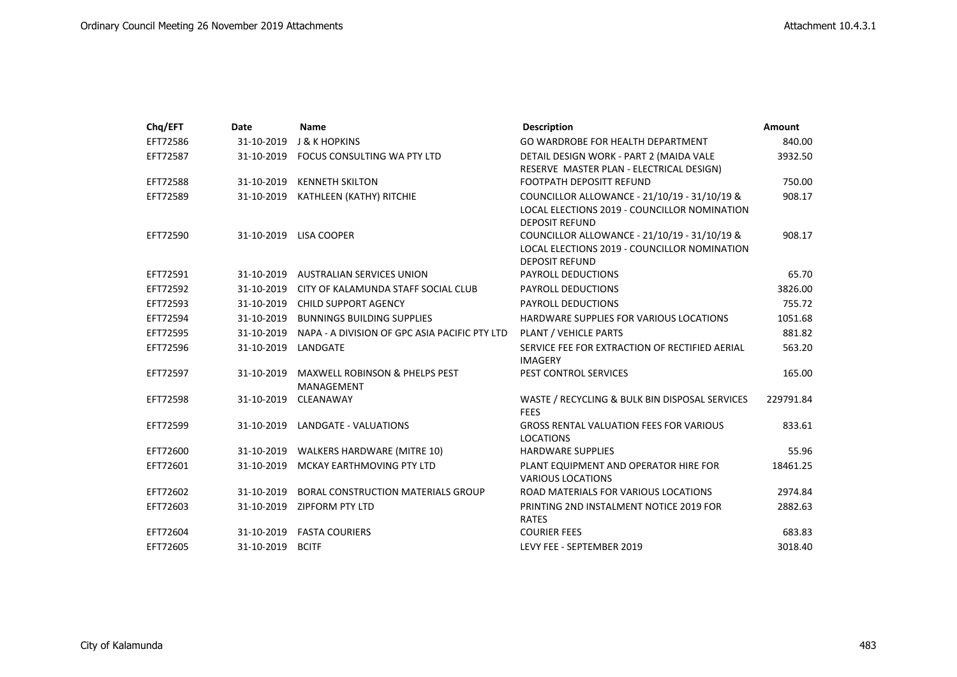| Chq/EFT  | Date                | <b>Name</b>                                             | <b>Description</b>                                                                                                    | Amount    |
|----------|---------------------|---------------------------------------------------------|-----------------------------------------------------------------------------------------------------------------------|-----------|
| EFT72586 | 31-10-2019          | <b>J &amp; K HOPKINS</b>                                | GO WARDROBE FOR HEALTH DEPARTMENT                                                                                     | 840.00    |
| EFT72587 |                     | 31-10-2019 FOCUS CONSULTING WA PTY LTD                  | DETAIL DESIGN WORK - PART 2 (MAIDA VALE                                                                               | 3932.50   |
|          |                     |                                                         | RESERVE MASTER PLAN - ELECTRICAL DESIGN)                                                                              |           |
| EFT72588 | 31-10-2019          | <b>KENNETH SKILTON</b>                                  | <b>FOOTPATH DEPOSITT REFUND</b>                                                                                       | 750.00    |
| EFT72589 |                     | 31-10-2019 KATHLEEN (KATHY) RITCHIE                     | COUNCILLOR ALLOWANCE - 21/10/19 - 31/10/19 &<br>LOCAL ELECTIONS 2019 - COUNCILLOR NOMINATION<br><b>DEPOSIT REFUND</b> | 908.17    |
| EFT72590 |                     | 31-10-2019 LISA COOPER                                  | COUNCILLOR ALLOWANCE - 21/10/19 - 31/10/19 &<br>LOCAL ELECTIONS 2019 - COUNCILLOR NOMINATION<br><b>DEPOSIT REFUND</b> | 908.17    |
| EFT72591 | 31-10-2019          | <b>AUSTRALIAN SERVICES UNION</b>                        | <b>PAYROLL DEDUCTIONS</b>                                                                                             | 65.70     |
| EFT72592 | 31-10-2019          | CITY OF KALAMUNDA STAFF SOCIAL CLUB                     | <b>PAYROLL DEDUCTIONS</b>                                                                                             | 3826.00   |
| EFT72593 | 31-10-2019          | <b>CHILD SUPPORT AGENCY</b>                             | <b>PAYROLL DEDUCTIONS</b>                                                                                             | 755.72    |
| EFT72594 |                     | 31-10-2019 BUNNINGS BUILDING SUPPLIES                   | HARDWARE SUPPLIES FOR VARIOUS LOCATIONS                                                                               | 1051.68   |
| EFT72595 | 31-10-2019          | NAPA - A DIVISION OF GPC ASIA PACIFIC PTY LTD           | PLANT / VEHICLE PARTS                                                                                                 | 881.82    |
| EFT72596 | 31-10-2019 LANDGATE |                                                         | SERVICE FEE FOR EXTRACTION OF RECTIFIED AERIAL<br><b>IMAGERY</b>                                                      | 563.20    |
| EFT72597 | 31-10-2019          | <b>MAXWELL ROBINSON &amp; PHELPS PEST</b><br>MANAGEMENT | PEST CONTROL SERVICES                                                                                                 | 165.00    |
| EFT72598 | 31-10-2019          | CLEANAWAY                                               | WASTE / RECYCLING & BULK BIN DISPOSAL SERVICES<br><b>FEES</b>                                                         | 229791.84 |
| EFT72599 |                     | 31-10-2019 LANDGATE - VALUATIONS                        | <b>GROSS RENTAL VALUATION FEES FOR VARIOUS</b><br><b>LOCATIONS</b>                                                    | 833.61    |
| EFT72600 |                     | 31-10-2019 WALKERS HARDWARE (MITRE 10)                  | <b>HARDWARE SUPPLIES</b>                                                                                              | 55.96     |
| EFT72601 | 31-10-2019          | MCKAY EARTHMOVING PTY LTD                               | PLANT EQUIPMENT AND OPERATOR HIRE FOR<br><b>VARIOUS LOCATIONS</b>                                                     | 18461.25  |
| EFT72602 | 31-10-2019          | <b>BORAL CONSTRUCTION MATERIALS GROUP</b>               | ROAD MATERIALS FOR VARIOUS LOCATIONS                                                                                  | 2974.84   |
| EFT72603 |                     | 31-10-2019 ZIPFORM PTY LTD                              | PRINTING 2ND INSTALMENT NOTICE 2019 FOR<br><b>RATES</b>                                                               | 2882.63   |
| EFT72604 | 31-10-2019          | <b>FASTA COURIERS</b>                                   | <b>COURIER FEES</b>                                                                                                   | 683.83    |
| EFT72605 | 31-10-2019          | <b>BCITF</b>                                            | LEVY FEE - SEPTEMBER 2019                                                                                             | 3018.40   |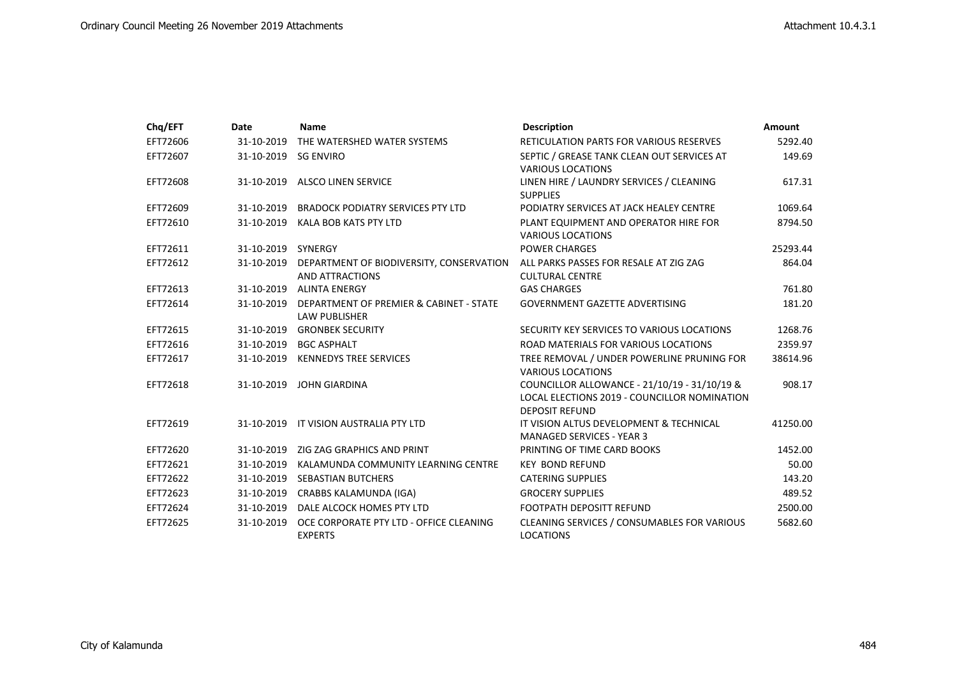| Chq/EFT  | Date                 | <b>Name</b>                                                                   | <b>Description</b>                                                                                                    | <b>Amount</b> |
|----------|----------------------|-------------------------------------------------------------------------------|-----------------------------------------------------------------------------------------------------------------------|---------------|
| EFT72606 | 31-10-2019           | THE WATERSHED WATER SYSTEMS                                                   | <b>RETICULATION PARTS FOR VARIOUS RESERVES</b>                                                                        | 5292.40       |
| EFT72607 | 31-10-2019 SG ENVIRO |                                                                               | SEPTIC / GREASE TANK CLEAN OUT SERVICES AT<br><b>VARIOUS LOCATIONS</b>                                                | 149.69        |
| EFT72608 | 31-10-2019           | <b>ALSCO LINEN SERVICE</b>                                                    | LINEN HIRE / LAUNDRY SERVICES / CLEANING<br><b>SUPPLIES</b>                                                           | 617.31        |
| EFT72609 | 31-10-2019           | <b>BRADOCK PODIATRY SERVICES PTY LTD</b>                                      | PODIATRY SERVICES AT JACK HEALEY CENTRE                                                                               | 1069.64       |
| EFT72610 | 31-10-2019           | KALA BOB KATS PTY LTD                                                         | PLANT EQUIPMENT AND OPERATOR HIRE FOR<br><b>VARIOUS LOCATIONS</b>                                                     | 8794.50       |
| EFT72611 | 31-10-2019 SYNERGY   |                                                                               | <b>POWER CHARGES</b>                                                                                                  | 25293.44      |
| EFT72612 |                      | 31-10-2019 DEPARTMENT OF BIODIVERSITY, CONSERVATION<br><b>AND ATTRACTIONS</b> | ALL PARKS PASSES FOR RESALE AT ZIG ZAG<br><b>CULTURAL CENTRE</b>                                                      | 864.04        |
| EFT72613 |                      | 31-10-2019 ALINTA ENERGY                                                      | <b>GAS CHARGES</b>                                                                                                    | 761.80        |
| EFT72614 |                      | 31-10-2019 DEPARTMENT OF PREMIER & CABINET - STATE<br><b>LAW PUBLISHER</b>    | <b>GOVERNMENT GAZETTE ADVERTISING</b>                                                                                 | 181.20        |
| EFT72615 |                      | 31-10-2019 GRONBEK SECURITY                                                   | SECURITY KEY SERVICES TO VARIOUS LOCATIONS                                                                            | 1268.76       |
| EFT72616 |                      | 31-10-2019 BGC ASPHALT                                                        | ROAD MATERIALS FOR VARIOUS LOCATIONS                                                                                  | 2359.97       |
| EFT72617 | 31-10-2019           | <b>KENNEDYS TREE SERVICES</b>                                                 | TREE REMOVAL / UNDER POWERLINE PRUNING FOR<br><b>VARIOUS LOCATIONS</b>                                                | 38614.96      |
| EFT72618 | 31-10-2019           | <b>JOHN GIARDINA</b>                                                          | COUNCILLOR ALLOWANCE - 21/10/19 - 31/10/19 &<br>LOCAL ELECTIONS 2019 - COUNCILLOR NOMINATION<br><b>DEPOSIT REFUND</b> | 908.17        |
| EFT72619 |                      | 31-10-2019 IT VISION AUSTRALIA PTY LTD                                        | IT VISION ALTUS DEVELOPMENT & TECHNICAL<br><b>MANAGED SERVICES - YEAR 3</b>                                           | 41250.00      |
| EFT72620 | 31-10-2019           | ZIG ZAG GRAPHICS AND PRINT                                                    | PRINTING OF TIME CARD BOOKS                                                                                           | 1452.00       |
| EFT72621 | 31-10-2019           | KALAMUNDA COMMUNITY LEARNING CENTRE                                           | <b>KEY BOND REFUND</b>                                                                                                | 50.00         |
| EFT72622 | 31-10-2019           | SEBASTIAN BUTCHERS                                                            | <b>CATERING SUPPLIES</b>                                                                                              | 143.20        |
| EFT72623 | 31-10-2019           | CRABBS KALAMUNDA (IGA)                                                        | <b>GROCERY SUPPLIES</b>                                                                                               | 489.52        |
| EFT72624 | 31-10-2019           | DALE ALCOCK HOMES PTY LTD                                                     | <b>FOOTPATH DEPOSITT REFUND</b>                                                                                       | 2500.00       |
| EFT72625 | 31-10-2019           | OCE CORPORATE PTY LTD - OFFICE CLEANING<br><b>EXPERTS</b>                     | CLEANING SERVICES / CONSUMABLES FOR VARIOUS<br><b>LOCATIONS</b>                                                       | 5682.60       |
|          |                      |                                                                               |                                                                                                                       |               |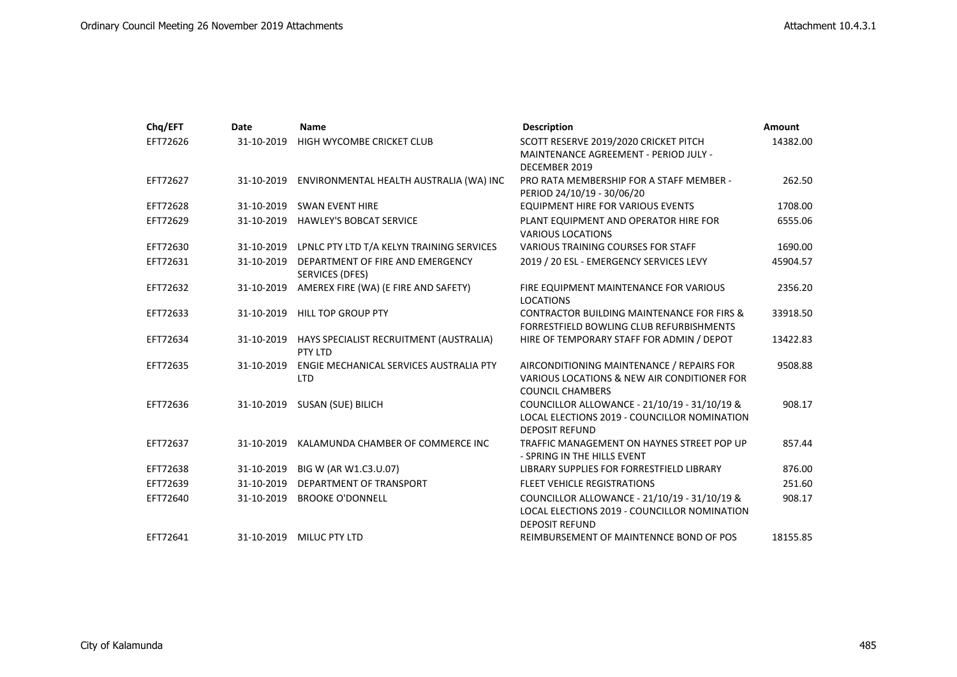| Chq/EFT  | Date       | <b>Name</b>                                           | <b>Description</b>                                                                                                    | <b>Amount</b> |
|----------|------------|-------------------------------------------------------|-----------------------------------------------------------------------------------------------------------------------|---------------|
| EFT72626 | 31-10-2019 | HIGH WYCOMBE CRICKET CLUB                             | SCOTT RESERVE 2019/2020 CRICKET PITCH<br>MAINTENANCE AGREEMENT - PERIOD JULY -                                        | 14382.00      |
|          |            |                                                       | DECEMBER 2019                                                                                                         |               |
| EFT72627 | 31-10-2019 | ENVIRONMENTAL HEALTH AUSTRALIA (WA) INC               | PRO RATA MEMBERSHIP FOR A STAFF MEMBER -<br>PERIOD 24/10/19 - 30/06/20                                                | 262.50        |
| EFT72628 | 31-10-2019 | <b>SWAN EVENT HIRE</b>                                | <b>EQUIPMENT HIRE FOR VARIOUS EVENTS</b>                                                                              | 1708.00       |
| EFT72629 |            | 31-10-2019 HAWLEY'S BOBCAT SERVICE                    | PLANT EQUIPMENT AND OPERATOR HIRE FOR<br><b>VARIOUS LOCATIONS</b>                                                     | 6555.06       |
| EFT72630 | 31-10-2019 | LPNLC PTY LTD T/A KELYN TRAINING SERVICES             | VARIOUS TRAINING COURSES FOR STAFF                                                                                    | 1690.00       |
| EFT72631 | 31-10-2019 | DEPARTMENT OF FIRE AND EMERGENCY<br>SERVICES (DFES)   | 2019 / 20 ESL - EMERGENCY SERVICES LEVY                                                                               | 45904.57      |
| EFT72632 | 31-10-2019 | AMEREX FIRE (WA) (E FIRE AND SAFETY)                  | FIRE EQUIPMENT MAINTENANCE FOR VARIOUS<br><b>LOCATIONS</b>                                                            | 2356.20       |
| EFT72633 | 31-10-2019 | <b>HILL TOP GROUP PTY</b>                             | <b>CONTRACTOR BUILDING MAINTENANCE FOR FIRS &amp;</b><br>FORRESTFIELD BOWLING CLUB REFURBISHMENTS                     | 33918.50      |
| EFT72634 | 31-10-2019 | HAYS SPECIALIST RECRUITMENT (AUSTRALIA)<br>PTY LTD    | HIRE OF TEMPORARY STAFF FOR ADMIN / DEPOT                                                                             | 13422.83      |
| EFT72635 | 31-10-2019 | ENGIE MECHANICAL SERVICES AUSTRALIA PTY<br><b>LTD</b> | AIRCONDITIONING MAINTENANCE / REPAIRS FOR<br>VARIOUS LOCATIONS & NEW AIR CONDITIONER FOR<br><b>COUNCIL CHAMBERS</b>   | 9508.88       |
| EFT72636 | 31-10-2019 | <b>SUSAN (SUE) BILICH</b>                             | COUNCILLOR ALLOWANCE - 21/10/19 - 31/10/19 &<br>LOCAL ELECTIONS 2019 - COUNCILLOR NOMINATION<br><b>DEPOSIT REFUND</b> | 908.17        |
| EFT72637 | 31-10-2019 | KALAMUNDA CHAMBER OF COMMERCE INC                     | TRAFFIC MANAGEMENT ON HAYNES STREET POP UP<br>- SPRING IN THE HILLS EVENT                                             | 857.44        |
| EFT72638 | 31-10-2019 | BIG W (AR W1.C3.U.07)                                 | LIBRARY SUPPLIES FOR FORRESTFIELD LIBRARY                                                                             | 876.00        |
| EFT72639 | 31-10-2019 | DEPARTMENT OF TRANSPORT                               | <b>FLEET VEHICLE REGISTRATIONS</b>                                                                                    | 251.60        |
| EFT72640 | 31-10-2019 | <b>BROOKE O'DONNELL</b>                               | COUNCILLOR ALLOWANCE - 21/10/19 - 31/10/19 &<br>LOCAL ELECTIONS 2019 - COUNCILLOR NOMINATION<br><b>DEPOSIT REFUND</b> | 908.17        |
| EFT72641 | 31-10-2019 | <b>MILUC PTY LTD</b>                                  | REIMBURSEMENT OF MAINTENNCE BOND OF POS                                                                               | 18155.85      |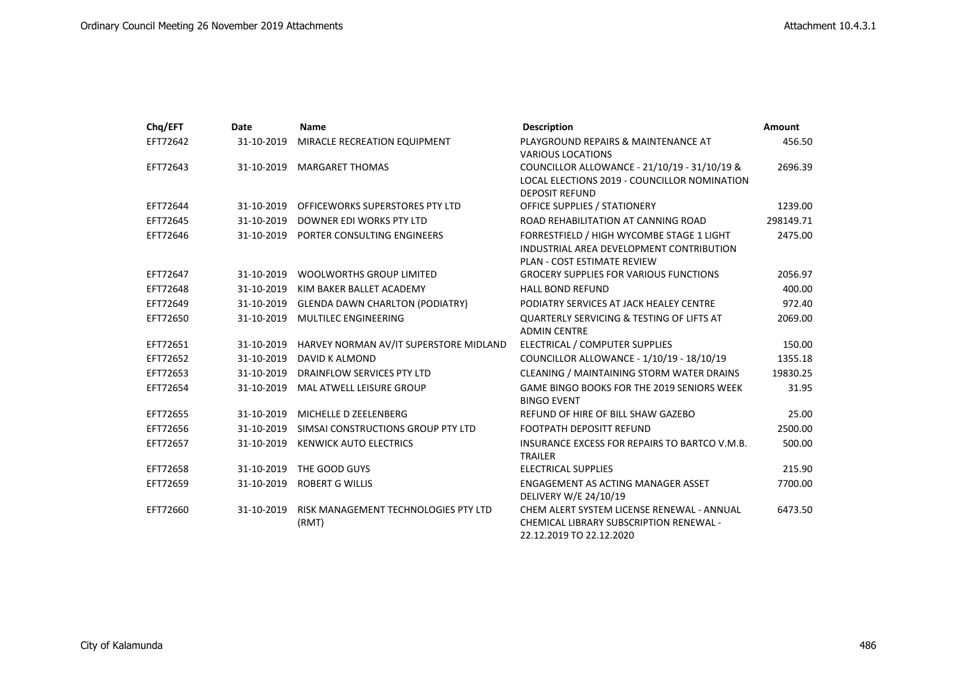| Chq/EFT  | Date       | <b>Name</b>                                   | <b>Description</b>                                                                                                          | <b>Amount</b> |
|----------|------------|-----------------------------------------------|-----------------------------------------------------------------------------------------------------------------------------|---------------|
| EFT72642 | 31-10-2019 | MIRACLE RECREATION EQUIPMENT                  | PLAYGROUND REPAIRS & MAINTENANCE AT<br><b>VARIOUS LOCATIONS</b>                                                             | 456.50        |
| EFT72643 | 31-10-2019 | MARGARET THOMAS                               | COUNCILLOR ALLOWANCE - 21/10/19 - 31/10/19 &<br>LOCAL ELECTIONS 2019 - COUNCILLOR NOMINATION<br><b>DEPOSIT REFUND</b>       | 2696.39       |
| EFT72644 | 31-10-2019 | OFFICEWORKS SUPERSTORES PTY LTD               | OFFICE SUPPLIES / STATIONERY                                                                                                | 1239.00       |
| EFT72645 | 31-10-2019 | DOWNER EDI WORKS PTY LTD                      | ROAD REHABILITATION AT CANNING ROAD                                                                                         | 298149.71     |
| EFT72646 |            | 31-10-2019 PORTER CONSULTING ENGINEERS        | FORRESTFIELD / HIGH WYCOMBE STAGE 1 LIGHT<br>INDUSTRIAL AREA DEVELOPMENT CONTRIBUTION<br><b>PLAN - COST ESTIMATE REVIEW</b> | 2475.00       |
| EFT72647 | 31-10-2019 | <b>WOOLWORTHS GROUP LIMITED</b>               | <b>GROCERY SUPPLIES FOR VARIOUS FUNCTIONS</b>                                                                               | 2056.97       |
| EFT72648 | 31-10-2019 | KIM BAKER BALLET ACADEMY                      | <b>HALL BOND REFUND</b>                                                                                                     | 400.00        |
| EFT72649 | 31-10-2019 | <b>GLENDA DAWN CHARLTON (PODIATRY)</b>        | PODIATRY SERVICES AT JACK HEALEY CENTRE                                                                                     | 972.40        |
| EFT72650 | 31-10-2019 | MULTILEC ENGINEERING                          | <b>QUARTERLY SERVICING &amp; TESTING OF LIFTS AT</b><br><b>ADMIN CENTRE</b>                                                 | 2069.00       |
| EFT72651 | 31-10-2019 | HARVEY NORMAN AV/IT SUPERSTORE MIDLAND        | ELECTRICAL / COMPUTER SUPPLIES                                                                                              | 150.00        |
| EFT72652 | 31-10-2019 | DAVID K ALMOND                                | COUNCILLOR ALLOWANCE - 1/10/19 - 18/10/19                                                                                   | 1355.18       |
| EFT72653 | 31-10-2019 | DRAINFLOW SERVICES PTY LTD                    | CLEANING / MAINTAINING STORM WATER DRAINS                                                                                   | 19830.25      |
| EFT72654 | 31-10-2019 | MAL ATWELL LEISURE GROUP                      | <b>GAME BINGO BOOKS FOR THE 2019 SENIORS WEEK</b><br><b>BINGO EVENT</b>                                                     | 31.95         |
| EFT72655 | 31-10-2019 | MICHELLE D ZEELENBERG                         | REFUND OF HIRE OF BILL SHAW GAZEBO                                                                                          | 25.00         |
| EFT72656 | 31-10-2019 | SIMSAI CONSTRUCTIONS GROUP PTY LTD            | <b>FOOTPATH DEPOSITT REFUND</b>                                                                                             | 2500.00       |
| EFT72657 | 31-10-2019 | <b>KENWICK AUTO ELECTRICS</b>                 | INSURANCE EXCESS FOR REPAIRS TO BARTCO V.M.B.<br><b>TRAILER</b>                                                             | 500.00        |
| EFT72658 | 31-10-2019 | THE GOOD GUYS                                 | <b>ELECTRICAL SUPPLIES</b>                                                                                                  | 215.90        |
| EFT72659 | 31-10-2019 | <b>ROBERT G WILLIS</b>                        | ENGAGEMENT AS ACTING MANAGER ASSET<br>DELIVERY W/E 24/10/19                                                                 | 7700.00       |
| EFT72660 | 31-10-2019 | RISK MANAGEMENT TECHNOLOGIES PTY LTD<br>(RMT) | CHEM ALERT SYSTEM LICENSE RENEWAL - ANNUAL<br><b>CHEMICAL LIBRARY SUBSCRIPTION RENEWAL -</b><br>22.12.2019 TO 22.12.2020    | 6473.50       |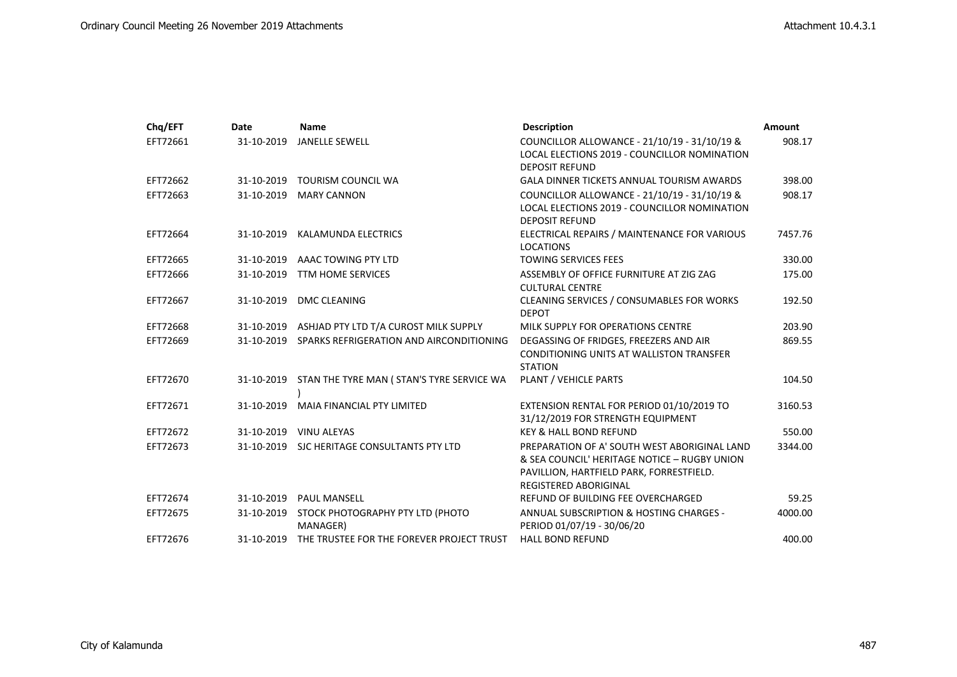| Chq/EFT  | Date       | <b>Name</b>                                  | <b>Description</b>                                                                                                                                                       | <b>Amount</b> |
|----------|------------|----------------------------------------------|--------------------------------------------------------------------------------------------------------------------------------------------------------------------------|---------------|
| EFT72661 | 31-10-2019 | <b>JANELLE SEWELL</b>                        | COUNCILLOR ALLOWANCE - 21/10/19 - 31/10/19 &<br>LOCAL ELECTIONS 2019 - COUNCILLOR NOMINATION                                                                             | 908.17        |
|          |            |                                              | <b>DEPOSIT REFUND</b>                                                                                                                                                    |               |
| EFT72662 | 31-10-2019 | <b>TOURISM COUNCIL WA</b>                    | <b>GALA DINNER TICKETS ANNUAL TOURISM AWARDS</b>                                                                                                                         | 398.00        |
| EFT72663 | 31-10-2019 | <b>MARY CANNON</b>                           | COUNCILLOR ALLOWANCE - 21/10/19 - 31/10/19 &<br>LOCAL ELECTIONS 2019 - COUNCILLOR NOMINATION<br><b>DEPOSIT REFUND</b>                                                    | 908.17        |
| EFT72664 | 31-10-2019 | <b>KALAMUNDA ELECTRICS</b>                   | ELECTRICAL REPAIRS / MAINTENANCE FOR VARIOUS<br><b>LOCATIONS</b>                                                                                                         | 7457.76       |
| EFT72665 | 31-10-2019 | AAAC TOWING PTY LTD                          | <b>TOWING SERVICES FEES</b>                                                                                                                                              | 330.00        |
| EFT72666 | 31-10-2019 | <b>TTM HOME SERVICES</b>                     | ASSEMBLY OF OFFICE FURNITURE AT ZIG ZAG<br><b>CULTURAL CENTRE</b>                                                                                                        | 175.00        |
| EFT72667 | 31-10-2019 | <b>DMC CLEANING</b>                          | CLEANING SERVICES / CONSUMABLES FOR WORKS<br><b>DEPOT</b>                                                                                                                | 192.50        |
| EFT72668 | 31-10-2019 | ASHJAD PTY LTD T/A CUROST MILK SUPPLY        | MILK SUPPLY FOR OPERATIONS CENTRE                                                                                                                                        | 203.90        |
| EFT72669 | 31-10-2019 | SPARKS REFRIGERATION AND AIRCONDITIONING     | DEGASSING OF FRIDGES, FREEZERS AND AIR<br><b>CONDITIONING UNITS AT WALLISTON TRANSFER</b><br><b>STATION</b>                                                              | 869.55        |
| EFT72670 | 31-10-2019 | STAN THE TYRE MAN ( STAN'S TYRE SERVICE WA   | PLANT / VEHICLE PARTS                                                                                                                                                    | 104.50        |
| EFT72671 | 31-10-2019 | <b>MAIA FINANCIAL PTY LIMITED</b>            | EXTENSION RENTAL FOR PERIOD 01/10/2019 TO<br>31/12/2019 FOR STRENGTH EQUIPMENT                                                                                           | 3160.53       |
| EFT72672 | 31-10-2019 | <b>VINU ALEYAS</b>                           | <b>KEY &amp; HALL BOND REFUND</b>                                                                                                                                        | 550.00        |
| EFT72673 |            | 31-10-2019 SJC HERITAGE CONSULTANTS PTY LTD  | PREPARATION OF A' SOUTH WEST ABORIGINAL LAND<br>& SEA COUNCIL' HERITAGE NOTICE - RUGBY UNION<br>PAVILLION, HARTFIELD PARK, FORRESTFIELD.<br><b>REGISTERED ABORIGINAL</b> | 3344.00       |
| EFT72674 | 31-10-2019 | <b>PAUL MANSELL</b>                          | REFUND OF BUILDING FEE OVERCHARGED                                                                                                                                       | 59.25         |
| EFT72675 | 31-10-2019 | STOCK PHOTOGRAPHY PTY LTD (PHOTO<br>MANAGER) | ANNUAL SUBSCRIPTION & HOSTING CHARGES -<br>PERIOD 01/07/19 - 30/06/20                                                                                                    | 4000.00       |
| EFT72676 | 31-10-2019 | THE TRUSTEE FOR THE FOREVER PROJECT TRUST    | <b>HALL BOND REFUND</b>                                                                                                                                                  | 400.00        |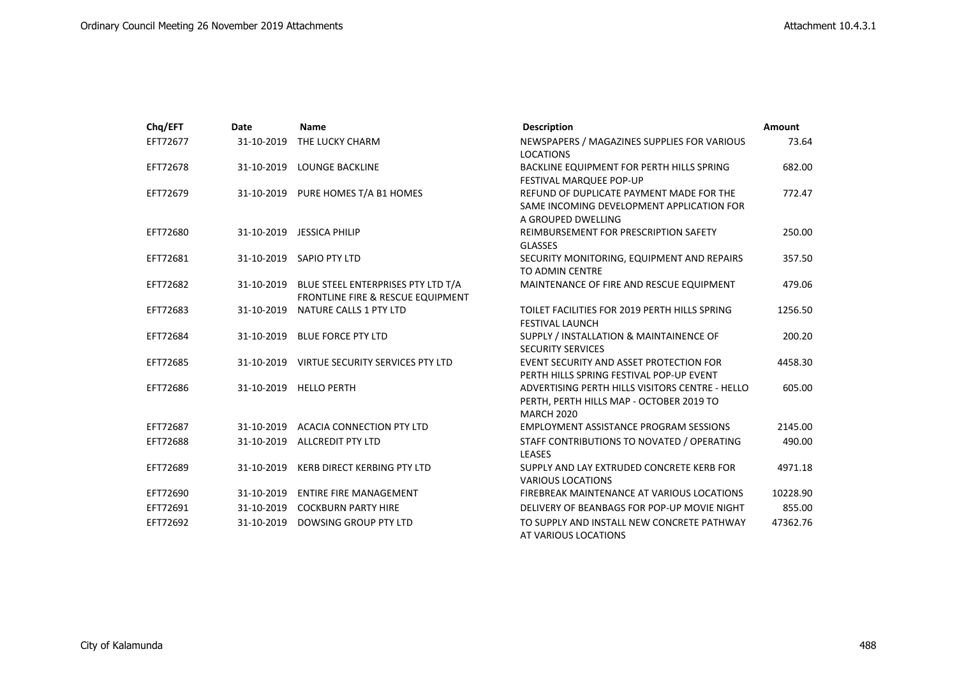| Chq/EFT  | Date       | <b>Name</b>                                                                                   | <b>Description</b>                                                                                               | <b>Amount</b> |
|----------|------------|-----------------------------------------------------------------------------------------------|------------------------------------------------------------------------------------------------------------------|---------------|
| EFT72677 | 31-10-2019 | THE LUCKY CHARM                                                                               | NEWSPAPERS / MAGAZINES SUPPLIES FOR VARIOUS<br><b>LOCATIONS</b>                                                  | 73.64         |
| EFT72678 | 31-10-2019 | <b>LOUNGE BACKLINE</b>                                                                        | BACKLINE EQUIPMENT FOR PERTH HILLS SPRING<br><b>FESTIVAL MARQUEE POP-UP</b>                                      | 682.00        |
| EFT72679 | 31-10-2019 | PURE HOMES T/A B1 HOMES                                                                       | REFUND OF DUPLICATE PAYMENT MADE FOR THE<br>SAME INCOMING DEVELOPMENT APPLICATION FOR<br>A GROUPED DWELLING      | 772.47        |
| EFT72680 |            | 31-10-2019 JESSICA PHILIP                                                                     | REIMBURSEMENT FOR PRESCRIPTION SAFETY<br><b>GLASSES</b>                                                          | 250.00        |
| EFT72681 | 31-10-2019 | SAPIO PTY LTD                                                                                 | SECURITY MONITORING, EQUIPMENT AND REPAIRS<br>TO ADMIN CENTRE                                                    | 357.50        |
| EFT72682 |            | 31-10-2019 BLUE STEEL ENTERPRISES PTY LTD T/A<br><b>FRONTLINE FIRE &amp; RESCUE EQUIPMENT</b> | MAINTENANCE OF FIRE AND RESCUE EQUIPMENT                                                                         | 479.06        |
| EFT72683 | 31-10-2019 | NATURE CALLS 1 PTY LTD                                                                        | TOILET FACILITIES FOR 2019 PERTH HILLS SPRING<br><b>FESTIVAL LAUNCH</b>                                          | 1256.50       |
| EFT72684 | 31-10-2019 | <b>BLUE FORCE PTY LTD</b>                                                                     | SUPPLY / INSTALLATION & MAINTAINENCE OF<br><b>SECURITY SERVICES</b>                                              | 200.20        |
| EFT72685 |            | 31-10-2019 VIRTUE SECURITY SERVICES PTY LTD                                                   | EVENT SECURITY AND ASSET PROTECTION FOR<br>PERTH HILLS SPRING FESTIVAL POP-UP EVENT                              | 4458.30       |
| EFT72686 |            | 31-10-2019 HELLO PERTH                                                                        | ADVERTISING PERTH HILLS VISITORS CENTRE - HELLO<br>PERTH, PERTH HILLS MAP - OCTOBER 2019 TO<br><b>MARCH 2020</b> | 605.00        |
| EFT72687 | 31-10-2019 | <b>ACACIA CONNECTION PTY LTD</b>                                                              | <b>EMPLOYMENT ASSISTANCE PROGRAM SESSIONS</b>                                                                    | 2145.00       |
| EFT72688 | 31-10-2019 | <b>ALLCREDIT PTY LTD</b>                                                                      | STAFF CONTRIBUTIONS TO NOVATED / OPERATING<br><b>LEASES</b>                                                      | 490.00        |
| EFT72689 | 31-10-2019 | <b>KERB DIRECT KERBING PTY LTD</b>                                                            | SUPPLY AND LAY EXTRUDED CONCRETE KERB FOR<br><b>VARIOUS LOCATIONS</b>                                            | 4971.18       |
| EFT72690 | 31-10-2019 | <b>ENTIRE FIRE MANAGEMENT</b>                                                                 | FIREBREAK MAINTENANCE AT VARIOUS LOCATIONS                                                                       | 10228.90      |
| EFT72691 |            | 31-10-2019 COCKBURN PARTY HIRE                                                                | DELIVERY OF BEANBAGS FOR POP-UP MOVIE NIGHT                                                                      | 855.00        |
| EFT72692 | 31-10-2019 | DOWSING GROUP PTY LTD                                                                         | TO SUPPLY AND INSTALL NEW CONCRETE PATHWAY<br>AT VARIOUS LOCATIONS                                               | 47362.76      |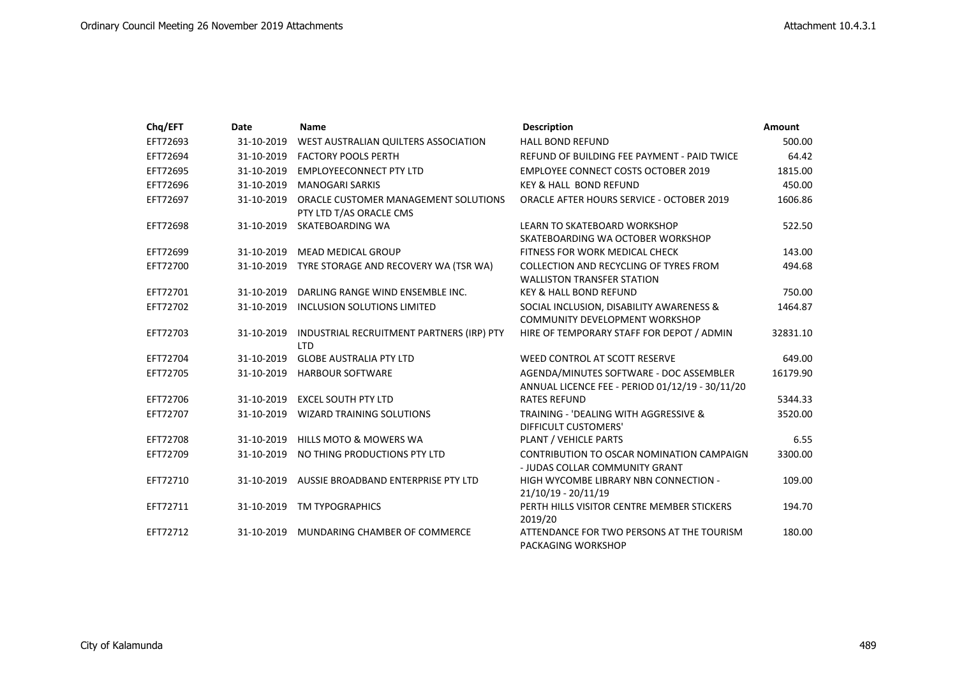| Chq/EFT  | Date       | <b>Name</b>                                                     | <b>Description</b>                                                                         | <b>Amount</b> |
|----------|------------|-----------------------------------------------------------------|--------------------------------------------------------------------------------------------|---------------|
| EFT72693 | 31-10-2019 | WEST AUSTRALIAN QUILTERS ASSOCIATION                            | HALL BOND REFUND                                                                           | 500.00        |
| EFT72694 | 31-10-2019 | <b>FACTORY POOLS PERTH</b>                                      | REFUND OF BUILDING FEE PAYMENT - PAID TWICE                                                | 64.42         |
| EFT72695 | 31-10-2019 | <b>EMPLOYEECONNECT PTY LTD</b>                                  | <b>EMPLOYEE CONNECT COSTS OCTOBER 2019</b>                                                 | 1815.00       |
| EFT72696 | 31-10-2019 | <b>MANOGARI SARKIS</b>                                          | <b>KEY &amp; HALL BOND REFUND</b>                                                          | 450.00        |
| EFT72697 | 31-10-2019 | ORACLE CUSTOMER MANAGEMENT SOLUTIONS<br>PTY LTD T/AS ORACLE CMS | <b>ORACLE AFTER HOURS SERVICE - OCTOBER 2019</b>                                           | 1606.86       |
| EFT72698 | 31-10-2019 | SKATEBOARDING WA                                                | LEARN TO SKATEBOARD WORKSHOP<br>SKATEBOARDING WA OCTOBER WORKSHOP                          | 522.50        |
| EFT72699 | 31-10-2019 | <b>MEAD MEDICAL GROUP</b>                                       | FITNESS FOR WORK MEDICAL CHECK                                                             | 143.00        |
| EFT72700 | 31-10-2019 | TYRE STORAGE AND RECOVERY WA (TSR WA)                           | COLLECTION AND RECYCLING OF TYRES FROM<br><b>WALLISTON TRANSFER STATION</b>                | 494.68        |
| EFT72701 | 31-10-2019 | DARLING RANGE WIND ENSEMBLE INC.                                | <b>KEY &amp; HALL BOND REFUND</b>                                                          | 750.00        |
| EFT72702 | 31-10-2019 | INCLUSION SOLUTIONS LIMITED                                     | SOCIAL INCLUSION, DISABILITY AWARENESS &<br><b>COMMUNITY DEVELOPMENT WORKSHOP</b>          | 1464.87       |
| EFT72703 | 31-10-2019 | INDUSTRIAL RECRUITMENT PARTNERS (IRP) PTY<br><b>LTD</b>         | HIRE OF TEMPORARY STAFF FOR DEPOT / ADMIN                                                  | 32831.10      |
| EFT72704 | 31-10-2019 | <b>GLOBE AUSTRALIA PTY LTD</b>                                  | WEED CONTROL AT SCOTT RESERVE                                                              | 649.00        |
| EFT72705 | 31-10-2019 | <b>HARBOUR SOFTWARE</b>                                         | AGENDA/MINUTES SOFTWARE - DOC ASSEMBLER<br>ANNUAL LICENCE FEE - PERIOD 01/12/19 - 30/11/20 | 16179.90      |
| EFT72706 | 31-10-2019 | <b>EXCEL SOUTH PTY LTD</b>                                      | <b>RATES REFUND</b>                                                                        | 5344.33       |
| EFT72707 | 31-10-2019 | <b>WIZARD TRAINING SOLUTIONS</b>                                | TRAINING - 'DEALING WITH AGGRESSIVE &<br><b>DIFFICULT CUSTOMERS'</b>                       | 3520.00       |
| EFT72708 | 31-10-2019 | HILLS MOTO & MOWERS WA                                          | PLANT / VEHICLE PARTS                                                                      | 6.55          |
| EFT72709 | 31-10-2019 | NO THING PRODUCTIONS PTY LTD                                    | CONTRIBUTION TO OSCAR NOMINATION CAMPAIGN<br>- JUDAS COLLAR COMMUNITY GRANT                | 3300.00       |
| EFT72710 | 31-10-2019 | AUSSIE BROADBAND ENTERPRISE PTY LTD                             | HIGH WYCOMBE LIBRARY NBN CONNECTION -<br>21/10/19 - 20/11/19                               | 109.00        |
| EFT72711 | 31-10-2019 | <b>TM TYPOGRAPHICS</b>                                          | PERTH HILLS VISITOR CENTRE MEMBER STICKERS<br>2019/20                                      | 194.70        |
| EFT72712 | 31-10-2019 | MUNDARING CHAMBER OF COMMERCE                                   | ATTENDANCE FOR TWO PERSONS AT THE TOURISM<br>PACKAGING WORKSHOP                            | 180.00        |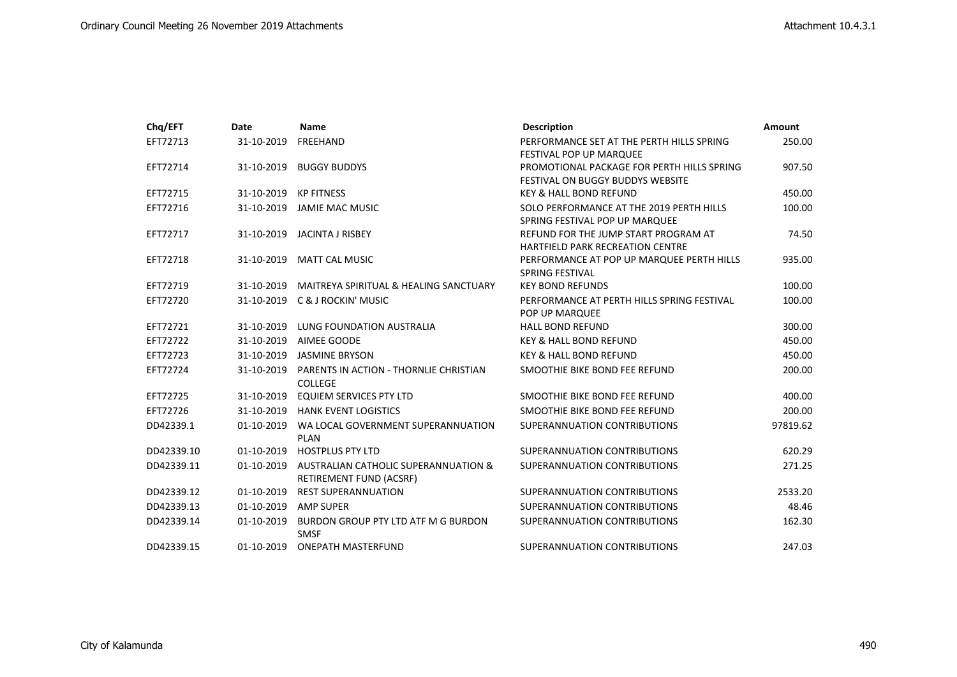| Chq/EFT    | Date       | <b>Name</b>                                                     | <b>Description</b>                                                                    | <b>Amount</b> |
|------------|------------|-----------------------------------------------------------------|---------------------------------------------------------------------------------------|---------------|
| EFT72713   | 31-10-2019 | <b>FREEHAND</b>                                                 | PERFORMANCE SET AT THE PERTH HILLS SPRING<br><b>FESTIVAL POP UP MARQUEE</b>           | 250.00        |
| EFT72714   | 31-10-2019 | <b>BUGGY BUDDYS</b>                                             | PROMOTIONAL PACKAGE FOR PERTH HILLS SPRING<br><b>FESTIVAL ON BUGGY BUDDYS WEBSITE</b> | 907.50        |
| EFT72715   | 31-10-2019 | <b>KP FITNESS</b>                                               | <b>KEY &amp; HALL BOND REFUND</b>                                                     | 450.00        |
| EFT72716   | 31-10-2019 | JAMIE MAC MUSIC                                                 | SOLO PERFORMANCE AT THE 2019 PERTH HILLS<br>SPRING FESTIVAL POP UP MARQUEE            | 100.00        |
| EFT72717   | 31-10-2019 | JACINTA J RISBEY                                                | REFUND FOR THE JUMP START PROGRAM AT<br><b>HARTFIELD PARK RECREATION CENTRE</b>       | 74.50         |
| EFT72718   | 31-10-2019 | <b>MATT CAL MUSIC</b>                                           | PERFORMANCE AT POP UP MARQUEE PERTH HILLS<br><b>SPRING FESTIVAL</b>                   | 935.00        |
| EFT72719   | 31-10-2019 | MAITREYA SPIRITUAL & HEALING SANCTUARY                          | <b>KEY BOND REFUNDS</b>                                                               | 100.00        |
| EFT72720   | 31-10-2019 | <b>C &amp; J ROCKIN' MUSIC</b>                                  | PERFORMANCE AT PERTH HILLS SPRING FESTIVAL<br>POP UP MARQUEE                          | 100.00        |
| EFT72721   | 31-10-2019 | LUNG FOUNDATION AUSTRALIA                                       | <b>HALL BOND REFUND</b>                                                               | 300.00        |
| EFT72722   | 31-10-2019 | AIMEE GOODE                                                     | <b>KEY &amp; HALL BOND REFUND</b>                                                     | 450.00        |
| EFT72723   | 31-10-2019 | <b>JASMINE BRYSON</b>                                           | <b>KEY &amp; HALL BOND REFUND</b>                                                     | 450.00        |
| EFT72724   | 31-10-2019 | PARENTS IN ACTION - THORNLIE CHRISTIAN<br><b>COLLEGE</b>        | SMOOTHIE BIKE BOND FEE REFUND                                                         | 200.00        |
| EFT72725   | 31-10-2019 | <b>EQUIEM SERVICES PTY LTD</b>                                  | SMOOTHIE BIKE BOND FEE REFUND                                                         | 400.00        |
| EFT72726   | 31-10-2019 | <b>HANK EVENT LOGISTICS</b>                                     | SMOOTHIE BIKE BOND FEE REFUND                                                         | 200.00        |
| DD42339.1  | 01-10-2019 | WA LOCAL GOVERNMENT SUPERANNUATION<br><b>PLAN</b>               | SUPERANNUATION CONTRIBUTIONS                                                          | 97819.62      |
| DD42339.10 | 01-10-2019 | <b>HOSTPLUS PTY LTD</b>                                         | SUPERANNUATION CONTRIBUTIONS                                                          | 620.29        |
| DD42339.11 | 01-10-2019 | AUSTRALIAN CATHOLIC SUPERANNUATION &<br>RETIREMENT FUND (ACSRF) | SUPERANNUATION CONTRIBUTIONS                                                          | 271.25        |
| DD42339.12 | 01-10-2019 | <b>REST SUPERANNUATION</b>                                      | SUPERANNUATION CONTRIBUTIONS                                                          | 2533.20       |
| DD42339.13 | 01-10-2019 | <b>AMP SUPER</b>                                                | SUPERANNUATION CONTRIBUTIONS                                                          | 48.46         |
| DD42339.14 | 01-10-2019 | BURDON GROUP PTY LTD ATF M G BURDON<br><b>SMSF</b>              | SUPERANNUATION CONTRIBUTIONS                                                          | 162.30        |
| DD42339.15 |            | 01-10-2019 ONEPATH MASTERFUND                                   | SUPERANNUATION CONTRIBUTIONS                                                          | 247.03        |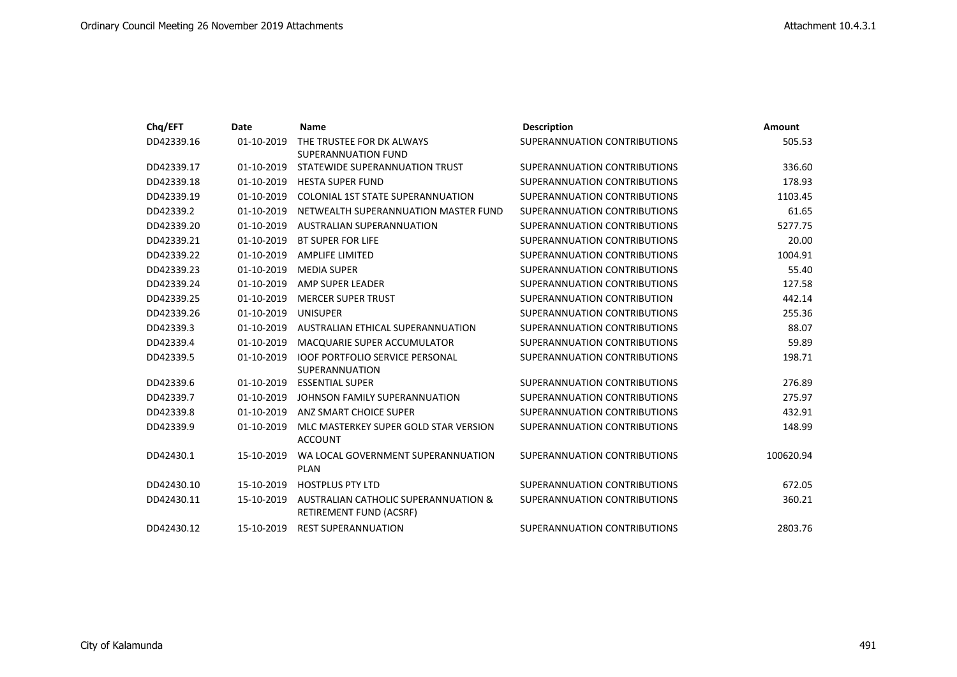| Chq/EFT    | Date       | <b>Name</b>                                                     | <b>Description</b>           | <b>Amount</b> |
|------------|------------|-----------------------------------------------------------------|------------------------------|---------------|
| DD42339.16 | 01-10-2019 | THE TRUSTEE FOR DK ALWAYS<br><b>SUPERANNUATION FUND</b>         | SUPERANNUATION CONTRIBUTIONS | 505.53        |
| DD42339.17 | 01-10-2019 | STATEWIDE SUPERANNUATION TRUST                                  | SUPERANNUATION CONTRIBUTIONS | 336.60        |
| DD42339.18 | 01-10-2019 | <b>HESTA SUPER FUND</b>                                         | SUPERANNUATION CONTRIBUTIONS | 178.93        |
| DD42339.19 | 01-10-2019 | COLONIAL 1ST STATE SUPERANNUATION                               | SUPERANNUATION CONTRIBUTIONS | 1103.45       |
| DD42339.2  | 01-10-2019 | NETWEALTH SUPERANNUATION MASTER FUND                            | SUPERANNUATION CONTRIBUTIONS | 61.65         |
| DD42339.20 | 01-10-2019 | <b>AUSTRALIAN SUPERANNUATION</b>                                | SUPERANNUATION CONTRIBUTIONS | 5277.75       |
| DD42339.21 | 01-10-2019 | <b>BT SUPER FOR LIFE</b>                                        | SUPERANNUATION CONTRIBUTIONS | 20.00         |
| DD42339.22 | 01-10-2019 | <b>AMPLIFE LIMITED</b>                                          | SUPERANNUATION CONTRIBUTIONS | 1004.91       |
| DD42339.23 | 01-10-2019 | <b>MEDIA SUPER</b>                                              | SUPERANNUATION CONTRIBUTIONS | 55.40         |
| DD42339.24 | 01-10-2019 | AMP SUPER LEADER                                                | SUPERANNUATION CONTRIBUTIONS | 127.58        |
| DD42339.25 | 01-10-2019 | <b>MERCER SUPER TRUST</b>                                       | SUPERANNUATION CONTRIBUTION  | 442.14        |
| DD42339.26 | 01-10-2019 | <b>UNISUPER</b>                                                 | SUPERANNUATION CONTRIBUTIONS | 255.36        |
| DD42339.3  | 01-10-2019 | AUSTRALIAN ETHICAL SUPERANNUATION                               | SUPERANNUATION CONTRIBUTIONS | 88.07         |
| DD42339.4  | 01-10-2019 | <b>MACQUARIE SUPER ACCUMULATOR</b>                              | SUPERANNUATION CONTRIBUTIONS | 59.89         |
| DD42339.5  | 01-10-2019 | <b>IOOF PORTFOLIO SERVICE PERSONAL</b><br><b>SUPERANNUATION</b> | SUPERANNUATION CONTRIBUTIONS | 198.71        |
| DD42339.6  | 01-10-2019 | <b>ESSENTIAL SUPER</b>                                          | SUPERANNUATION CONTRIBUTIONS | 276.89        |
| DD42339.7  | 01-10-2019 | JOHNSON FAMILY SUPERANNUATION                                   | SUPERANNUATION CONTRIBUTIONS | 275.97        |
| DD42339.8  | 01-10-2019 | ANZ SMART CHOICE SUPER                                          | SUPERANNUATION CONTRIBUTIONS | 432.91        |
| DD42339.9  | 01-10-2019 | MLC MASTERKEY SUPER GOLD STAR VERSION<br><b>ACCOUNT</b>         | SUPERANNUATION CONTRIBUTIONS | 148.99        |
| DD42430.1  | 15-10-2019 | WA LOCAL GOVERNMENT SUPERANNUATION<br><b>PLAN</b>               | SUPERANNUATION CONTRIBUTIONS | 100620.94     |
| DD42430.10 | 15-10-2019 | <b>HOSTPLUS PTY LTD</b>                                         | SUPERANNUATION CONTRIBUTIONS | 672.05        |
| DD42430.11 | 15-10-2019 | AUSTRALIAN CATHOLIC SUPERANNUATION &<br>RETIREMENT FUND (ACSRF) | SUPERANNUATION CONTRIBUTIONS | 360.21        |
| DD42430.12 | 15-10-2019 | <b>REST SUPERANNUATION</b>                                      | SUPERANNUATION CONTRIBUTIONS | 2803.76       |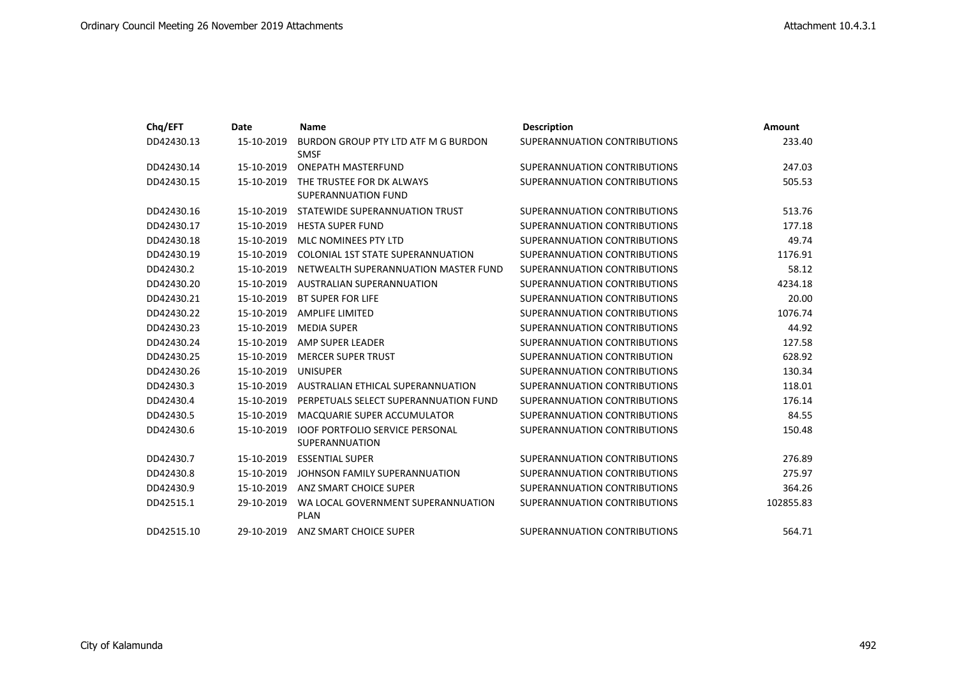| Chq/EFT    | Date       | <b>Name</b>                                              | <b>Description</b>           | Amount    |
|------------|------------|----------------------------------------------------------|------------------------------|-----------|
| DD42430.13 | 15-10-2019 | BURDON GROUP PTY LTD ATF M G BURDON<br><b>SMSF</b>       | SUPERANNUATION CONTRIBUTIONS | 233.40    |
| DD42430.14 | 15-10-2019 | <b>ONEPATH MASTERFUND</b>                                | SUPERANNUATION CONTRIBUTIONS | 247.03    |
| DD42430.15 | 15-10-2019 | THE TRUSTEE FOR DK ALWAYS<br><b>SUPERANNUATION FUND</b>  | SUPERANNUATION CONTRIBUTIONS | 505.53    |
| DD42430.16 | 15-10-2019 | STATEWIDE SUPERANNUATION TRUST                           | SUPERANNUATION CONTRIBUTIONS | 513.76    |
| DD42430.17 | 15-10-2019 | <b>HESTA SUPER FUND</b>                                  | SUPERANNUATION CONTRIBUTIONS | 177.18    |
| DD42430.18 | 15-10-2019 | MLC NOMINEES PTY LTD                                     | SUPERANNUATION CONTRIBUTIONS | 49.74     |
| DD42430.19 | 15-10-2019 | <b>COLONIAL 1ST STATE SUPERANNUATION</b>                 | SUPERANNUATION CONTRIBUTIONS | 1176.91   |
| DD42430.2  | 15-10-2019 | NETWEALTH SUPERANNUATION MASTER FUND                     | SUPERANNUATION CONTRIBUTIONS | 58.12     |
| DD42430.20 | 15-10-2019 | AUSTRALIAN SUPERANNUATION                                | SUPERANNUATION CONTRIBUTIONS | 4234.18   |
| DD42430.21 | 15-10-2019 | <b>BT SUPER FOR LIFE</b>                                 | SUPERANNUATION CONTRIBUTIONS | 20.00     |
| DD42430.22 | 15-10-2019 | <b>AMPLIFE LIMITED</b>                                   | SUPERANNUATION CONTRIBUTIONS | 1076.74   |
| DD42430.23 | 15-10-2019 | <b>MEDIA SUPER</b>                                       | SUPERANNUATION CONTRIBUTIONS | 44.92     |
| DD42430.24 | 15-10-2019 | AMP SUPER LEADER                                         | SUPERANNUATION CONTRIBUTIONS | 127.58    |
| DD42430.25 | 15-10-2019 | <b>MERCER SUPER TRUST</b>                                | SUPERANNUATION CONTRIBUTION  | 628.92    |
| DD42430.26 | 15-10-2019 | <b>UNISUPER</b>                                          | SUPERANNUATION CONTRIBUTIONS | 130.34    |
| DD42430.3  | 15-10-2019 | AUSTRALIAN ETHICAL SUPERANNUATION                        | SUPERANNUATION CONTRIBUTIONS | 118.01    |
| DD42430.4  | 15-10-2019 | PERPETUALS SELECT SUPERANNUATION FUND                    | SUPERANNUATION CONTRIBUTIONS | 176.14    |
| DD42430.5  | 15-10-2019 | MACQUARIE SUPER ACCUMULATOR                              | SUPERANNUATION CONTRIBUTIONS | 84.55     |
| DD42430.6  | 15-10-2019 | <b>IOOF PORTFOLIO SERVICE PERSONAL</b><br>SUPERANNUATION | SUPERANNUATION CONTRIBUTIONS | 150.48    |
| DD42430.7  | 15-10-2019 | <b>ESSENTIAL SUPER</b>                                   | SUPERANNUATION CONTRIBUTIONS | 276.89    |
| DD42430.8  | 15-10-2019 | JOHNSON FAMILY SUPERANNUATION                            | SUPERANNUATION CONTRIBUTIONS | 275.97    |
| DD42430.9  | 15-10-2019 | ANZ SMART CHOICE SUPER                                   | SUPERANNUATION CONTRIBUTIONS | 364.26    |
| DD42515.1  | 29-10-2019 | WA LOCAL GOVERNMENT SUPERANNUATION<br><b>PLAN</b>        | SUPERANNUATION CONTRIBUTIONS | 102855.83 |
| DD42515.10 | 29-10-2019 | ANZ SMART CHOICE SUPER                                   | SUPERANNUATION CONTRIBUTIONS | 564.71    |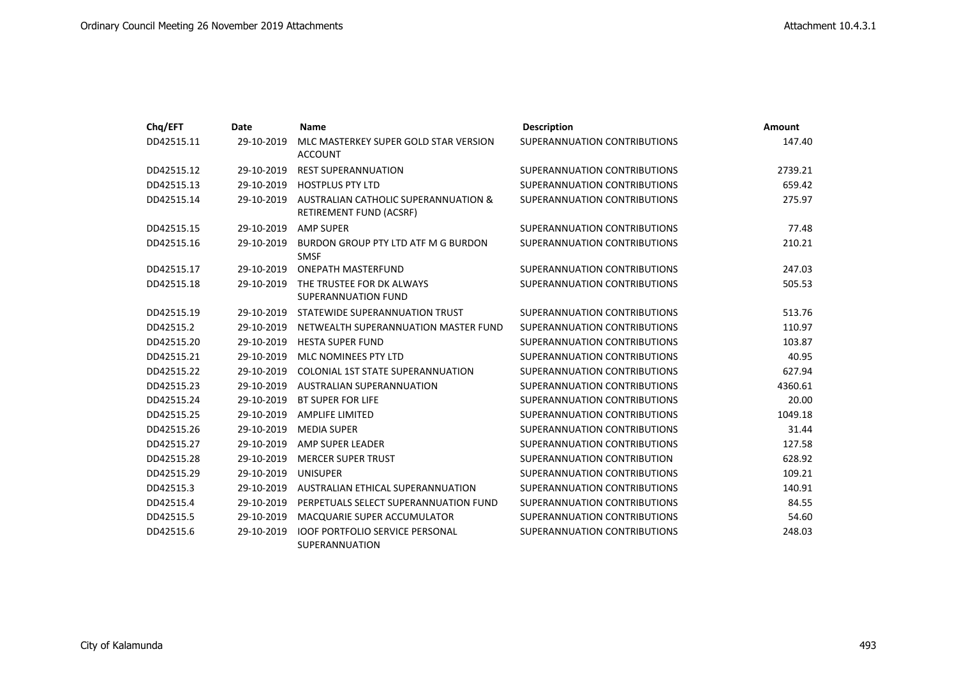| Chq/EFT    | Date       | <b>Name</b>                                                     | <b>Description</b>           | Amount  |
|------------|------------|-----------------------------------------------------------------|------------------------------|---------|
| DD42515.11 | 29-10-2019 | MLC MASTERKEY SUPER GOLD STAR VERSION<br><b>ACCOUNT</b>         | SUPERANNUATION CONTRIBUTIONS | 147.40  |
| DD42515.12 | 29-10-2019 | <b>REST SUPERANNUATION</b>                                      | SUPERANNUATION CONTRIBUTIONS | 2739.21 |
| DD42515.13 | 29-10-2019 | <b>HOSTPLUS PTY LTD</b>                                         | SUPERANNUATION CONTRIBUTIONS | 659.42  |
| DD42515.14 | 29-10-2019 | AUSTRALIAN CATHOLIC SUPERANNUATION &<br>RETIREMENT FUND (ACSRF) | SUPERANNUATION CONTRIBUTIONS | 275.97  |
| DD42515.15 | 29-10-2019 | <b>AMP SUPER</b>                                                | SUPERANNUATION CONTRIBUTIONS | 77.48   |
| DD42515.16 | 29-10-2019 | BURDON GROUP PTY LTD ATF M G BURDON<br><b>SMSF</b>              | SUPERANNUATION CONTRIBUTIONS | 210.21  |
| DD42515.17 | 29-10-2019 | <b>ONEPATH MASTERFUND</b>                                       | SUPERANNUATION CONTRIBUTIONS | 247.03  |
| DD42515.18 | 29-10-2019 | THE TRUSTEE FOR DK ALWAYS<br>SUPERANNUATION FUND                | SUPERANNUATION CONTRIBUTIONS | 505.53  |
| DD42515.19 | 29-10-2019 | STATEWIDE SUPERANNUATION TRUST                                  | SUPERANNUATION CONTRIBUTIONS | 513.76  |
| DD42515.2  | 29-10-2019 | NETWEALTH SUPERANNUATION MASTER FUND                            | SUPERANNUATION CONTRIBUTIONS | 110.97  |
| DD42515.20 | 29-10-2019 | <b>HESTA SUPER FUND</b>                                         | SUPERANNUATION CONTRIBUTIONS | 103.87  |
| DD42515.21 | 29-10-2019 | MLC NOMINEES PTY LTD                                            | SUPERANNUATION CONTRIBUTIONS | 40.95   |
| DD42515.22 | 29-10-2019 | COLONIAL 1ST STATE SUPERANNUATION                               | SUPERANNUATION CONTRIBUTIONS | 627.94  |
| DD42515.23 | 29-10-2019 | AUSTRALIAN SUPERANNUATION                                       | SUPERANNUATION CONTRIBUTIONS | 4360.61 |
| DD42515.24 | 29-10-2019 | <b>BT SUPER FOR LIFE</b>                                        | SUPERANNUATION CONTRIBUTIONS | 20.00   |
| DD42515.25 | 29-10-2019 | <b>AMPLIFE LIMITED</b>                                          | SUPERANNUATION CONTRIBUTIONS | 1049.18 |
| DD42515.26 | 29-10-2019 | <b>MEDIA SUPER</b>                                              | SUPERANNUATION CONTRIBUTIONS | 31.44   |
| DD42515.27 | 29-10-2019 | AMP SUPER LEADER                                                | SUPERANNUATION CONTRIBUTIONS | 127.58  |
| DD42515.28 | 29-10-2019 | <b>MERCER SUPER TRUST</b>                                       | SUPERANNUATION CONTRIBUTION  | 628.92  |
| DD42515.29 | 29-10-2019 | <b>UNISUPER</b>                                                 | SUPERANNUATION CONTRIBUTIONS | 109.21  |
| DD42515.3  | 29-10-2019 | AUSTRALIAN ETHICAL SUPERANNUATION                               | SUPERANNUATION CONTRIBUTIONS | 140.91  |
| DD42515.4  | 29-10-2019 | PERPETUALS SELECT SUPERANNUATION FUND                           | SUPERANNUATION CONTRIBUTIONS | 84.55   |
| DD42515.5  | 29-10-2019 | MACQUARIE SUPER ACCUMULATOR                                     | SUPERANNUATION CONTRIBUTIONS | 54.60   |
| DD42515.6  | 29-10-2019 | <b>IOOF PORTFOLIO SERVICE PERSONAL</b><br>SUPERANNUATION        | SUPERANNUATION CONTRIBUTIONS | 248.03  |